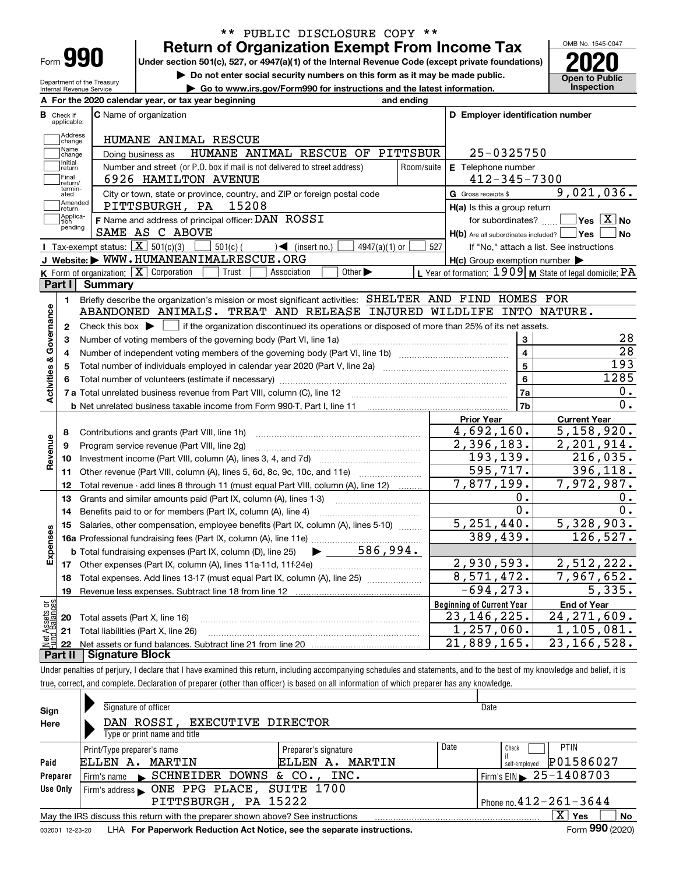| -orm |  |
|------|--|

# **Return of Organization Exempt From Income Tax** \*\* PUBLIC DISCLOSURE COPY \*\*

**Under section 501(c), 527, or 4947(a)(1) of the Internal Revenue Code (except private foundations) 2020**

**| Do not enter social security numbers on this form as it may be made public.**

**| Go to www.irs.gov/Form990 for instructions and the latest information. Inspection**

OMB No. 1545-0047 **Open to Public** 

Department of the Treasury Internal Revenue Service

| <b>C</b> Name of organization<br>HUMANE ANIMAL RESCUE<br>HUMANE ANIMAL RESCUE OF PITTSBUR<br>Number and street (or P.O. box if mail is not delivered to street address)<br>6926 HAMILTON AVENUE<br>City or town, state or province, country, and ZIP or foreign postal code<br>15208<br>PITTSBURGH, PA<br>F Name and address of principal officer: DAN ROSSI<br>SAME AS C ABOVE<br>Tax-exempt status: $\boxed{\mathbf{X}}$ 501(c)(3)<br>$501(c)$ (<br>$\sqrt{\frac{1}{1}}$ (insert no.)<br>$4947(a)(1)$ or<br>J Website: WWW.HUMANEANIMALRESCUE.ORG<br>K Form of organization: $X$ Corporation<br>Trust<br>Other $\blacktriangleright$<br>Association<br>Briefly describe the organization's mission or most significant activities: SHELTER AND FIND HOMES FOR<br>ABANDONED ANIMALS. TREAT AND RELEASE INJURED WILDLIFE INTO NATURE.<br>Check this box $\blacktriangleright$ $\blacksquare$ if the organization discontinued its operations or disposed of more than 25% of its net assets.<br>Number of voting members of the governing body (Part VI, line 1a)<br>Total number of individuals employed in calendar year 2020 (Part V, line 2a) manufacture in the manufacture of | Room/suite<br>527                                                                                                                                                                                                                         | D Employer identification number<br>25-0325750<br>E Telephone number<br>$412 - 345 - 7300$<br>G Gross receipts \$<br>H(a) Is this a group return<br>for subordinates?<br>$H(b)$ Are all subordinates included? $\Box$ Yes<br>$H(c)$ Group exemption number $\blacktriangleright$<br>3<br>4<br>5<br>6 | 9,021,036.<br>$\sqrt{}$ Yes $\sqrt{}$ X $\sqrt{}$ No<br>No<br>If "No," attach a list. See instructions<br>L Year of formation: $1909$ M State of legal domicile: PA<br>28<br>$\overline{28}$<br>$\overline{193}$<br>1285 |
|-------------------------------------------------------------------------------------------------------------------------------------------------------------------------------------------------------------------------------------------------------------------------------------------------------------------------------------------------------------------------------------------------------------------------------------------------------------------------------------------------------------------------------------------------------------------------------------------------------------------------------------------------------------------------------------------------------------------------------------------------------------------------------------------------------------------------------------------------------------------------------------------------------------------------------------------------------------------------------------------------------------------------------------------------------------------------------------------------------------------------------------------------------------------------------------|-------------------------------------------------------------------------------------------------------------------------------------------------------------------------------------------------------------------------------------------|------------------------------------------------------------------------------------------------------------------------------------------------------------------------------------------------------------------------------------------------------------------------------------------------------|--------------------------------------------------------------------------------------------------------------------------------------------------------------------------------------------------------------------------|
|                                                                                                                                                                                                                                                                                                                                                                                                                                                                                                                                                                                                                                                                                                                                                                                                                                                                                                                                                                                                                                                                                                                                                                                     |                                                                                                                                                                                                                                           |                                                                                                                                                                                                                                                                                                      |                                                                                                                                                                                                                          |
|                                                                                                                                                                                                                                                                                                                                                                                                                                                                                                                                                                                                                                                                                                                                                                                                                                                                                                                                                                                                                                                                                                                                                                                     |                                                                                                                                                                                                                                           |                                                                                                                                                                                                                                                                                                      |                                                                                                                                                                                                                          |
|                                                                                                                                                                                                                                                                                                                                                                                                                                                                                                                                                                                                                                                                                                                                                                                                                                                                                                                                                                                                                                                                                                                                                                                     |                                                                                                                                                                                                                                           |                                                                                                                                                                                                                                                                                                      |                                                                                                                                                                                                                          |
|                                                                                                                                                                                                                                                                                                                                                                                                                                                                                                                                                                                                                                                                                                                                                                                                                                                                                                                                                                                                                                                                                                                                                                                     |                                                                                                                                                                                                                                           |                                                                                                                                                                                                                                                                                                      |                                                                                                                                                                                                                          |
|                                                                                                                                                                                                                                                                                                                                                                                                                                                                                                                                                                                                                                                                                                                                                                                                                                                                                                                                                                                                                                                                                                                                                                                     |                                                                                                                                                                                                                                           |                                                                                                                                                                                                                                                                                                      |                                                                                                                                                                                                                          |
|                                                                                                                                                                                                                                                                                                                                                                                                                                                                                                                                                                                                                                                                                                                                                                                                                                                                                                                                                                                                                                                                                                                                                                                     |                                                                                                                                                                                                                                           |                                                                                                                                                                                                                                                                                                      |                                                                                                                                                                                                                          |
|                                                                                                                                                                                                                                                                                                                                                                                                                                                                                                                                                                                                                                                                                                                                                                                                                                                                                                                                                                                                                                                                                                                                                                                     |                                                                                                                                                                                                                                           |                                                                                                                                                                                                                                                                                                      |                                                                                                                                                                                                                          |
|                                                                                                                                                                                                                                                                                                                                                                                                                                                                                                                                                                                                                                                                                                                                                                                                                                                                                                                                                                                                                                                                                                                                                                                     |                                                                                                                                                                                                                                           |                                                                                                                                                                                                                                                                                                      |                                                                                                                                                                                                                          |
|                                                                                                                                                                                                                                                                                                                                                                                                                                                                                                                                                                                                                                                                                                                                                                                                                                                                                                                                                                                                                                                                                                                                                                                     |                                                                                                                                                                                                                                           |                                                                                                                                                                                                                                                                                                      |                                                                                                                                                                                                                          |
|                                                                                                                                                                                                                                                                                                                                                                                                                                                                                                                                                                                                                                                                                                                                                                                                                                                                                                                                                                                                                                                                                                                                                                                     |                                                                                                                                                                                                                                           |                                                                                                                                                                                                                                                                                                      |                                                                                                                                                                                                                          |
|                                                                                                                                                                                                                                                                                                                                                                                                                                                                                                                                                                                                                                                                                                                                                                                                                                                                                                                                                                                                                                                                                                                                                                                     |                                                                                                                                                                                                                                           |                                                                                                                                                                                                                                                                                                      |                                                                                                                                                                                                                          |
|                                                                                                                                                                                                                                                                                                                                                                                                                                                                                                                                                                                                                                                                                                                                                                                                                                                                                                                                                                                                                                                                                                                                                                                     |                                                                                                                                                                                                                                           |                                                                                                                                                                                                                                                                                                      |                                                                                                                                                                                                                          |
|                                                                                                                                                                                                                                                                                                                                                                                                                                                                                                                                                                                                                                                                                                                                                                                                                                                                                                                                                                                                                                                                                                                                                                                     |                                                                                                                                                                                                                                           |                                                                                                                                                                                                                                                                                                      |                                                                                                                                                                                                                          |
|                                                                                                                                                                                                                                                                                                                                                                                                                                                                                                                                                                                                                                                                                                                                                                                                                                                                                                                                                                                                                                                                                                                                                                                     |                                                                                                                                                                                                                                           |                                                                                                                                                                                                                                                                                                      |                                                                                                                                                                                                                          |
|                                                                                                                                                                                                                                                                                                                                                                                                                                                                                                                                                                                                                                                                                                                                                                                                                                                                                                                                                                                                                                                                                                                                                                                     |                                                                                                                                                                                                                                           |                                                                                                                                                                                                                                                                                                      |                                                                                                                                                                                                                          |
|                                                                                                                                                                                                                                                                                                                                                                                                                                                                                                                                                                                                                                                                                                                                                                                                                                                                                                                                                                                                                                                                                                                                                                                     |                                                                                                                                                                                                                                           |                                                                                                                                                                                                                                                                                                      |                                                                                                                                                                                                                          |
|                                                                                                                                                                                                                                                                                                                                                                                                                                                                                                                                                                                                                                                                                                                                                                                                                                                                                                                                                                                                                                                                                                                                                                                     |                                                                                                                                                                                                                                           |                                                                                                                                                                                                                                                                                                      |                                                                                                                                                                                                                          |
|                                                                                                                                                                                                                                                                                                                                                                                                                                                                                                                                                                                                                                                                                                                                                                                                                                                                                                                                                                                                                                                                                                                                                                                     |                                                                                                                                                                                                                                           |                                                                                                                                                                                                                                                                                                      |                                                                                                                                                                                                                          |
|                                                                                                                                                                                                                                                                                                                                                                                                                                                                                                                                                                                                                                                                                                                                                                                                                                                                                                                                                                                                                                                                                                                                                                                     |                                                                                                                                                                                                                                           |                                                                                                                                                                                                                                                                                                      |                                                                                                                                                                                                                          |
|                                                                                                                                                                                                                                                                                                                                                                                                                                                                                                                                                                                                                                                                                                                                                                                                                                                                                                                                                                                                                                                                                                                                                                                     |                                                                                                                                                                                                                                           |                                                                                                                                                                                                                                                                                                      |                                                                                                                                                                                                                          |
|                                                                                                                                                                                                                                                                                                                                                                                                                                                                                                                                                                                                                                                                                                                                                                                                                                                                                                                                                                                                                                                                                                                                                                                     |                                                                                                                                                                                                                                           | 7a                                                                                                                                                                                                                                                                                                   | 0.                                                                                                                                                                                                                       |
|                                                                                                                                                                                                                                                                                                                                                                                                                                                                                                                                                                                                                                                                                                                                                                                                                                                                                                                                                                                                                                                                                                                                                                                     |                                                                                                                                                                                                                                           | 7b                                                                                                                                                                                                                                                                                                   | $\overline{0}$ .                                                                                                                                                                                                         |
|                                                                                                                                                                                                                                                                                                                                                                                                                                                                                                                                                                                                                                                                                                                                                                                                                                                                                                                                                                                                                                                                                                                                                                                     |                                                                                                                                                                                                                                           | <b>Prior Year</b>                                                                                                                                                                                                                                                                                    | <b>Current Year</b>                                                                                                                                                                                                      |
| Contributions and grants (Part VIII, line 1h)                                                                                                                                                                                                                                                                                                                                                                                                                                                                                                                                                                                                                                                                                                                                                                                                                                                                                                                                                                                                                                                                                                                                       |                                                                                                                                                                                                                                           | 4,692,160.                                                                                                                                                                                                                                                                                           | 5,158,920.                                                                                                                                                                                                               |
| Program service revenue (Part VIII, line 2g)                                                                                                                                                                                                                                                                                                                                                                                                                                                                                                                                                                                                                                                                                                                                                                                                                                                                                                                                                                                                                                                                                                                                        |                                                                                                                                                                                                                                           | 2,396,183.                                                                                                                                                                                                                                                                                           | 2,201,914.                                                                                                                                                                                                               |
|                                                                                                                                                                                                                                                                                                                                                                                                                                                                                                                                                                                                                                                                                                                                                                                                                                                                                                                                                                                                                                                                                                                                                                                     |                                                                                                                                                                                                                                           | 193,139.                                                                                                                                                                                                                                                                                             | 216,035.                                                                                                                                                                                                                 |
| Other revenue (Part VIII, column (A), lines 5, 6d, 8c, 9c, 10c, and 11e)                                                                                                                                                                                                                                                                                                                                                                                                                                                                                                                                                                                                                                                                                                                                                                                                                                                                                                                                                                                                                                                                                                            |                                                                                                                                                                                                                                           | 595,717.                                                                                                                                                                                                                                                                                             | 396,118.                                                                                                                                                                                                                 |
|                                                                                                                                                                                                                                                                                                                                                                                                                                                                                                                                                                                                                                                                                                                                                                                                                                                                                                                                                                                                                                                                                                                                                                                     |                                                                                                                                                                                                                                           | 7,877,199.                                                                                                                                                                                                                                                                                           | 7,972,987.                                                                                                                                                                                                               |
|                                                                                                                                                                                                                                                                                                                                                                                                                                                                                                                                                                                                                                                                                                                                                                                                                                                                                                                                                                                                                                                                                                                                                                                     |                                                                                                                                                                                                                                           | 0.                                                                                                                                                                                                                                                                                                   | 0.                                                                                                                                                                                                                       |
|                                                                                                                                                                                                                                                                                                                                                                                                                                                                                                                                                                                                                                                                                                                                                                                                                                                                                                                                                                                                                                                                                                                                                                                     |                                                                                                                                                                                                                                           | 0.                                                                                                                                                                                                                                                                                                   | 0.                                                                                                                                                                                                                       |
|                                                                                                                                                                                                                                                                                                                                                                                                                                                                                                                                                                                                                                                                                                                                                                                                                                                                                                                                                                                                                                                                                                                                                                                     |                                                                                                                                                                                                                                           | 5, 251, 440.                                                                                                                                                                                                                                                                                         | 5,328,903.                                                                                                                                                                                                               |
|                                                                                                                                                                                                                                                                                                                                                                                                                                                                                                                                                                                                                                                                                                                                                                                                                                                                                                                                                                                                                                                                                                                                                                                     |                                                                                                                                                                                                                                           | 389,439.                                                                                                                                                                                                                                                                                             | 126, 527.                                                                                                                                                                                                                |
|                                                                                                                                                                                                                                                                                                                                                                                                                                                                                                                                                                                                                                                                                                                                                                                                                                                                                                                                                                                                                                                                                                                                                                                     |                                                                                                                                                                                                                                           |                                                                                                                                                                                                                                                                                                      |                                                                                                                                                                                                                          |
|                                                                                                                                                                                                                                                                                                                                                                                                                                                                                                                                                                                                                                                                                                                                                                                                                                                                                                                                                                                                                                                                                                                                                                                     |                                                                                                                                                                                                                                           | 2,930,593.                                                                                                                                                                                                                                                                                           | 2,512,222.                                                                                                                                                                                                               |
|                                                                                                                                                                                                                                                                                                                                                                                                                                                                                                                                                                                                                                                                                                                                                                                                                                                                                                                                                                                                                                                                                                                                                                                     |                                                                                                                                                                                                                                           |                                                                                                                                                                                                                                                                                                      | 7,967,652.                                                                                                                                                                                                               |
|                                                                                                                                                                                                                                                                                                                                                                                                                                                                                                                                                                                                                                                                                                                                                                                                                                                                                                                                                                                                                                                                                                                                                                                     |                                                                                                                                                                                                                                           | $-694, 273.$                                                                                                                                                                                                                                                                                         | 5,335.                                                                                                                                                                                                                   |
|                                                                                                                                                                                                                                                                                                                                                                                                                                                                                                                                                                                                                                                                                                                                                                                                                                                                                                                                                                                                                                                                                                                                                                                     |                                                                                                                                                                                                                                           |                                                                                                                                                                                                                                                                                                      | <b>End of Year</b>                                                                                                                                                                                                       |
|                                                                                                                                                                                                                                                                                                                                                                                                                                                                                                                                                                                                                                                                                                                                                                                                                                                                                                                                                                                                                                                                                                                                                                                     |                                                                                                                                                                                                                                           |                                                                                                                                                                                                                                                                                                      | $\overline{24}$ , 271, 609.                                                                                                                                                                                              |
|                                                                                                                                                                                                                                                                                                                                                                                                                                                                                                                                                                                                                                                                                                                                                                                                                                                                                                                                                                                                                                                                                                                                                                                     |                                                                                                                                                                                                                                           |                                                                                                                                                                                                                                                                                                      | 1, 105, 081.                                                                                                                                                                                                             |
| Total liabilities (Part X, line 26)                                                                                                                                                                                                                                                                                                                                                                                                                                                                                                                                                                                                                                                                                                                                                                                                                                                                                                                                                                                                                                                                                                                                                 |                                                                                                                                                                                                                                           |                                                                                                                                                                                                                                                                                                      |                                                                                                                                                                                                                          |
|                                                                                                                                                                                                                                                                                                                                                                                                                                                                                                                                                                                                                                                                                                                                                                                                                                                                                                                                                                                                                                                                                                                                                                                     | Grants and similar amounts paid (Part IX, column (A), lines 1-3)<br>Benefits paid to or for members (Part IX, column (A), line 4)<br><b>b</b> Total fundraising expenses (Part IX, column (D), line 25)<br>Total assets (Part X, line 16) | Total revenue - add lines 8 through 11 (must equal Part VIII, column (A), line 12)<br>Salaries, other compensation, employee benefits (Part IX, column (A), lines 5-10)<br>$\blacktriangleright$ 586,994.<br>Total expenses. Add lines 13-17 (must equal Part IX, column (A), line 25)               | 8,571,472.<br><b>Beginning of Current Year</b><br>23, 146, 225.<br>$\overline{1,257},060.$                                                                                                                               |

Under penalties of perjury, I declare that I have examined this return, including accompanying schedules and statements, and to the best of my knowledge and belief, it is true, correct, and complete. Declaration of preparer (other than officer) is based on all information of which preparer has any knowledge.

| Sign     | Signature of officer                                                                                         |                              | Date |                                |  |  |  |  |  |
|----------|--------------------------------------------------------------------------------------------------------------|------------------------------|------|--------------------------------|--|--|--|--|--|
| Here     | DAN ROSSI, EXECUTIVE DIRECTOR                                                                                |                              |      |                                |  |  |  |  |  |
|          | Type or print name and title                                                                                 |                              |      |                                |  |  |  |  |  |
|          | Print/Type preparer's name                                                                                   | Preparer's signature         | Date | <b>PTIN</b><br>Check           |  |  |  |  |  |
| Paid     | MARTIN<br>ELLEN A.                                                                                           | ELLEN A. MARTIN              |      | P01586027<br>self-emploved     |  |  |  |  |  |
| Preparer | Firm's name SCHNEIDER DOWNS & CO., INC.                                                                      |                              |      | Firm's EIN $\geq 25 - 1408703$ |  |  |  |  |  |
| Use Only |                                                                                                              |                              |      |                                |  |  |  |  |  |
|          | PITTSBURGH, PA 15222                                                                                         | Phone no. $412 - 261 - 3644$ |      |                                |  |  |  |  |  |
|          | X.<br>No<br>Yes<br>May the IRS discuss this return with the preparer shown above? See instructions           |                              |      |                                |  |  |  |  |  |
|          | Form 990 (2020)<br>LHA For Paperwork Reduction Act Notice, see the separate instructions.<br>032001 12-23-20 |                              |      |                                |  |  |  |  |  |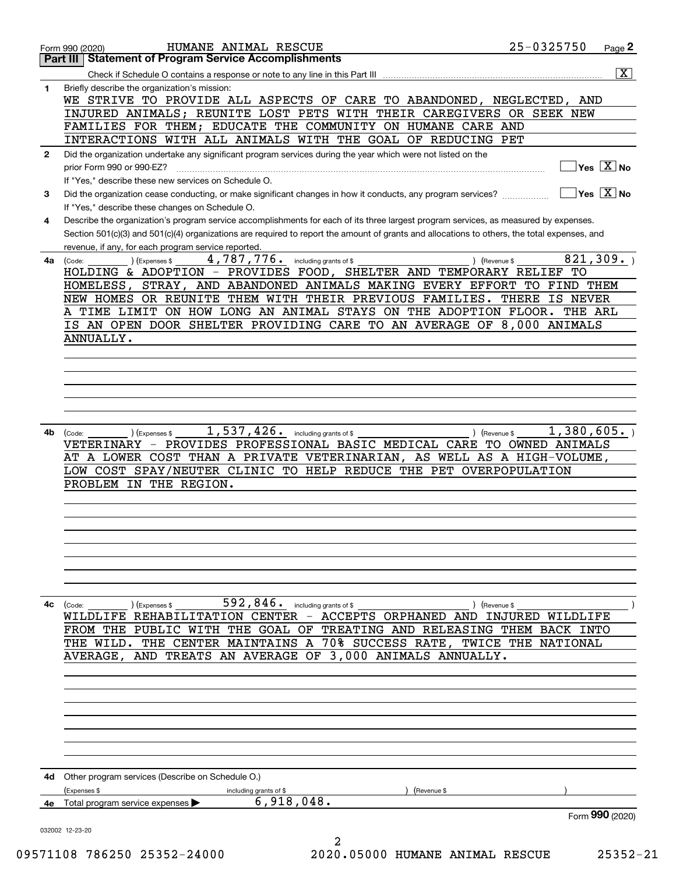|              | HUMANE ANIMAL RESCUE<br>Form 990 (2020)                                                                                                                                                 | 25-0325750                                      | Page 2                  |
|--------------|-----------------------------------------------------------------------------------------------------------------------------------------------------------------------------------------|-------------------------------------------------|-------------------------|
|              | <b>Statement of Program Service Accomplishments</b><br>Part III                                                                                                                         |                                                 |                         |
|              |                                                                                                                                                                                         |                                                 | $\overline{\mathtt{x}}$ |
| 1            | Briefly describe the organization's mission:<br>WE STRIVE TO PROVIDE ALL ASPECTS OF CARE TO ABANDONED, NEGLECTED, AND                                                                   |                                                 |                         |
|              | INJURED ANIMALS; REUNITE LOST PETS WITH THEIR CAREGIVERS OR SEEK NEW                                                                                                                    |                                                 |                         |
|              | FAMILIES FOR THEM; EDUCATE THE COMMUNITY ON HUMANE CARE AND                                                                                                                             |                                                 |                         |
|              | INTERACTIONS WITH ALL ANIMALS WITH THE GOAL OF REDUCING PET                                                                                                                             |                                                 |                         |
| $\mathbf{2}$ | Did the organization undertake any significant program services during the year which were not listed on the                                                                            |                                                 |                         |
|              | prior Form 990 or 990-EZ?                                                                                                                                                               | $\overline{\ }$ Yes $\overline{\phantom{X}}$ No |                         |
|              | If "Yes," describe these new services on Schedule O.                                                                                                                                    |                                                 |                         |
| 3            | Did the organization cease conducting, or make significant changes in how it conducts, any program services?                                                                            | $\sqrt{}$ Yes $\sqrt{}$ X $\sqrt{}$ No          |                         |
| 4            | If "Yes," describe these changes on Schedule O.<br>Describe the organization's program service accomplishments for each of its three largest program services, as measured by expenses. |                                                 |                         |
|              | Section 501(c)(3) and 501(c)(4) organizations are required to report the amount of grants and allocations to others, the total expenses, and                                            |                                                 |                         |
|              | revenue, if any, for each program service reported.                                                                                                                                     |                                                 |                         |
| 4a           | 4,787,776.<br>including grants of \$<br>) (Revenue \$<br>(Expenses \$<br>(Code:                                                                                                         | 821, 309.                                       |                         |
|              | HOLDING & ADOPTION - PROVIDES FOOD, SHELTER AND TEMPORARY RELIEF TO                                                                                                                     |                                                 |                         |
|              | STRAY, AND ABANDONED ANIMALS MAKING EVERY EFFORT TO FIND THEM<br>HOMELESS,<br>NEW HOMES OR REUNITE THEM WITH THEIR PREVIOUS FAMILIES.                                                   | <b>THERE</b><br>IS NEVER                        |                         |
|              | A TIME LIMIT ON HOW LONG AN ANIMAL STAYS ON THE ADOPTION FLOOR. THE ARL                                                                                                                 |                                                 |                         |
|              | IS AN OPEN DOOR SHELTER PROVIDING CARE TO AN AVERAGE OF 8,000 ANIMALS                                                                                                                   |                                                 |                         |
|              | ANNUALLY.                                                                                                                                                                               |                                                 |                         |
|              |                                                                                                                                                                                         |                                                 |                         |
|              |                                                                                                                                                                                         |                                                 |                         |
|              |                                                                                                                                                                                         |                                                 |                         |
|              |                                                                                                                                                                                         |                                                 |                         |
|              |                                                                                                                                                                                         |                                                 |                         |
| 4b           | $1,537,426.$ including grants of \$<br>) (Revenue \$<br>(Code:<br>(Expenses \$                                                                                                          | 1,380,605.                                      |                         |
|              | VETERINARY - PROVIDES PROFESSIONAL BASIC MEDICAL CARE TO OWNED ANIMALS                                                                                                                  |                                                 |                         |
|              | AT A LOWER COST THAN A PRIVATE VETERINARIAN, AS WELL AS A HIGH-VOLUME,                                                                                                                  |                                                 |                         |
|              | LOW COST SPAY/NEUTER CLINIC TO HELP REDUCE THE PET OVERPOPULATION<br>PROBLEM IN THE REGION.                                                                                             |                                                 |                         |
|              |                                                                                                                                                                                         |                                                 |                         |
|              |                                                                                                                                                                                         |                                                 |                         |
|              |                                                                                                                                                                                         |                                                 |                         |
|              |                                                                                                                                                                                         |                                                 |                         |
|              |                                                                                                                                                                                         |                                                 |                         |
|              |                                                                                                                                                                                         |                                                 |                         |
|              |                                                                                                                                                                                         |                                                 |                         |
| 4с           | $592, 846$ . including grants of \$<br>(Code:<br>(Expenses \$<br>) (Revenue \$                                                                                                          |                                                 |                         |
|              | WILDLIFE REHABILITATION CENTER - ACCEPTS ORPHANED AND INJURED WILDLIFE                                                                                                                  |                                                 |                         |
|              | FROM THE PUBLIC WITH THE GOAL OF TREATING AND RELEASING THEM BACK INTO                                                                                                                  |                                                 |                         |
|              | THE WILD. THE CENTER MAINTAINS A 70% SUCCESS RATE, TWICE THE NATIONAL<br>AVERAGE, AND TREATS AN AVERAGE OF 3,000 ANIMALS ANNUALLY.                                                      |                                                 |                         |
|              |                                                                                                                                                                                         |                                                 |                         |
|              |                                                                                                                                                                                         |                                                 |                         |
|              |                                                                                                                                                                                         |                                                 |                         |
|              |                                                                                                                                                                                         |                                                 |                         |
|              |                                                                                                                                                                                         |                                                 |                         |
|              |                                                                                                                                                                                         |                                                 |                         |
|              |                                                                                                                                                                                         |                                                 |                         |
|              | <b>4d</b> Other program services (Describe on Schedule O.)                                                                                                                              |                                                 |                         |
|              | (Expenses \$<br>(Revenue \$<br>including grants of \$                                                                                                                                   |                                                 |                         |
| 4е           | 6,918,048.<br>Total program service expenses                                                                                                                                            |                                                 |                         |
|              |                                                                                                                                                                                         | Form 990 (2020)                                 |                         |
|              | 032002 12-23-20<br>2                                                                                                                                                                    |                                                 |                         |
|              |                                                                                                                                                                                         |                                                 |                         |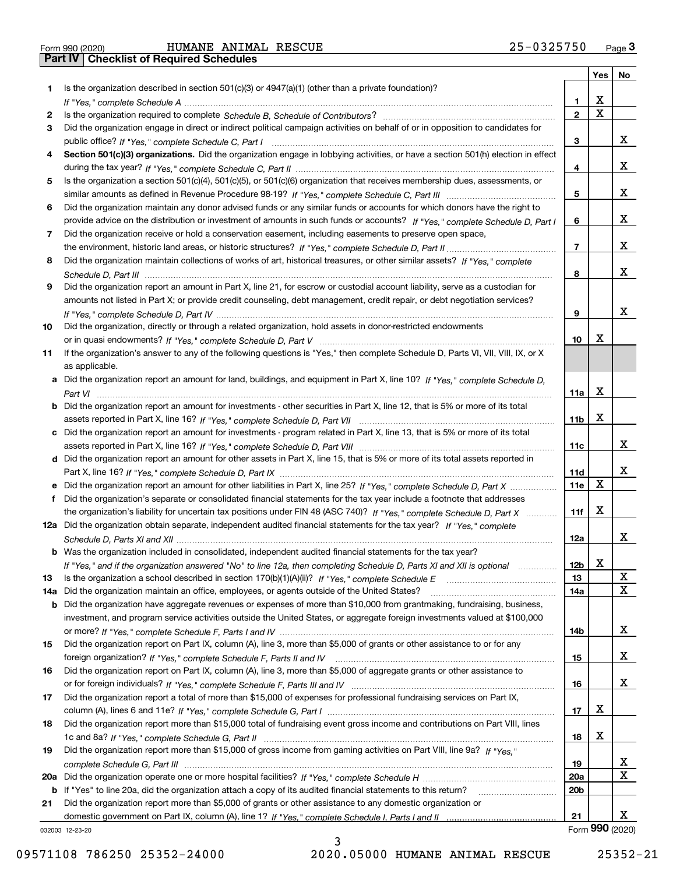Form 990 (2020) Page **3Part IV Checklist of Required Schedules** HUMANE ANIMAL RESCUE 25-0325750

|     |                                                                                                                                       |                 | Yes                     | No |
|-----|---------------------------------------------------------------------------------------------------------------------------------------|-----------------|-------------------------|----|
| 1.  | Is the organization described in section $501(c)(3)$ or $4947(a)(1)$ (other than a private foundation)?                               |                 |                         |    |
|     |                                                                                                                                       | 1               | X                       |    |
| 2   |                                                                                                                                       | $\overline{2}$  | $\overline{\mathbf{x}}$ |    |
| 3   | Did the organization engage in direct or indirect political campaign activities on behalf of or in opposition to candidates for       |                 |                         |    |
|     |                                                                                                                                       | З               |                         | x  |
| 4   | Section 501(c)(3) organizations. Did the organization engage in lobbying activities, or have a section 501(h) election in effect      |                 |                         |    |
|     |                                                                                                                                       | 4               |                         | x  |
| 5   | Is the organization a section 501(c)(4), 501(c)(5), or 501(c)(6) organization that receives membership dues, assessments, or          |                 |                         |    |
|     |                                                                                                                                       | 5               |                         | x  |
| 6   | Did the organization maintain any donor advised funds or any similar funds or accounts for which donors have the right to             |                 |                         |    |
|     | provide advice on the distribution or investment of amounts in such funds or accounts? If "Yes," complete Schedule D, Part I          | 6               |                         | x  |
| 7   | Did the organization receive or hold a conservation easement, including easements to preserve open space,                             |                 |                         |    |
|     |                                                                                                                                       | $\overline{7}$  |                         | x  |
| 8   | Did the organization maintain collections of works of art, historical treasures, or other similar assets? If "Yes," complete          |                 |                         |    |
|     |                                                                                                                                       | 8               |                         | x  |
| 9   | Did the organization report an amount in Part X, line 21, for escrow or custodial account liability, serve as a custodian for         |                 |                         |    |
|     | amounts not listed in Part X; or provide credit counseling, debt management, credit repair, or debt negotiation services?             |                 |                         |    |
|     |                                                                                                                                       | 9               |                         | х  |
| 10  | Did the organization, directly or through a related organization, hold assets in donor-restricted endowments                          |                 |                         |    |
|     |                                                                                                                                       | 10              | x                       |    |
| 11  | If the organization's answer to any of the following questions is "Yes," then complete Schedule D, Parts VI, VII, VIII, IX, or X      |                 |                         |    |
|     | as applicable.                                                                                                                        |                 |                         |    |
|     | a Did the organization report an amount for land, buildings, and equipment in Part X, line 10? If "Yes," complete Schedule D,         |                 | X                       |    |
|     |                                                                                                                                       | 11a             |                         |    |
|     | <b>b</b> Did the organization report an amount for investments - other securities in Part X, line 12, that is 5% or more of its total |                 | х                       |    |
|     |                                                                                                                                       | 11b             |                         |    |
|     | c Did the organization report an amount for investments - program related in Part X, line 13, that is 5% or more of its total         | 11c             |                         | х  |
|     | d Did the organization report an amount for other assets in Part X, line 15, that is 5% or more of its total assets reported in       |                 |                         |    |
|     |                                                                                                                                       | 11d             |                         | x  |
|     | e Did the organization report an amount for other liabilities in Part X, line 25? If "Yes," complete Schedule D, Part X               | 11e             | X                       |    |
| f   | Did the organization's separate or consolidated financial statements for the tax year include a footnote that addresses               |                 |                         |    |
|     | the organization's liability for uncertain tax positions under FIN 48 (ASC 740)? If "Yes," complete Schedule D, Part X                | 11f             | X                       |    |
|     | 12a Did the organization obtain separate, independent audited financial statements for the tax year? If "Yes," complete               |                 |                         |    |
|     |                                                                                                                                       | 12a             |                         | x  |
|     | <b>b</b> Was the organization included in consolidated, independent audited financial statements for the tax year?                    |                 |                         |    |
|     | If "Yes," and if the organization answered "No" to line 12a, then completing Schedule D, Parts XI and XII is optional                 | 12 <sub>b</sub> | X                       |    |
| 13  | Is the organization a school described in section $170(b)(1)(A)(ii)?$ If "Yes," complete Schedule E                                   | 13              |                         | X  |
| 14a | Did the organization maintain an office, employees, or agents outside of the United States?                                           | 14a             |                         | X  |
|     | <b>b</b> Did the organization have aggregate revenues or expenses of more than \$10,000 from grantmaking, fundraising, business,      |                 |                         |    |
|     | investment, and program service activities outside the United States, or aggregate foreign investments valued at \$100,000            |                 |                         |    |
|     |                                                                                                                                       | 14b             |                         | x  |
| 15  | Did the organization report on Part IX, column (A), line 3, more than \$5,000 of grants or other assistance to or for any             |                 |                         |    |
|     |                                                                                                                                       | 15              |                         | x  |
| 16  | Did the organization report on Part IX, column (A), line 3, more than \$5,000 of aggregate grants or other assistance to              |                 |                         |    |
|     |                                                                                                                                       | 16              |                         | x  |
| 17  | Did the organization report a total of more than \$15,000 of expenses for professional fundraising services on Part IX,               |                 |                         |    |
|     |                                                                                                                                       | 17              | х                       |    |
| 18  | Did the organization report more than \$15,000 total of fundraising event gross income and contributions on Part VIII, lines          |                 |                         |    |
|     |                                                                                                                                       | 18              | х                       |    |
| 19  | Did the organization report more than \$15,000 of gross income from gaming activities on Part VIII, line 9a? If "Yes."                |                 |                         |    |
|     |                                                                                                                                       | 19              |                         | х  |
|     |                                                                                                                                       | 20a             |                         | X  |
|     | b If "Yes" to line 20a, did the organization attach a copy of its audited financial statements to this return?                        | 20 <sub>b</sub> |                         |    |
| 21  | Did the organization report more than \$5,000 of grants or other assistance to any domestic organization or                           |                 |                         |    |
|     |                                                                                                                                       | 21              |                         | x  |

3

032003 12-23-20

Form (2020) **990**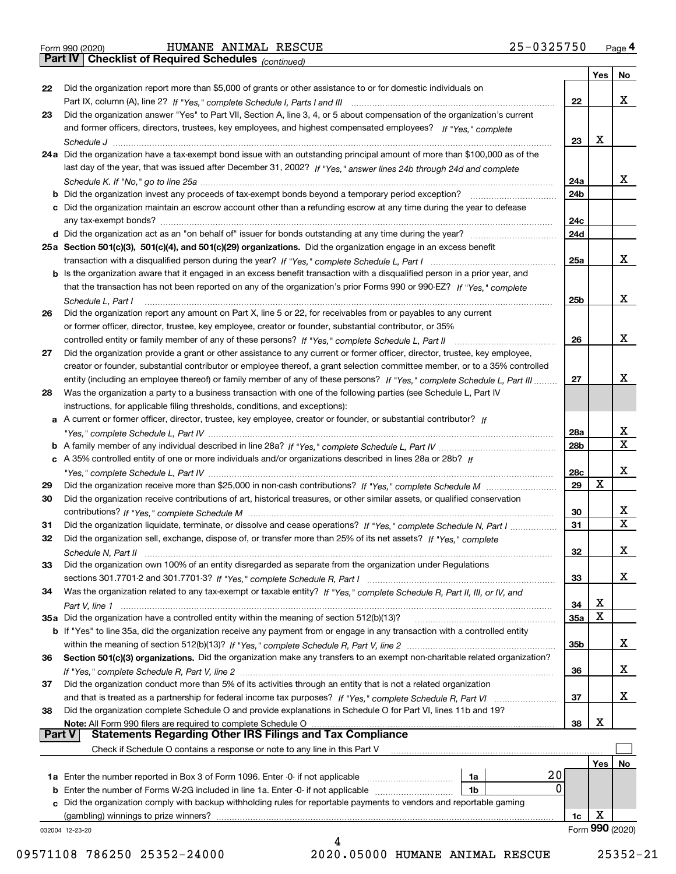|  | Form 990 (2020) |
|--|-----------------|
|  |                 |

*(continued)*

|               |                                                                                                                                                                                                                        |                 | Yes | No.             |
|---------------|------------------------------------------------------------------------------------------------------------------------------------------------------------------------------------------------------------------------|-----------------|-----|-----------------|
| 22            | Did the organization report more than \$5,000 of grants or other assistance to or for domestic individuals on                                                                                                          |                 |     |                 |
|               | Part IX, column (A), line 2? If "Yes," complete Schedule I, Parts I and III [11] [11] [12] [12] Part IX, column (A), line 2? If "Yes," complete Schedule I, Parts I and III                                            | 22              |     | х               |
| 23            | Did the organization answer "Yes" to Part VII, Section A, line 3, 4, or 5 about compensation of the organization's current                                                                                             |                 |     |                 |
|               | and former officers, directors, trustees, key employees, and highest compensated employees? If "Yes," complete                                                                                                         |                 |     |                 |
|               |                                                                                                                                                                                                                        | 23              | х   |                 |
|               | 24a Did the organization have a tax-exempt bond issue with an outstanding principal amount of more than \$100,000 as of the                                                                                            |                 |     |                 |
|               | last day of the year, that was issued after December 31, 2002? If "Yes," answer lines 24b through 24d and complete                                                                                                     |                 |     |                 |
|               |                                                                                                                                                                                                                        | 24a             |     | x               |
|               | <b>b</b> Did the organization invest any proceeds of tax-exempt bonds beyond a temporary period exception?                                                                                                             | 24 <sub>b</sub> |     |                 |
|               | c Did the organization maintain an escrow account other than a refunding escrow at any time during the year to defease                                                                                                 |                 |     |                 |
|               | any tax-exempt bonds?                                                                                                                                                                                                  | 24c             |     |                 |
|               |                                                                                                                                                                                                                        | 24d             |     |                 |
|               | 25a Section 501(c)(3), 501(c)(4), and 501(c)(29) organizations. Did the organization engage in an excess benefit                                                                                                       |                 |     |                 |
|               |                                                                                                                                                                                                                        | 25a             |     | х               |
|               | b Is the organization aware that it engaged in an excess benefit transaction with a disqualified person in a prior year, and                                                                                           |                 |     |                 |
|               | that the transaction has not been reported on any of the organization's prior Forms 990 or 990-EZ? If "Yes," complete                                                                                                  |                 |     |                 |
|               | Schedule L, Part I                                                                                                                                                                                                     | 25 <sub>b</sub> |     | х               |
| 26            | Did the organization report any amount on Part X, line 5 or 22, for receivables from or payables to any current                                                                                                        |                 |     |                 |
|               | or former officer, director, trustee, key employee, creator or founder, substantial contributor, or 35%                                                                                                                |                 |     |                 |
|               |                                                                                                                                                                                                                        | 26              |     | х               |
| 27            | Did the organization provide a grant or other assistance to any current or former officer, director, trustee, key employee,                                                                                            |                 |     |                 |
|               | creator or founder, substantial contributor or employee thereof, a grant selection committee member, or to a 35% controlled                                                                                            |                 |     |                 |
|               | entity (including an employee thereof) or family member of any of these persons? If "Yes," complete Schedule L, Part III                                                                                               | 27              |     | х               |
| 28            | Was the organization a party to a business transaction with one of the following parties (see Schedule L, Part IV                                                                                                      |                 |     |                 |
|               | instructions, for applicable filing thresholds, conditions, and exceptions):                                                                                                                                           |                 |     |                 |
|               | a A current or former officer, director, trustee, key employee, creator or founder, or substantial contributor? If                                                                                                     |                 |     |                 |
|               |                                                                                                                                                                                                                        | 28a             |     | x               |
|               |                                                                                                                                                                                                                        | 28 <sub>b</sub> |     | $\mathbf X$     |
|               | c A 35% controlled entity of one or more individuals and/or organizations described in lines 28a or 28b? If                                                                                                            |                 |     |                 |
|               |                                                                                                                                                                                                                        | 28c             |     | х               |
| 29            |                                                                                                                                                                                                                        | 29              | x   |                 |
| 30            | Did the organization receive contributions of art, historical treasures, or other similar assets, or qualified conservation                                                                                            |                 |     |                 |
|               |                                                                                                                                                                                                                        | 30              |     | X               |
| 31            | Did the organization liquidate, terminate, or dissolve and cease operations? If "Yes," complete Schedule N, Part I                                                                                                     | 31              |     | $\mathbf x$     |
| 32            | Did the organization sell, exchange, dispose of, or transfer more than 25% of its net assets? If "Yes." complete                                                                                                       |                 |     |                 |
|               |                                                                                                                                                                                                                        | 32              |     | х               |
|               | Schedule N, Part II<br>Did the organization own 100% of an entity disregarded as separate from the organization under Regulations                                                                                      |                 |     |                 |
| 33            |                                                                                                                                                                                                                        | 33              |     | х               |
| 34            |                                                                                                                                                                                                                        |                 |     |                 |
|               | Was the organization related to any tax-exempt or taxable entity? If "Yes," complete Schedule R, Part II, III, or IV, and                                                                                              |                 | х   |                 |
|               | 35a Did the organization have a controlled entity within the meaning of section 512(b)(13)?                                                                                                                            | 34<br>35a       | X   |                 |
|               | b If "Yes" to line 35a, did the organization receive any payment from or engage in any transaction with a controlled entity                                                                                            |                 |     |                 |
|               |                                                                                                                                                                                                                        | 35b             |     | X               |
| 36            | Section 501(c)(3) organizations. Did the organization make any transfers to an exempt non-charitable related organization?                                                                                             |                 |     |                 |
|               |                                                                                                                                                                                                                        | 36              |     | X               |
| 37            | Did the organization conduct more than 5% of its activities through an entity that is not a related organization                                                                                                       |                 |     |                 |
|               | and that is treated as a partnership for federal income tax purposes? If "Yes," complete Schedule R, Part VI                                                                                                           | 37              |     | x               |
| 38            |                                                                                                                                                                                                                        |                 |     |                 |
|               | Did the organization complete Schedule O and provide explanations in Schedule O for Part VI, lines 11b and 19?<br>Note: All Form 990 filers are required to complete Schedule O                                        | 38              | х   |                 |
| <b>Part V</b> | <b>Statements Regarding Other IRS Filings and Tax Compliance</b>                                                                                                                                                       |                 |     |                 |
|               | Check if Schedule O contains a response or note to any line in this Part V                                                                                                                                             |                 |     |                 |
|               |                                                                                                                                                                                                                        |                 |     |                 |
|               | 20                                                                                                                                                                                                                     |                 | Yes | No              |
|               | <b>1a</b> Enter the number reported in Box 3 of Form 1096. Enter -0- if not applicable <i>manumumumum</i><br>1a<br>0                                                                                                   |                 |     |                 |
|               | <b>b</b> Enter the number of Forms W-2G included in line 1a. Enter -0- if not applicable<br>1b<br>c Did the organization comply with backup withholding rules for reportable payments to vendors and reportable gaming |                 |     |                 |
|               |                                                                                                                                                                                                                        |                 | х   |                 |
|               | (gambling) winnings to prize winners?                                                                                                                                                                                  | 1c              |     | Form 990 (2020) |
|               | 032004 12-23-20                                                                                                                                                                                                        |                 |     |                 |
|               |                                                                                                                                                                                                                        |                 |     |                 |

 <sup>09571108 786250 25352-24000 2020.05000</sup> HUMANE ANIMAL RESCUE 25352-21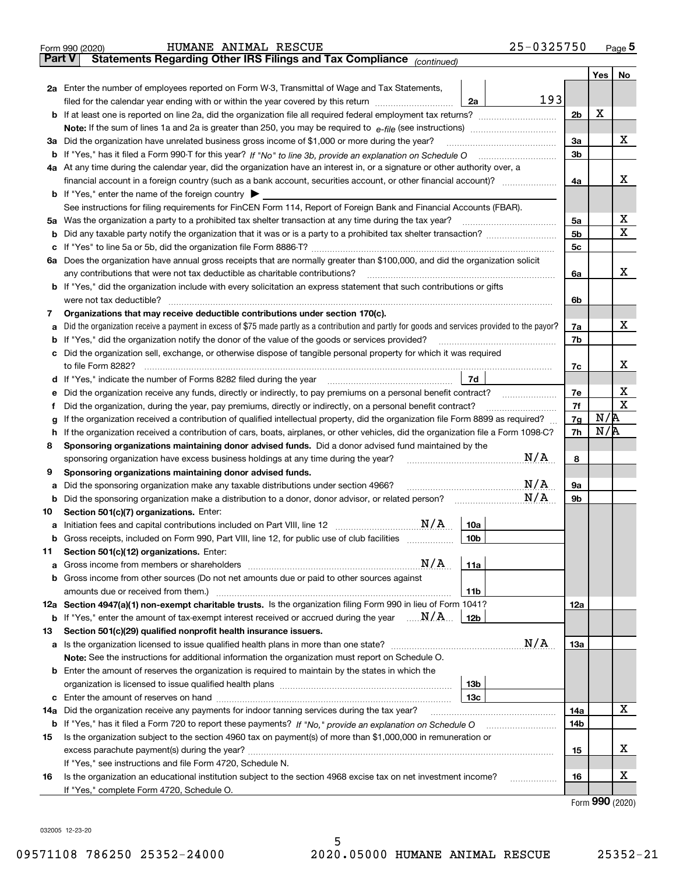|               | 25-0325750<br>HUMANE ANIMAL RESCUE<br>Form 990 (2020)                                                                                           |                |                 | Page $5$         |
|---------------|-------------------------------------------------------------------------------------------------------------------------------------------------|----------------|-----------------|------------------|
| <b>Part V</b> | Statements Regarding Other IRS Filings and Tax Compliance (continued)                                                                           |                |                 |                  |
|               |                                                                                                                                                 |                | Yes             | No               |
|               | 2a Enter the number of employees reported on Form W-3, Transmittal of Wage and Tax Statements,                                                  |                |                 |                  |
|               | 193<br>filed for the calendar year ending with or within the year covered by this return<br>2a                                                  |                |                 |                  |
|               |                                                                                                                                                 | 2 <sub>b</sub> | X               |                  |
|               |                                                                                                                                                 |                |                 |                  |
|               | 3a Did the organization have unrelated business gross income of \$1,000 or more during the year?                                                | 3a             |                 | х                |
|               |                                                                                                                                                 | 3 <sub>b</sub> |                 |                  |
|               | 4a At any time during the calendar year, did the organization have an interest in, or a signature or other authority over, a                    |                |                 |                  |
|               | financial account in a foreign country (such as a bank account, securities account, or other financial account)?                                | 4a             |                 | X                |
|               | <b>b</b> If "Yes," enter the name of the foreign country $\blacktriangleright$                                                                  |                |                 |                  |
|               | See instructions for filing requirements for FinCEN Form 114, Report of Foreign Bank and Financial Accounts (FBAR).                             |                |                 |                  |
|               | 5a Was the organization a party to a prohibited tax shelter transaction at any time during the tax year?                                        | 5a             |                 | х                |
|               |                                                                                                                                                 | 5 <sub>b</sub> |                 | Χ                |
|               |                                                                                                                                                 | 5 <sub>c</sub> |                 |                  |
|               | 6a Does the organization have annual gross receipts that are normally greater than \$100,000, and did the organization solicit                  |                |                 |                  |
|               | any contributions that were not tax deductible as charitable contributions?                                                                     | 6a             |                 | х                |
|               | <b>b</b> If "Yes," did the organization include with every solicitation an express statement that such contributions or gifts                   |                |                 |                  |
|               | were not tax deductible?                                                                                                                        | 6b             |                 |                  |
| 7             | Organizations that may receive deductible contributions under section 170(c).                                                                   |                |                 |                  |
| а             | Did the organization receive a payment in excess of \$75 made partly as a contribution and partly for goods and services provided to the payor? | 7a             |                 | х                |
|               | <b>b</b> If "Yes," did the organization notify the donor of the value of the goods or services provided?                                        | 7b             |                 |                  |
|               | c Did the organization sell, exchange, or otherwise dispose of tangible personal property for which it was required                             |                |                 |                  |
|               | to file Form 8282?                                                                                                                              | 7c             |                 | х                |
|               | 7d                                                                                                                                              |                |                 |                  |
|               | e Did the organization receive any funds, directly or indirectly, to pay premiums on a personal benefit contract?                               | 7e             |                 | х<br>$\mathbf X$ |
|               | Did the organization, during the year, pay premiums, directly or indirectly, on a personal benefit contract?                                    | 7f             | N/R             |                  |
| g             | If the organization received a contribution of qualified intellectual property, did the organization file Form 8899 as required?                | 7g             | N/R             |                  |
|               | h If the organization received a contribution of cars, boats, airplanes, or other vehicles, did the organization file a Form 1098-C?            | 7h             |                 |                  |
| 8             | Sponsoring organizations maintaining donor advised funds. Did a donor advised fund maintained by the<br>N/A                                     | 8              |                 |                  |
| 9             | sponsoring organization have excess business holdings at any time during the year?<br>Sponsoring organizations maintaining donor advised funds. |                |                 |                  |
|               | N/A<br>Did the sponsoring organization make any taxable distributions under section 4966?                                                       | 9а             |                 |                  |
| а             | N/A                                                                                                                                             | 9b             |                 |                  |
| 10            | Section 501(c)(7) organizations. Enter:                                                                                                         |                |                 |                  |
|               | 10a                                                                                                                                             |                |                 |                  |
|               | <b>b</b> Gross receipts, included on Form 990, Part VIII, line 12, for public use of club facilities <i>manument</i><br>10b                     |                |                 |                  |
| 11            | Section 501(c)(12) organizations. Enter:                                                                                                        |                |                 |                  |
|               | 11a                                                                                                                                             |                |                 |                  |
|               | <b>b</b> Gross income from other sources (Do not net amounts due or paid to other sources against                                               |                |                 |                  |
|               | amounts due or received from them.)<br>11b                                                                                                      |                |                 |                  |
|               | 12a Section 4947(a)(1) non-exempt charitable trusts. Is the organization filing Form 990 in lieu of Form 1041?                                  | 12a            |                 |                  |
|               | <b>b</b> If "Yes," enter the amount of tax-exempt interest received or accrued during the year $\ldots \mathbf{N}/\mathbf{A}$ .<br>12b          |                |                 |                  |
| 13            | Section 501(c)(29) qualified nonprofit health insurance issuers.                                                                                |                |                 |                  |
|               | N/A                                                                                                                                             | 13а            |                 |                  |
|               | Note: See the instructions for additional information the organization must report on Schedule O.                                               |                |                 |                  |
|               | <b>b</b> Enter the amount of reserves the organization is required to maintain by the states in which the                                       |                |                 |                  |
|               | 13 <sub>b</sub>                                                                                                                                 |                |                 |                  |
|               | 13с                                                                                                                                             |                |                 |                  |
| 14a           | Did the organization receive any payments for indoor tanning services during the tax year?                                                      | 14a            |                 | х                |
|               |                                                                                                                                                 | 14b            |                 |                  |
| 15            | Is the organization subject to the section 4960 tax on payment(s) of more than \$1,000,000 in remuneration or                                   |                |                 |                  |
|               |                                                                                                                                                 | 15             |                 | х                |
|               | If "Yes," see instructions and file Form 4720, Schedule N.                                                                                      |                |                 |                  |
| 16            | Is the organization an educational institution subject to the section 4968 excise tax on net investment income?<br>.                            | 16             |                 | х                |
|               | If "Yes," complete Form 4720, Schedule O.                                                                                                       |                |                 |                  |
|               |                                                                                                                                                 |                | Form 990 (2020) |                  |

032005 12-23-20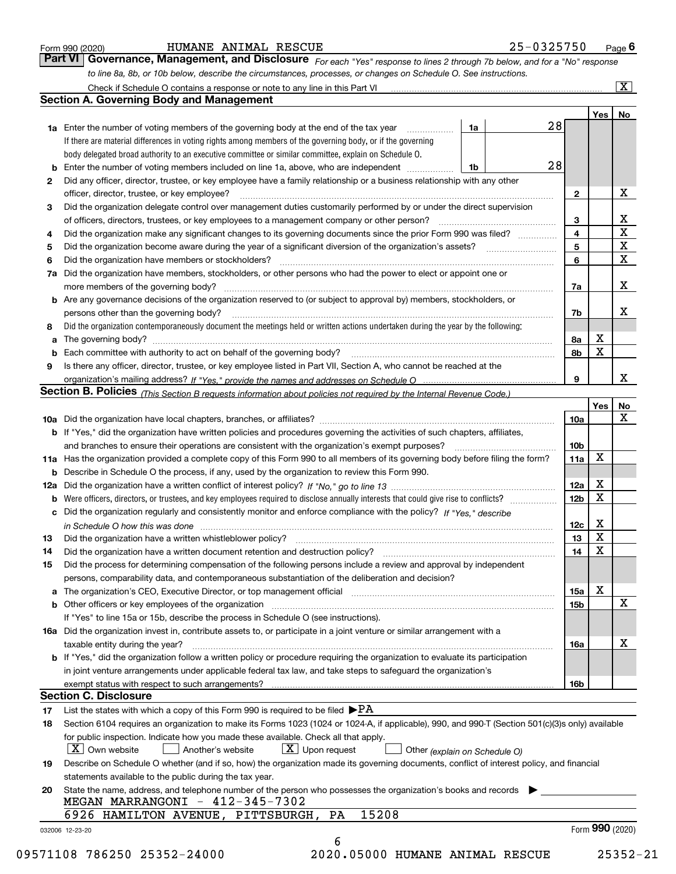|  | Form 990 (2020) |
|--|-----------------|
|  |                 |

### HUMANE ANIMAL RESCUE 25-0325750

*For each "Yes" response to lines 2 through 7b below, and for a "No" response to line 8a, 8b, or 10b below, describe the circumstances, processes, or changes on Schedule O. See instructions.* Form 990 (2020) **Form 990 (2020)** HUMANE ANIMAL RESCUE 25-0325750 Page 6<br>**Part VI Governance, Management, and Disclosure** For each "Yes" response to lines 2 through 7b below, and for a "No" response

|     |                                                                                                                                                                            |                         | Yes         | No                      |
|-----|----------------------------------------------------------------------------------------------------------------------------------------------------------------------------|-------------------------|-------------|-------------------------|
|     | 28<br>1a<br>1a Enter the number of voting members of the governing body at the end of the tax year                                                                         |                         |             |                         |
|     | If there are material differences in voting rights among members of the governing body, or if the governing                                                                |                         |             |                         |
|     | body delegated broad authority to an executive committee or similar committee, explain on Schedule O.                                                                      |                         |             |                         |
|     | 28<br><b>b</b> Enter the number of voting members included on line 1a, above, who are independent <i>manumum</i> .<br>1b                                                   |                         |             |                         |
| 2   | Did any officer, director, trustee, or key employee have a family relationship or a business relationship with any other                                                   |                         |             |                         |
|     | officer, director, trustee, or key employee?                                                                                                                               | $\mathbf{2}$            |             | х                       |
| 3   | Did the organization delegate control over management duties customarily performed by or under the direct supervision                                                      |                         |             |                         |
|     |                                                                                                                                                                            | 3                       |             | х                       |
| 4   | Did the organization make any significant changes to its governing documents since the prior Form 990 was filed?                                                           | $\overline{\mathbf{4}}$ |             | $\overline{\mathtt{x}}$ |
| 5   |                                                                                                                                                                            | 5                       |             | $\overline{\textbf{x}}$ |
| 6   | Did the organization have members or stockholders?                                                                                                                         | 6                       |             | $\overline{\textbf{x}}$ |
| 7a  | Did the organization have members, stockholders, or other persons who had the power to elect or appoint one or                                                             |                         |             |                         |
|     |                                                                                                                                                                            | 7a                      |             | х                       |
|     | <b>b</b> Are any governance decisions of the organization reserved to (or subject to approval by) members, stockholders, or                                                |                         |             |                         |
|     | persons other than the governing body?                                                                                                                                     | 7b                      |             | х                       |
| 8   | Did the organization contemporaneously document the meetings held or written actions undertaken during the year by the following:                                          |                         |             |                         |
| a   |                                                                                                                                                                            | 8а                      | X           |                         |
|     |                                                                                                                                                                            | 8b                      | X           |                         |
| 9   | Is there any officer, director, trustee, or key employee listed in Part VII, Section A, who cannot be reached at the                                                       |                         |             |                         |
|     |                                                                                                                                                                            | 9                       |             | x                       |
|     | Section B. Policies (This Section B requests information about policies not required by the Internal Revenue Code.)                                                        |                         |             |                         |
|     |                                                                                                                                                                            |                         | Yes         | No                      |
|     |                                                                                                                                                                            | 10a                     |             | X                       |
|     | <b>b</b> If "Yes," did the organization have written policies and procedures governing the activities of such chapters, affiliates,                                        |                         |             |                         |
|     |                                                                                                                                                                            | 10b                     |             |                         |
|     | 11a Has the organization provided a complete copy of this Form 990 to all members of its governing body before filing the form?                                            | 11a                     | X           |                         |
|     | <b>b</b> Describe in Schedule O the process, if any, used by the organization to review this Form 990.                                                                     |                         |             |                         |
| 12a |                                                                                                                                                                            | <b>12a</b>              | X           |                         |
| b   |                                                                                                                                                                            | 12 <sub>b</sub>         | $\mathbf X$ |                         |
|     | c Did the organization regularly and consistently monitor and enforce compliance with the policy? If "Yes," describe                                                       |                         |             |                         |
|     | in Schedule O how this was done measured and the control of the control of the state of the control of the cont                                                            | 12c                     | Х           |                         |
| 13  |                                                                                                                                                                            | 13                      | X           |                         |
| 14  | Did the organization have a written document retention and destruction policy? manufactured and the organization have a written document retention and destruction policy? | 14                      | X           |                         |
| 15  | Did the process for determining compensation of the following persons include a review and approval by independent                                                         |                         |             |                         |
|     | persons, comparability data, and contemporaneous substantiation of the deliberation and decision?                                                                          |                         |             |                         |
|     |                                                                                                                                                                            | 15a                     | х           |                         |
|     | <b>b</b> Other officers or key employees of the organization                                                                                                               | 15b                     |             | X                       |
|     | If "Yes" to line 15a or 15b, describe the process in Schedule O (see instructions).                                                                                        |                         |             |                         |
|     | 16a Did the organization invest in, contribute assets to, or participate in a joint venture or similar arrangement with a                                                  |                         |             |                         |
|     | taxable entity during the year?                                                                                                                                            | 16a                     |             | х                       |
|     | b If "Yes," did the organization follow a written policy or procedure requiring the organization to evaluate its participation                                             |                         |             |                         |
|     | in joint venture arrangements under applicable federal tax law, and take steps to safequard the organization's                                                             |                         |             |                         |
|     | exempt status with respect to such arrangements?                                                                                                                           | 16b                     |             |                         |
|     | <b>Section C. Disclosure</b>                                                                                                                                               |                         |             |                         |
| 17  | List the states with which a copy of this Form 990 is required to be filed $\blacktriangleright$ PA                                                                        |                         |             |                         |
| 18  | Section 6104 requires an organization to make its Forms 1023 (1024 or 1024-A, if applicable), 990, and 990-T (Section 501(c)(3)s only) available                           |                         |             |                         |
|     | for public inspection. Indicate how you made these available. Check all that apply.                                                                                        |                         |             |                         |
|     | $\boxed{\text{X}}$ Own website<br>$\boxed{\textbf{X}}$ Upon request<br>Another's website<br>Other (explain on Schedule O)                                                  |                         |             |                         |
| 19  | Describe on Schedule O whether (and if so, how) the organization made its governing documents, conflict of interest policy, and financial                                  |                         |             |                         |
|     | statements available to the public during the tax year.                                                                                                                    |                         |             |                         |
| 20  | State the name, address, and telephone number of the person who possesses the organization's books and records                                                             |                         |             |                         |
|     | MEGAN MARRANGONI - 412-345-7302                                                                                                                                            |                         |             |                         |
|     | 15208<br>6926 HAMILTON AVENUE, PITTSBURGH, PA                                                                                                                              |                         |             |                         |
|     |                                                                                                                                                                            |                         |             |                         |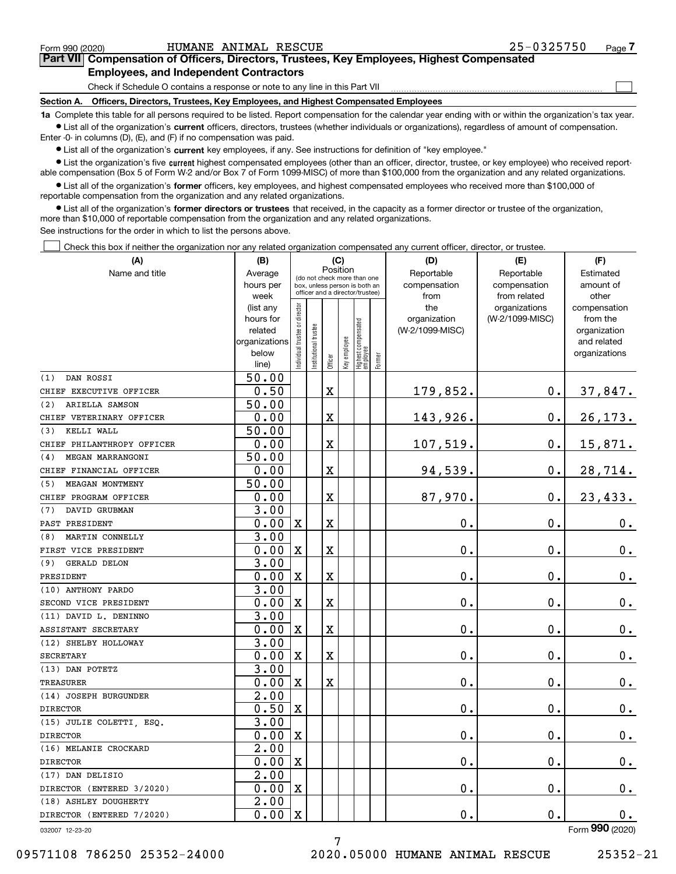$\mathcal{L}^{\text{max}}$ 

# **7Part VII Compensation of Officers, Directors, Trustees, Key Employees, Highest Compensated Employees, and Independent Contractors**

Check if Schedule O contains a response or note to any line in this Part VII

**Section A. Officers, Directors, Trustees, Key Employees, and Highest Compensated Employees**

**1a**  Complete this table for all persons required to be listed. Report compensation for the calendar year ending with or within the organization's tax year. **•** List all of the organization's current officers, directors, trustees (whether individuals or organizations), regardless of amount of compensation.

Enter -0- in columns (D), (E), and (F) if no compensation was paid.

 $\bullet$  List all of the organization's  $\,$ current key employees, if any. See instructions for definition of "key employee."

**•** List the organization's five current highest compensated employees (other than an officer, director, trustee, or key employee) who received reportable compensation (Box 5 of Form W-2 and/or Box 7 of Form 1099-MISC) of more than \$100,000 from the organization and any related organizations.

**•** List all of the organization's former officers, key employees, and highest compensated employees who received more than \$100,000 of reportable compensation from the organization and any related organizations.

**former directors or trustees**  ¥ List all of the organization's that received, in the capacity as a former director or trustee of the organization, more than \$10,000 of reportable compensation from the organization and any related organizations.

See instructions for the order in which to list the persons above.

Check this box if neither the organization nor any related organization compensated any current officer, director, or trustee.  $\mathcal{L}^{\text{max}}$ 

| (A)                                       | (B)                       | (C)                           |                                                                  |         |              |                                 | (D)       | (E)                | (F)                |                              |
|-------------------------------------------|---------------------------|-------------------------------|------------------------------------------------------------------|---------|--------------|---------------------------------|-----------|--------------------|--------------------|------------------------------|
| Name and title                            | Average                   |                               | Position<br>(do not check more than one                          |         | Reportable   | Reportable                      | Estimated |                    |                    |                              |
|                                           | hours per                 |                               | box, unless person is both an<br>officer and a director/trustee) |         | compensation | compensation                    | amount of |                    |                    |                              |
|                                           | week                      |                               |                                                                  |         |              |                                 |           | from               | from related       | other                        |
|                                           | (list any                 |                               |                                                                  |         |              |                                 |           | the                | organizations      | compensation                 |
|                                           | hours for                 |                               |                                                                  |         |              |                                 |           | organization       | (W-2/1099-MISC)    | from the                     |
|                                           | related                   |                               |                                                                  |         |              |                                 |           | (W-2/1099-MISC)    |                    | organization                 |
|                                           | organizations<br>below    |                               |                                                                  |         |              |                                 |           |                    |                    | and related<br>organizations |
|                                           | line)                     | ndividual trustee or director | Institutional trustee                                            | Officer | Key employee | Highest compensated<br>employee | Former    |                    |                    |                              |
| DAN ROSSI<br>(1)                          | 50.00                     |                               |                                                                  |         |              |                                 |           |                    |                    |                              |
| CHIEF EXECUTIVE OFFICER                   | 0.50                      |                               |                                                                  | X       |              |                                 |           | 179,852.           | $\mathbf 0$ .      | <u>37,847.</u>               |
| ARIELLA SAMSON<br>(2)                     | 50.00                     |                               |                                                                  |         |              |                                 |           |                    |                    |                              |
| CHIEF VETERINARY OFFICER                  | 0.00                      |                               |                                                                  | X       |              |                                 |           | 143,926.           | $\mathbf 0$ .      | 26, 173.                     |
| KELLI WALL<br>(3)                         | 50.00                     |                               |                                                                  |         |              |                                 |           |                    |                    |                              |
| CHIEF PHILANTHROPY OFFICER                | 0.00                      |                               |                                                                  | X       |              |                                 |           | 107,519.           | $\mathbf 0$ .      | 15,871.                      |
| MEGAN MARRANGONI<br>(4)                   | 50.00                     |                               |                                                                  |         |              |                                 |           |                    |                    |                              |
| CHIEF FINANCIAL OFFICER                   | 0.00                      |                               |                                                                  | X       |              |                                 |           | 94,539.            | $\mathbf 0$ .      | 28,714.                      |
| MEAGAN MONTMENY<br>(5)                    | 50.00                     |                               |                                                                  |         |              |                                 |           |                    |                    |                              |
| CHIEF PROGRAM OFFICER                     | 0.00                      |                               |                                                                  | X       |              |                                 |           | 87,970.            | 0.                 | 23,433.                      |
| DAVID GRUBMAN<br>(7)                      | 3.00                      |                               |                                                                  |         |              |                                 |           |                    |                    |                              |
| PAST PRESIDENT                            | 0.00                      | X                             |                                                                  | X       |              |                                 |           | 0.                 | 0.                 | 0.                           |
| MARTIN CONNELLY<br>(8)                    | 3.00                      |                               |                                                                  |         |              |                                 |           |                    |                    |                              |
| FIRST VICE PRESIDENT                      | 0.00                      | X                             |                                                                  | X       |              |                                 |           | 0.                 | 0.                 | $0_{.}$                      |
| (9)<br><b>GERALD DELON</b>                | 3.00                      |                               |                                                                  |         |              |                                 |           |                    |                    |                              |
| PRESIDENT                                 | 0.00                      | X                             |                                                                  | X       |              |                                 |           | 0.                 | 0.                 | $0_{.}$                      |
| (10) ANTHONY PARDO                        | 3.00                      |                               |                                                                  |         |              |                                 |           |                    |                    |                              |
| SECOND VICE PRESIDENT                     | 0.00                      | X                             |                                                                  | X       |              |                                 |           | 0.                 | 0.                 | $0_{.}$                      |
| (11) DAVID L. DENINNO                     | 3.00                      |                               |                                                                  |         |              |                                 |           |                    |                    |                              |
| ASSISTANT SECRETARY                       | 0.00                      | X                             |                                                                  | X       |              |                                 |           | 0.                 | 0.                 | $0_{.}$                      |
| (12) SHELBY HOLLOWAY                      | 3.00                      |                               |                                                                  |         |              |                                 |           |                    |                    |                              |
| <b>SECRETARY</b>                          | 0.00                      | X                             |                                                                  | X       |              |                                 |           | 0.                 | 0.                 | $0_{.}$                      |
| (13) DAN POTETZ                           | 3.00                      |                               |                                                                  |         |              |                                 |           |                    |                    |                              |
| <b>TREASURER</b><br>(14) JOSEPH BURGUNDER | 0.00<br>$\overline{2.00}$ | X                             |                                                                  | X       |              |                                 |           | 0.                 | 0.                 | 0.                           |
| <b>DIRECTOR</b>                           | 0.50                      | X                             |                                                                  |         |              |                                 |           | 0.                 | 0.                 | 0.                           |
| (15) JULIE COLETTI, ESQ.                  | 3.00                      |                               |                                                                  |         |              |                                 |           |                    |                    |                              |
| <b>DIRECTOR</b>                           | 0.00                      | $\mathbf X$                   |                                                                  |         |              |                                 |           | 0.                 | 0.                 | 0.                           |
| (16) MELANIE CROCKARD                     | $\overline{2.00}$         |                               |                                                                  |         |              |                                 |           |                    |                    |                              |
| <b>DIRECTOR</b>                           | $0.00 \,   X$             |                               |                                                                  |         |              |                                 |           | $\mathbf 0$ .      | $\boldsymbol{0}$ . | $0_{\cdot}$                  |
| (17) DAN DELISIO                          | 2.00                      |                               |                                                                  |         |              |                                 |           |                    |                    |                              |
| DIRECTOR (ENTERED 3/2020)                 | $0.00 \,   X$             |                               |                                                                  |         |              |                                 |           | $\boldsymbol{0}$ . | $\mathbf 0$ .      | $0$ .                        |
| (18) ASHLEY DOUGHERTY                     | 2.00                      |                               |                                                                  |         |              |                                 |           |                    |                    |                              |
| DIRECTOR (ENTERED 7/2020)                 | 0.00                      | $\mathbf{X}$                  |                                                                  |         |              |                                 |           | $\mathbf 0$ .      | $\mathbf 0$ .      | $0$ .                        |
| 032007 12-23-20                           |                           |                               |                                                                  |         |              |                                 |           |                    |                    | Form 990 (2020)              |

7

032007 12-23-20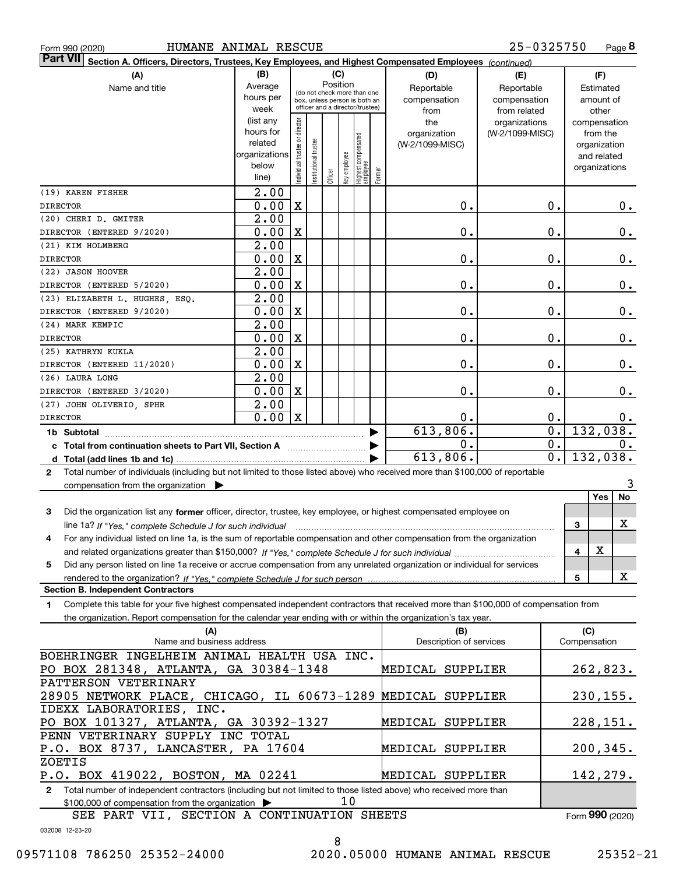|  | Form 990 (2020 |
|--|----------------|
|  |                |

| HUMANE ANIMAL RESCUE<br>25-0325750<br>Page 8<br>Form 990 (2020)                                                                                                                                                                                              |                          |                                |                                                              |          |              |                                           |  |                         |                 |                  |               |                  |
|--------------------------------------------------------------------------------------------------------------------------------------------------------------------------------------------------------------------------------------------------------------|--------------------------|--------------------------------|--------------------------------------------------------------|----------|--------------|-------------------------------------------|--|-------------------------|-----------------|------------------|---------------|------------------|
| Part VII <br>Section A. Officers, Directors, Trustees, Key Employees, and Highest Compensated Employees (continued)                                                                                                                                          |                          |                                |                                                              |          |              |                                           |  |                         |                 |                  |               |                  |
| (A)                                                                                                                                                                                                                                                          | (B)<br>(C)<br>(D)<br>(E) |                                |                                                              |          |              |                                           |  |                         |                 |                  |               | (F)              |
| Name and title                                                                                                                                                                                                                                               | Average                  |                                |                                                              | Position |              |                                           |  | Reportable              | Reportable      |                  | Estimated     |                  |
|                                                                                                                                                                                                                                                              | hours per                |                                | (do not check more than one<br>box, unless person is both an |          |              |                                           |  | compensation            | compensation    |                  |               | amount of        |
|                                                                                                                                                                                                                                                              | week                     |                                |                                                              |          |              | officer and a director/trustee)           |  | from                    | from related    |                  | other         |                  |
|                                                                                                                                                                                                                                                              | (list any                |                                |                                                              |          |              |                                           |  | the                     | organizations   |                  | compensation  |                  |
|                                                                                                                                                                                                                                                              | hours for                |                                |                                                              |          |              |                                           |  | organization            | (W-2/1099-MISC) |                  | from the      |                  |
|                                                                                                                                                                                                                                                              | related<br>organizations |                                |                                                              |          |              |                                           |  | (W-2/1099-MISC)         |                 |                  |               | organization     |
|                                                                                                                                                                                                                                                              | below                    |                                |                                                              |          |              |                                           |  |                         |                 |                  | and related   |                  |
|                                                                                                                                                                                                                                                              | line)                    | Individual trustee or director | Institutional trustee                                        | Officer  | Key employee | Highest compensated<br>employee<br>Former |  |                         |                 |                  | organizations |                  |
| (19) KAREN FISHER                                                                                                                                                                                                                                            | 2.00                     |                                |                                                              |          |              |                                           |  |                         |                 |                  |               |                  |
| <b>DIRECTOR</b>                                                                                                                                                                                                                                              | 0.00                     | $\mathbf X$                    |                                                              |          |              |                                           |  | 0.                      |                 | $0$ .            |               | 0.               |
| (20) CHERI D. GMITER                                                                                                                                                                                                                                         | 2.00                     |                                |                                                              |          |              |                                           |  |                         |                 |                  |               |                  |
| DIRECTOR (ENTERED 9/2020)                                                                                                                                                                                                                                    | 0.00                     | X                              |                                                              |          |              |                                           |  | 0.                      |                 | 0.               |               | 0.               |
| (21) KIM HOLMBERG                                                                                                                                                                                                                                            | 2.00                     |                                |                                                              |          |              |                                           |  |                         |                 |                  |               |                  |
| <b>DIRECTOR</b>                                                                                                                                                                                                                                              | 0.00                     | $\mathbf X$                    |                                                              |          |              |                                           |  | 0.                      |                 | 0.               |               | 0.               |
| (22) JASON HOOVER                                                                                                                                                                                                                                            | $\overline{2}$ .00       |                                |                                                              |          |              |                                           |  |                         |                 |                  |               |                  |
| DIRECTOR (ENTERED 5/2020)                                                                                                                                                                                                                                    | 0.00                     | $\mathbf X$                    |                                                              |          |              |                                           |  | 0.                      |                 | 0.               |               | 0.               |
| (23) ELIZABETH L. HUGHES, ESQ.                                                                                                                                                                                                                               | 2.00                     |                                |                                                              |          |              |                                           |  |                         |                 |                  |               |                  |
| DIRECTOR (ENTERED 9/2020)                                                                                                                                                                                                                                    | 0.00                     | X                              |                                                              |          |              |                                           |  | 0.                      |                 | $0$ .            |               | 0.               |
| (24) MARK KEMPIC                                                                                                                                                                                                                                             | $\overline{2}$ .00       |                                |                                                              |          |              |                                           |  |                         |                 |                  |               |                  |
| <b>DIRECTOR</b>                                                                                                                                                                                                                                              | 0.00                     | X                              |                                                              |          |              |                                           |  | 0.                      |                 | $0$ .            |               | 0.               |
| (25) KATHRYN KUKLA                                                                                                                                                                                                                                           | 2.00                     |                                |                                                              |          |              |                                           |  |                         |                 |                  |               |                  |
| DIRECTOR (ENTERED 11/2020)                                                                                                                                                                                                                                   | 0.00                     | X                              |                                                              |          |              |                                           |  | 0.                      |                 | $0$ .            |               | 0.               |
| (26) LAURA LONG                                                                                                                                                                                                                                              | 2.00                     |                                |                                                              |          |              |                                           |  |                         |                 |                  |               |                  |
| DIRECTOR (ENTERED 3/2020)                                                                                                                                                                                                                                    | 0.00                     | X                              |                                                              |          |              |                                           |  | 0.                      |                 | 0.               |               | $0$ .            |
| (27) JOHN OLIVERIO, SPHR                                                                                                                                                                                                                                     | 2.00                     |                                |                                                              |          |              |                                           |  |                         |                 |                  |               |                  |
| <b>DIRECTOR</b>                                                                                                                                                                                                                                              | $0.00 \,   X$            |                                |                                                              |          |              |                                           |  | Ο.                      |                 | 0.               |               | 0.               |
|                                                                                                                                                                                                                                                              |                          |                                |                                                              |          |              |                                           |  | 613,806.                |                 | $\overline{0}$ . |               | 132,038.         |
|                                                                                                                                                                                                                                                              |                          |                                |                                                              |          |              |                                           |  | 0.                      |                 | 0.               |               | 0.               |
|                                                                                                                                                                                                                                                              |                          |                                |                                                              |          |              |                                           |  | 613,806.                |                 | $\overline{0}$ . |               | 132,038.         |
| Total number of individuals (including but not limited to those listed above) who received more than \$100,000 of reportable<br>$\mathbf{2}$                                                                                                                 |                          |                                |                                                              |          |              |                                           |  |                         |                 |                  |               |                  |
| compensation from the organization $\blacktriangleright$                                                                                                                                                                                                     |                          |                                |                                                              |          |              |                                           |  |                         |                 |                  |               |                  |
|                                                                                                                                                                                                                                                              |                          |                                |                                                              |          |              |                                           |  |                         |                 |                  |               | <b>Yes</b><br>No |
| 3<br>Did the organization list any former officer, director, trustee, key employee, or highest compensated employee on                                                                                                                                       |                          |                                |                                                              |          |              |                                           |  |                         |                 |                  |               |                  |
| line 1a? If "Yes," complete Schedule J for such individual manufactured contained and the 1a? If "Yes," complete Schedule J for such individual                                                                                                              |                          |                                |                                                              |          |              |                                           |  |                         |                 |                  | 3             | x                |
| For any individual listed on line 1a, is the sum of reportable compensation and other compensation from the organization                                                                                                                                     |                          |                                |                                                              |          |              |                                           |  |                         |                 |                  |               |                  |
|                                                                                                                                                                                                                                                              |                          |                                |                                                              |          |              |                                           |  |                         |                 |                  | х<br>4        |                  |
| Did any person listed on line 1a receive or accrue compensation from any unrelated organization or individual for services<br>5                                                                                                                              |                          |                                |                                                              |          |              |                                           |  |                         |                 |                  |               |                  |
|                                                                                                                                                                                                                                                              |                          |                                |                                                              |          |              |                                           |  |                         |                 |                  | 5             | x                |
| <b>Section B. Independent Contractors</b>                                                                                                                                                                                                                    |                          |                                |                                                              |          |              |                                           |  |                         |                 |                  |               |                  |
| Complete this table for your five highest compensated independent contractors that received more than \$100,000 of compensation from<br>1.<br>the organization. Report compensation for the calendar year ending with or within the organization's tax year. |                          |                                |                                                              |          |              |                                           |  |                         |                 |                  |               |                  |
| (A)                                                                                                                                                                                                                                                          |                          |                                |                                                              |          |              |                                           |  | (B)                     |                 |                  | (C)           |                  |
| Name and business address                                                                                                                                                                                                                                    |                          |                                |                                                              |          |              |                                           |  | Description of services |                 |                  | Compensation  |                  |
| BOEHRINGER INGELHEIM ANIMAL HEALTH USA INC.<br>PO BOX 281348, ATLANTA, GA 30384-1348                                                                                                                                                                         |                          |                                |                                                              |          |              |                                           |  |                         |                 |                  |               |                  |
|                                                                                                                                                                                                                                                              |                          |                                |                                                              |          |              |                                           |  | MEDICAL SUPPLIER        |                 |                  |               | 262,823.         |
|                                                                                                                                                                                                                                                              |                          |                                |                                                              |          |              |                                           |  |                         |                 |                  |               |                  |
| PATTERSON VETERINARY<br>28905 NETWORK PLACE, CHICAGO, IL 60673-1289 MEDICAL SUPPLIER                                                                                                                                                                         |                          |                                |                                                              |          |              |                                           |  |                         |                 |                  |               | 230,155.         |

**2**Total number of independent contractors (including but not limited to those listed above) who received more than \$100,000 of compensation from the organization  $\blacktriangleright$ PO BOX 101327, ATLANTA, GA 30392-1327 P.O. BOX 8737, LANCASTER, PA 17604 P.O. BOX 419022, BOSTON, MA 02241 10 PENN VETERINARY SUPPLY INC TOTAL ZOETIS MEDICAL SUPPLIER MEDICAL SUPPLIER MEDICAL SUPPLIER 228,151. 200,345. 142,279.

032008 12-23-20 SEE PART VII, SECTION A CONTINUATION SHEETS

IDEXX LABORATORIES, INC.

<sup>8</sup>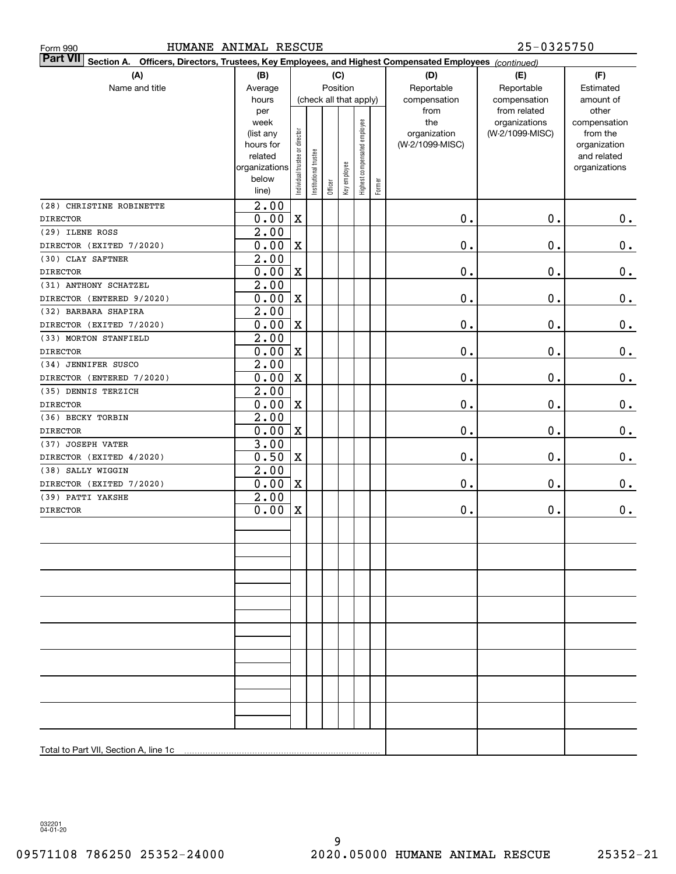| HUMANE ANIMAL RESCUE<br>Form 990                                                                                          |                          |                                    |                       |         |              |                     |           |                      | 25-0325750                   |                              |
|---------------------------------------------------------------------------------------------------------------------------|--------------------------|------------------------------------|-----------------------|---------|--------------|---------------------|-----------|----------------------|------------------------------|------------------------------|
| <b>Part VII</b><br>Section A. Officers, Directors, Trustees, Key Employees, and Highest Compensated Employees (continued) |                          |                                    |                       |         |              |                     |           |                      |                              |                              |
| (A)                                                                                                                       | (B)                      |                                    |                       |         | (C)          |                     |           | (D)                  | (E)                          | (F)                          |
| Name and title                                                                                                            | Average                  | Position<br>(check all that apply) |                       |         | Reportable   | Reportable          | Estimated |                      |                              |                              |
|                                                                                                                           | hours<br>per             |                                    |                       |         |              |                     |           | compensation<br>from | compensation<br>from related | amount of<br>other           |
|                                                                                                                           | week                     |                                    |                       |         |              |                     |           | the                  | organizations                | compensation                 |
|                                                                                                                           | (list any                |                                    |                       |         |              | employee            |           | organization         | (W-2/1099-MISC)              | from the                     |
|                                                                                                                           | hours for                |                                    |                       |         |              |                     |           | (W-2/1099-MISC)      |                              | organization                 |
|                                                                                                                           | related<br>organizations | Individual trustee or director     | Institutional trustee |         |              | Highest compensated |           |                      |                              | and related<br>organizations |
|                                                                                                                           | below                    |                                    |                       |         | Key employee |                     |           |                      |                              |                              |
|                                                                                                                           | line)                    |                                    |                       | Officer |              |                     | Former    |                      |                              |                              |
| (28) CHRISTINE ROBINETTE                                                                                                  | 2.00                     |                                    |                       |         |              |                     |           |                      |                              |                              |
| <b>DIRECTOR</b>                                                                                                           | 0.00                     | $\mathbf X$                        |                       |         |              |                     |           | $\mathbf 0$ .        | $\mathbf 0$ .                | 0.                           |
| (29) ILENE ROSS                                                                                                           | 2.00                     |                                    |                       |         |              |                     |           |                      |                              |                              |
| DIRECTOR (EXITED 7/2020)                                                                                                  | 0.00                     | $\mathbf X$                        |                       |         |              |                     |           | $\mathbf 0$ .        | $\mathbf 0$ .                | $\mathbf 0$ .                |
| (30) CLAY SAFTNER                                                                                                         | 2.00                     |                                    |                       |         |              |                     |           |                      |                              |                              |
| <b>DIRECTOR</b>                                                                                                           | 0.00                     | $\mathbf X$                        |                       |         |              |                     |           | $\mathbf 0$ .        | 0.                           | $\mathbf 0$ .                |
| (31) ANTHONY SCHATZEL                                                                                                     | 2.00                     |                                    |                       |         |              |                     |           |                      |                              |                              |
| DIRECTOR (ENTERED 9/2020)                                                                                                 | 0.00                     | $\mathbf X$                        |                       |         |              |                     |           | $\mathbf 0$ .        | 0.                           | $\mathbf 0$ .                |
| (32) BARBARA SHAPIRA                                                                                                      | 2.00<br>0.00             | $\mathbf X$                        |                       |         |              |                     |           | $\mathbf 0$ .        | $\mathbf 0$ .                |                              |
| DIRECTOR (EXITED 7/2020)<br>(33) MORTON STANFIELD                                                                         | 2.00                     |                                    |                       |         |              |                     |           |                      |                              | $\mathbf 0$ .                |
| <b>DIRECTOR</b>                                                                                                           | 0.00                     | $\mathbf X$                        |                       |         |              |                     |           | $\mathbf 0$ .        | $\mathbf 0$ .                | $\mathbf 0$ .                |
| (34) JENNIFER SUSCO                                                                                                       | 2.00                     |                                    |                       |         |              |                     |           |                      |                              |                              |
| DIRECTOR (ENTERED 7/2020)                                                                                                 | 0.00                     | $\mathbf X$                        |                       |         |              |                     |           | $\mathbf 0$ .        | $\mathbf 0$ .                | $\mathbf 0$ .                |
| (35) DENNIS TERZICH                                                                                                       | 2.00                     |                                    |                       |         |              |                     |           |                      |                              |                              |
| <b>DIRECTOR</b>                                                                                                           | 0.00                     | $\mathbf X$                        |                       |         |              |                     |           | $\mathbf 0$ .        | 0.                           | $\mathbf 0$ .                |
| (36) BECKY TORBIN                                                                                                         | 2.00                     |                                    |                       |         |              |                     |           |                      |                              |                              |
| <b>DIRECTOR</b>                                                                                                           | 0.00                     | $\mathbf X$                        |                       |         |              |                     |           | $\mathbf 0$ .        | 0.                           | $\mathbf 0$ .                |
| (37) JOSEPH VATER                                                                                                         | 3.00                     |                                    |                       |         |              |                     |           |                      |                              |                              |
| DIRECTOR (EXITED 4/2020)                                                                                                  | 0.50                     | $\mathbf X$                        |                       |         |              |                     |           | $\mathbf 0$ .        | 0.                           | $\mathbf 0$ .                |
| (38) SALLY WIGGIN                                                                                                         | 2.00                     |                                    |                       |         |              |                     |           |                      |                              |                              |
| DIRECTOR (EXITED 7/2020)<br>(39) PATTI YAKSHE                                                                             | 0.00<br>2.00             | $\mathbf X$                        |                       |         |              |                     |           | $\mathbf 0$ .        | 0.                           | 0.                           |
| <b>DIRECTOR</b>                                                                                                           | 0.00                     | $\mathbf X$                        |                       |         |              |                     |           | $\mathbf 0$ .        | 0.                           | $\mathbf 0$ .                |
|                                                                                                                           |                          |                                    |                       |         |              |                     |           |                      |                              |                              |
|                                                                                                                           |                          |                                    |                       |         |              |                     |           |                      |                              |                              |
|                                                                                                                           |                          |                                    |                       |         |              |                     |           |                      |                              |                              |
|                                                                                                                           |                          |                                    |                       |         |              |                     |           |                      |                              |                              |
|                                                                                                                           |                          |                                    |                       |         |              |                     |           |                      |                              |                              |
|                                                                                                                           |                          |                                    |                       |         |              |                     |           |                      |                              |                              |
|                                                                                                                           |                          |                                    |                       |         |              |                     |           |                      |                              |                              |
|                                                                                                                           |                          |                                    |                       |         |              |                     |           |                      |                              |                              |
|                                                                                                                           |                          |                                    |                       |         |              |                     |           |                      |                              |                              |
|                                                                                                                           |                          |                                    |                       |         |              |                     |           |                      |                              |                              |
|                                                                                                                           |                          |                                    |                       |         |              |                     |           |                      |                              |                              |
|                                                                                                                           |                          |                                    |                       |         |              |                     |           |                      |                              |                              |
|                                                                                                                           |                          |                                    |                       |         |              |                     |           |                      |                              |                              |
|                                                                                                                           |                          |                                    |                       |         |              |                     |           |                      |                              |                              |
|                                                                                                                           |                          |                                    |                       |         |              |                     |           |                      |                              |                              |
|                                                                                                                           |                          |                                    |                       |         |              |                     |           |                      |                              |                              |
|                                                                                                                           |                          |                                    |                       |         |              |                     |           |                      |                              |                              |

032201 04-01-20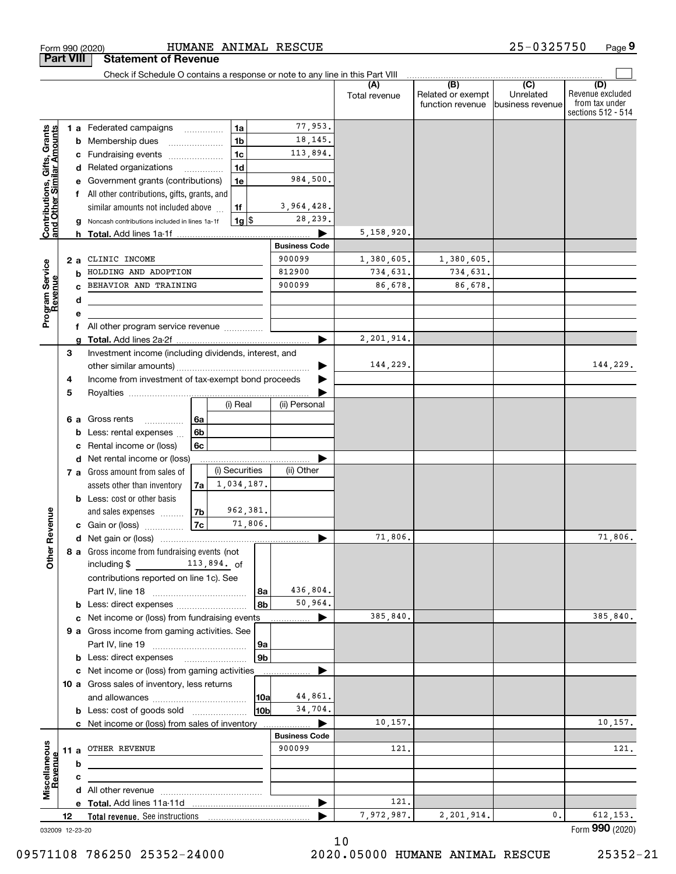|                                                           |                 | Check if Schedule O contains a response or note to any line in this Part VIII |                |                    |                |                      |               |                                              |                                      |                                                                 |
|-----------------------------------------------------------|-----------------|-------------------------------------------------------------------------------|----------------|--------------------|----------------|----------------------|---------------|----------------------------------------------|--------------------------------------|-----------------------------------------------------------------|
|                                                           |                 |                                                                               |                |                    |                |                      | Total revenue | (B)<br>Related or exempt<br>function revenue | (C)<br>Unrelated<br>business revenue | (D)<br>Revenue excluded<br>from tax under<br>sections 512 - 514 |
|                                                           |                 | <b>1 a</b> Federated campaigns                                                |                | 1a                 |                | 77,953.              |               |                                              |                                      |                                                                 |
| Contributions, Gifts, Grants<br>and Other Similar Amounts |                 | <b>b</b> Membership dues<br>$\ldots \ldots \ldots \ldots \ldots$              |                | 1 <sub>b</sub>     |                | 18, 145.             |               |                                              |                                      |                                                                 |
|                                                           |                 | c Fundraising events                                                          |                | 1c                 |                | 113,894.             |               |                                              |                                      |                                                                 |
|                                                           |                 | d Related organizations                                                       |                | 1 <sub>d</sub>     |                |                      |               |                                              |                                      |                                                                 |
|                                                           |                 | e Government grants (contributions)                                           |                | 1e                 |                | 984,500.             |               |                                              |                                      |                                                                 |
|                                                           |                 | f All other contributions, gifts, grants, and                                 |                |                    |                |                      |               |                                              |                                      |                                                                 |
|                                                           |                 | similar amounts not included above                                            |                | 1f                 |                | 3,964,428.           |               |                                              |                                      |                                                                 |
|                                                           |                 | g Noncash contributions included in lines 1a-1f                               |                | $1g$ $\frac{1}{3}$ |                | 28,239.              |               |                                              |                                      |                                                                 |
|                                                           |                 |                                                                               |                |                    |                |                      | 5,158,920.    |                                              |                                      |                                                                 |
|                                                           |                 |                                                                               |                |                    |                | <b>Business Code</b> |               |                                              |                                      |                                                                 |
|                                                           | 2а              | CLINIC INCOME                                                                 |                |                    |                | 900099               | 1,380,605.    | 1,380,605.                                   |                                      |                                                                 |
|                                                           | b               | HOLDING AND ADOPTION                                                          |                |                    |                | 812900               | 734,631.      | 734,631.                                     |                                      |                                                                 |
|                                                           |                 | BEHAVIOR AND TRAINING                                                         |                |                    |                | 900099               | 86,678.       | 86,678.                                      |                                      |                                                                 |
|                                                           | d               |                                                                               |                |                    |                |                      |               |                                              |                                      |                                                                 |
| Program Service<br>Revenue                                | е               |                                                                               |                |                    |                |                      |               |                                              |                                      |                                                                 |
|                                                           |                 | f All other program service revenue                                           |                |                    |                |                      |               |                                              |                                      |                                                                 |
|                                                           |                 |                                                                               |                |                    |                |                      | 2,201,914.    |                                              |                                      |                                                                 |
|                                                           | З               | Investment income (including dividends, interest, and                         |                |                    |                |                      |               |                                              |                                      |                                                                 |
|                                                           |                 |                                                                               |                |                    |                |                      | 144,229.      |                                              |                                      | 144,229.                                                        |
|                                                           | 4               | Income from investment of tax-exempt bond proceeds                            |                |                    |                |                      |               |                                              |                                      |                                                                 |
|                                                           | 5               |                                                                               |                | (i) Real           |                | (ii) Personal        |               |                                              |                                      |                                                                 |
|                                                           |                 |                                                                               |                |                    |                |                      |               |                                              |                                      |                                                                 |
|                                                           |                 | <b>6 a</b> Gross rents                                                        | ∣6a<br>6b      |                    |                |                      |               |                                              |                                      |                                                                 |
|                                                           |                 | <b>b</b> Less: rental expenses $\ldots$<br>c Rental income or (loss)          | 6с             |                    |                |                      |               |                                              |                                      |                                                                 |
|                                                           |                 | d Net rental income or (loss)                                                 |                |                    |                |                      |               |                                              |                                      |                                                                 |
|                                                           |                 | 7 a Gross amount from sales of                                                |                | (i) Securities     |                | (ii) Other           |               |                                              |                                      |                                                                 |
|                                                           |                 | assets other than inventory                                                   | 7a             | 1,034,187.         |                |                      |               |                                              |                                      |                                                                 |
|                                                           |                 | <b>b</b> Less: cost or other basis                                            |                |                    |                |                      |               |                                              |                                      |                                                                 |
|                                                           |                 | and sales expenses                                                            | 7 <sub>b</sub> | 962,381.           |                |                      |               |                                              |                                      |                                                                 |
|                                                           |                 | <b>c</b> Gain or (loss) $\ldots$                                              | 7c             | 71,806.            |                |                      |               |                                              |                                      |                                                                 |
|                                                           |                 |                                                                               |                |                    |                |                      | 71,806.       |                                              |                                      | 71,806.                                                         |
| ther Revenue                                              |                 | 8 a Gross income from fundraising events (not                                 |                |                    |                |                      |               |                                              |                                      |                                                                 |
|                                                           |                 | including $$$ 113,894. of                                                     |                |                    |                |                      |               |                                              |                                      |                                                                 |
|                                                           |                 | contributions reported on line 1c). See                                       |                |                    |                |                      |               |                                              |                                      |                                                                 |
|                                                           |                 |                                                                               |                |                    | 8a             | 436,804.             |               |                                              |                                      |                                                                 |
|                                                           |                 |                                                                               |                |                    | 8 <sub>b</sub> | 50,964.              |               |                                              |                                      |                                                                 |
|                                                           |                 | c Net income or (loss) from fundraising events                                |                |                    |                |                      | 385,840.      |                                              |                                      | 385,840.                                                        |
|                                                           |                 | 9 a Gross income from gaming activities. See                                  |                |                    |                |                      |               |                                              |                                      |                                                                 |
|                                                           |                 |                                                                               |                |                    | 9a             |                      |               |                                              |                                      |                                                                 |
|                                                           |                 | <b>b</b> Less: direct expenses                                                |                |                    | 9 <sub>b</sub> |                      |               |                                              |                                      |                                                                 |
|                                                           |                 | c Net income or (loss) from gaming activities                                 |                |                    |                |                      |               |                                              |                                      |                                                                 |
|                                                           |                 | 10 a Gross sales of inventory, less returns                                   |                |                    |                |                      |               |                                              |                                      |                                                                 |
|                                                           |                 |                                                                               |                |                    | 10a            | 44,861.              |               |                                              |                                      |                                                                 |
|                                                           |                 | <b>b</b> Less: cost of goods sold                                             |                |                    | 10ь            | 34,704.              |               |                                              |                                      |                                                                 |
|                                                           |                 | c Net income or (loss) from sales of inventory                                |                |                    |                |                      | 10,157.       |                                              |                                      | 10, 157.                                                        |
|                                                           |                 |                                                                               |                |                    |                | <b>Business Code</b> |               |                                              |                                      |                                                                 |
| Miscellaneous                                             |                 | 11 a OTHER REVENUE                                                            |                |                    |                | 900099               | 121.          |                                              |                                      | 121.                                                            |
| Revenue                                                   | b               |                                                                               |                |                    |                |                      |               |                                              |                                      |                                                                 |
|                                                           | c               |                                                                               |                |                    |                |                      |               |                                              |                                      |                                                                 |
|                                                           |                 |                                                                               |                |                    |                |                      |               |                                              |                                      |                                                                 |
|                                                           |                 |                                                                               |                |                    |                | ▶                    | 121.          |                                              |                                      |                                                                 |
|                                                           | 12              |                                                                               |                |                    |                |                      | 7,972,987.    | 2,201,914.                                   | 0.                                   | 612, 153.                                                       |
|                                                           | 032009 12-23-20 |                                                                               |                |                    |                |                      |               |                                              |                                      | Form 990 (2020)                                                 |

032009 12-23-20

### 09571108 786250 25352-24000 2020.05000 HUMANE ANIMAL RESCUE 25352-21

10

**Part VIII Statement of Revenue**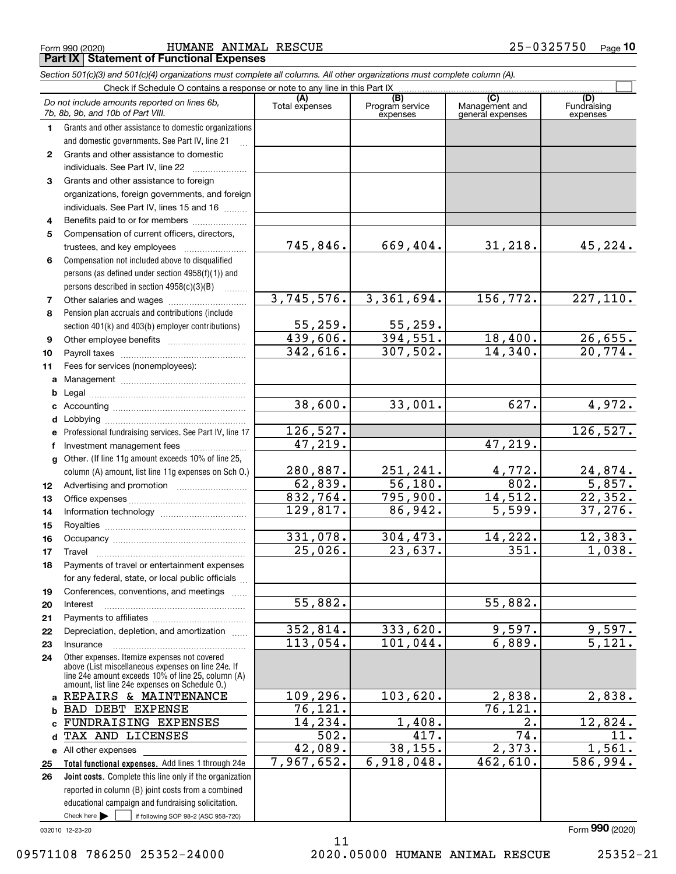Form 990 (2020) HUMANE ANIMAL RESCUE 25−0325750 <sub>Page</sub> **Part IX Statement of Functional Expenses**

|              | Section 501(c)(3) and 501(c)(4) organizations must complete all columns. All other organizations must complete column (A).                                                                                 |                       |                                    |                                           |                                 |
|--------------|------------------------------------------------------------------------------------------------------------------------------------------------------------------------------------------------------------|-----------------------|------------------------------------|-------------------------------------------|---------------------------------|
|              | Check if Schedule O contains a response or note to any line in this Part IX                                                                                                                                |                       |                                    |                                           |                                 |
|              | Do not include amounts reported on lines 6b,<br>7b, 8b, 9b, and 10b of Part VIII.                                                                                                                          | Total expenses        | (B)<br>Program service<br>expenses | (C)<br>Management and<br>general expenses | (D)<br>Fundraising<br>expenses  |
| 1.           | Grants and other assistance to domestic organizations                                                                                                                                                      |                       |                                    |                                           |                                 |
|              | and domestic governments. See Part IV, line 21                                                                                                                                                             |                       |                                    |                                           |                                 |
| $\mathbf{2}$ | Grants and other assistance to domestic                                                                                                                                                                    |                       |                                    |                                           |                                 |
|              | individuals. See Part IV, line 22                                                                                                                                                                          |                       |                                    |                                           |                                 |
| 3            | Grants and other assistance to foreign                                                                                                                                                                     |                       |                                    |                                           |                                 |
|              | organizations, foreign governments, and foreign                                                                                                                                                            |                       |                                    |                                           |                                 |
|              | individuals. See Part IV, lines 15 and 16                                                                                                                                                                  |                       |                                    |                                           |                                 |
| 4            | Benefits paid to or for members                                                                                                                                                                            |                       |                                    |                                           |                                 |
| 5            | Compensation of current officers, directors,                                                                                                                                                               |                       |                                    |                                           |                                 |
|              | trustees, and key employees                                                                                                                                                                                | 745,846.              | 669,404.                           | 31,218.                                   | 45,224.                         |
| 6            | Compensation not included above to disqualified                                                                                                                                                            |                       |                                    |                                           |                                 |
|              | persons (as defined under section 4958(f)(1)) and                                                                                                                                                          |                       |                                    |                                           |                                 |
|              | persons described in section 4958(c)(3)(B)<br>1.1.1.1.1.1.1                                                                                                                                                |                       |                                    |                                           |                                 |
| 7            | Other salaries and wages                                                                                                                                                                                   | 3,745,576.            | 3,361,694.                         | 156,772.                                  | 227,110.                        |
| 8            | Pension plan accruals and contributions (include                                                                                                                                                           |                       |                                    |                                           |                                 |
|              | section 401(k) and 403(b) employer contributions)                                                                                                                                                          | 55,259.<br>439,606.   | $\frac{55,259.}{394,551.}$         |                                           |                                 |
| 9            |                                                                                                                                                                                                            | 342,616.              | 307,502.                           | 18,400.<br>14,340.                        | 26,655.<br>$\overline{20,774.}$ |
| 10           |                                                                                                                                                                                                            |                       |                                    |                                           |                                 |
| 11           | Fees for services (nonemployees):                                                                                                                                                                          |                       |                                    |                                           |                                 |
| a            |                                                                                                                                                                                                            |                       |                                    |                                           |                                 |
| b            |                                                                                                                                                                                                            | 38,600.               | 33,001.                            | 627.                                      | 4,972.                          |
| c            |                                                                                                                                                                                                            |                       |                                    |                                           |                                 |
| d            |                                                                                                                                                                                                            | 126,527.              |                                    |                                           | 126,527.                        |
| е<br>f       | Professional fundraising services. See Part IV, line 17<br>Investment management fees                                                                                                                      | 47,219.               |                                    | 47,219.                                   |                                 |
| g            | Other. (If line 11g amount exceeds 10% of line 25,                                                                                                                                                         |                       |                                    |                                           |                                 |
|              | column (A) amount, list line 11g expenses on Sch O.)                                                                                                                                                       | 280,887.              | 251,241.                           | 4,772.                                    |                                 |
| 12           |                                                                                                                                                                                                            | 62,839.               | 56,180.                            | 802.                                      | $\frac{24,874.}{5,857.}$        |
| 13           |                                                                                                                                                                                                            | 832,764.              | 795,900.                           | 14,512.                                   | 22, 352.                        |
| 14           |                                                                                                                                                                                                            | 129,817.              | 86,942.                            | $\overline{5,599}$ .                      | 37,276.                         |
| 15           |                                                                                                                                                                                                            |                       |                                    |                                           |                                 |
| 16           |                                                                                                                                                                                                            | 331,078.              | 304,473.                           | 14,222.                                   | 12,383.                         |
| 17           |                                                                                                                                                                                                            | 25,026.               | 23,637.                            | 351.                                      | 1,038.                          |
| 18           | Payments of travel or entertainment expenses                                                                                                                                                               |                       |                                    |                                           |                                 |
|              | for any federal, state, or local public officials                                                                                                                                                          |                       |                                    |                                           |                                 |
| 19           | Conferences, conventions, and meetings                                                                                                                                                                     |                       |                                    |                                           |                                 |
| 20           | Interest                                                                                                                                                                                                   | $\overline{55,882}$ . |                                    | 55,882.                                   |                                 |
| 21           |                                                                                                                                                                                                            |                       |                                    |                                           |                                 |
| 22           | Depreciation, depletion, and amortization                                                                                                                                                                  | 352,814.              | 333,620.                           | 9,597.                                    | $\frac{9,597.}{5,121.}$         |
| 23           | Insurance                                                                                                                                                                                                  | 113,054.              | 101,044.                           | 6,889.                                    |                                 |
| 24           | Other expenses. Itemize expenses not covered<br>above (List miscellaneous expenses on line 24e. If<br>line 24e amount exceeds 10% of line 25, column (A)<br>amount, list line 24e expenses on Schedule O.) |                       |                                    |                                           |                                 |
| a            | REPAIRS & MAINTENANCE                                                                                                                                                                                      | 109, 296.             | 103,620.                           | 2,838.                                    | 2,838.                          |
| b            | <b>BAD DEBT EXPENSE</b>                                                                                                                                                                                    | 76, 121.              |                                    | 76, 121.                                  |                                 |
|              | FUNDRAISING EXPENSES                                                                                                                                                                                       | 14,234.               | 1,408.                             | $\overline{2}$ .                          | 12,824.                         |
| d            | TAX AND LICENSES                                                                                                                                                                                           | 502.                  | 417.                               | $\overline{74}$ .                         | 11.                             |
|              | e All other expenses                                                                                                                                                                                       | 42,089.               | 38, 155.                           | 2,373.                                    | 1,561.                          |
| 25           | Total functional expenses. Add lines 1 through 24e                                                                                                                                                         | 7,967,652.            | 6,918,048.                         | 462,610.                                  | $\overline{586,994}$ .          |
| 26           | <b>Joint costs.</b> Complete this line only if the organization                                                                                                                                            |                       |                                    |                                           |                                 |
|              | reported in column (B) joint costs from a combined                                                                                                                                                         |                       |                                    |                                           |                                 |
|              | educational campaign and fundraising solicitation.                                                                                                                                                         |                       |                                    |                                           |                                 |
|              | Check here $\blacktriangleright$<br>if following SOP 98-2 (ASC 958-720)                                                                                                                                    |                       |                                    |                                           |                                 |

032010 12-23-20

09571108 786250 25352-24000 2020.05000 HUMANE ANIMAL RESCUE 25352-21

11

Form (2020) **990**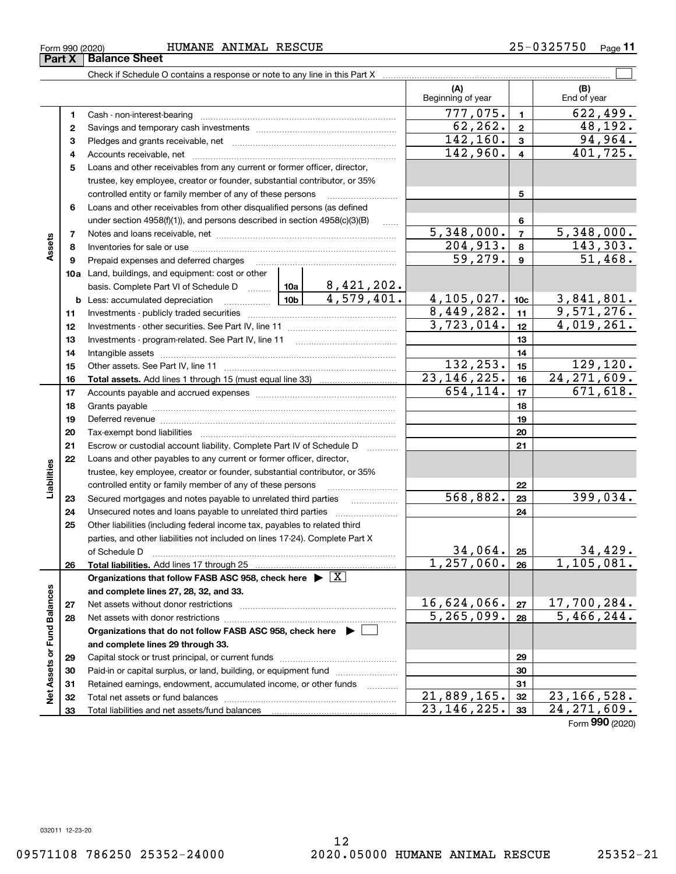**33**

**33**

 $23, 146, 225.$  33  $24, 271, 609.$ 

Form (2020) **990**

Form 990 (2020) HUMANE ANIMAL RESCUE 25−0325750 <sub>Page</sub>

Check if Schedule O contains a response or note to any line in this Part X

 $777,075.$  1 622,499. **11**Cash - non-interest-bearing ~~~~~~~~~~~~~~~~~~~~~~~~~  $62, 262. | z | 48, 192.$ **22**Savings and temporary cash investments ~~~~~~~~~~~~~~~~~~ $142, 160.$  3 94,964. **33** Pledges and grants receivable, net  $\ldots$  **multimes contained and grants receivable**, net **multimes contained and grants receivable**, net **multimes contained and grants receivable**  $142,960. | 4 | 401,725.$ Accounts receivable, net ~~~~~~~~~~~~~~~~~~~~~~~~~~ **44**Loans and other receivables from any current or former officer, director, **5**trustee, key employee, creator or founder, substantial contributor, or 35% controlled entity or family member of any of these persons ............................ **5**Loans and other receivables from other disqualified persons (as defined **6**under section  $4958(f)(1)$ , and persons described in section  $4958(c)(3)(B)$ **6** $5,348,000.$   $7$  5,348,000. **77**Notes and loans receivable, net ~~~~~~~~~~~~~~~~~~~~~~~**Assets**  $204,913. | 8 | 143,303.$ **88**Inventories for sale or use ~~~~~~~~~~~~~~~~~~~~~~~~~~59,279. 51,468. **99**Prepaid expenses and deferred charges ~~~~~~~~~~~~~~~~~~ **10a**Land, buildings, and equipment: cost or other 8,421,202. basis. Complete Part VI of Schedule D will aller  $4,579,401.$   $4,105,027.$   $10c$   $3,841,801.$ **10cb** Less: accumulated depreciation  $\ldots$  **10b**  $8,449,282.$  11 9,571,276. **1111**Investments - publicly traded securities ~~~~~~~~~~~~~~~~~~~  $3,723,014.$   $12$   $4,019,261.$ **1212**Investments - other securities. See Part IV, line 11 ~~~~~~~~~~~~~~ **1313** Investments - program-related. See Part IV, line 11 ~~~~~~~~~~~~~**1414**Intangible assets ~~~~~~~~~~~~~~~~~~~~~~~~~~~~~~ Other assets. See Part IV, line 11 ~~~~~~~~~~~~~~~~~~~~~~  $132, 253.$  15 129, 120. **1515**23, 146, 225. 16 24, 271, 609. **1616Total assets.**  Add lines 1 through 15 (must equal line 33)  $654, 114. |17|$  671, 618. **1717**Accounts payable and accrued expenses ~~~~~~~~~~~~~~~~~~ **1818**Grants payable ~~~~~~~~~~~~~~~~~~~~~~~~~~~~~~~ **1919**Deferred revenue ~~~~~~~~~~~~~~~~~~~~~~~~~~~~~~ **2020**Tax-exempt bond liabilities …………………………………………………………… Escrow or custodial account liability. Complete Part IV of Schedule D **212122**Loans and other payables to any current or former officer, director, iabilities **Liabilities** trustee, key employee, creator or founder, substantial contributor, or 35% controlled entity or family member of any of these persons ~~~~~~~~~**22** $568,882.$   $|23|$  399,034. **23**Secured mortgages and notes payable to unrelated third parties **23**Unsecured notes and loans payable to unrelated third parties ~~~~~~~~ **242425**Other liabilities (including federal income tax, payables to related third parties, and other liabilities not included on lines 17-24). Complete Part X 34,429. **25**of Schedule D ~~~~~~~~~~~~~~~~~~~~~~~~~~~~~~~  $1,257,060.$  26 1,105,081. **2626Total liabilities.**  Add lines 17 through 25 **Organizations that follow FASB ASC 958, check here** | X Assets or Fund Balances **Net Assets or Fund Balances and complete lines 27, 28, 32, and 33.**  $16,624,066$ . | 27 | 17,700,284. **2727**Net assets without donor restrictions  $5,265,099.$  28  $5,466,244.$ **2828**Net assets with donor restrictions ~~~~~~~~~~~~~~~~~~~~~~**Organizations that do not follow FASB ASC 958, check here** | **and complete lines 29 through 33. 2929**Capital stock or trust principal, or current funds ~~~~~~~~~~~~~~~ **3030**Paid-in or capital surplus, or land, building, or equipment fund www.commun.com **3131**Retained earnings, endowment, accumulated income, or other funds www.com ğ Total net assets or fund balances ~~~~~~~~~~~~~~~~~~~~~~  $21,889,165.$   $32 \mid 23,166,528.$ **3232**

25-0325750 Page 11

 $\mathcal{L}^{\text{max}}$ 

**(A) (B)**

Beginning of year | | End of year

**Part X** Balance Sheet

Total liabilities and net assets/fund balances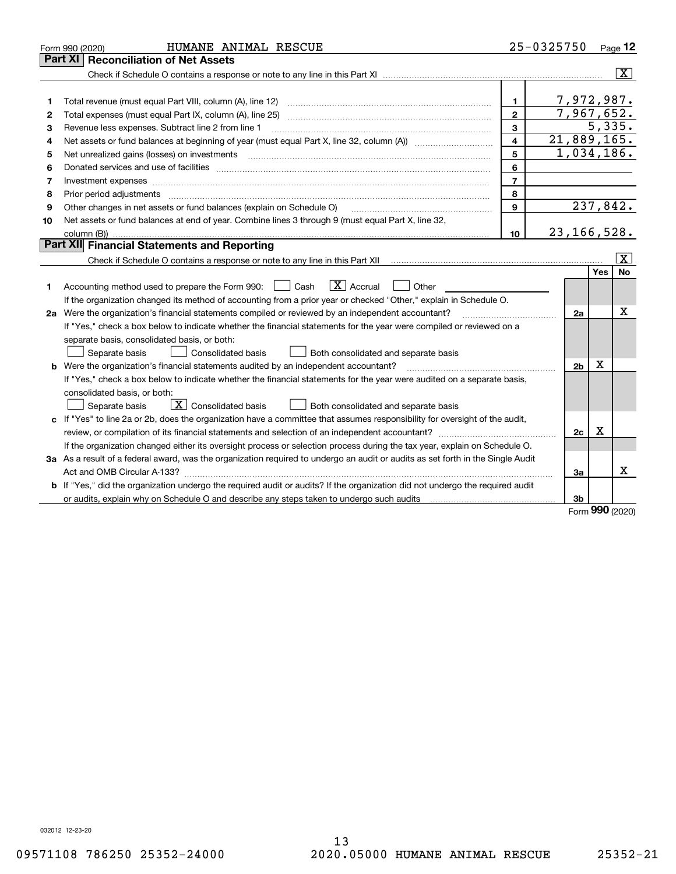|    | HUMANE ANIMAL RESCUE<br>Form 990 (2020)                                                                                                                                                                                                                                                                                                                                                                                                                                    |                         | 25-0325750     |     | Page 12                 |
|----|----------------------------------------------------------------------------------------------------------------------------------------------------------------------------------------------------------------------------------------------------------------------------------------------------------------------------------------------------------------------------------------------------------------------------------------------------------------------------|-------------------------|----------------|-----|-------------------------|
|    | Part XI<br>Reconciliation of Net Assets                                                                                                                                                                                                                                                                                                                                                                                                                                    |                         |                |     |                         |
|    |                                                                                                                                                                                                                                                                                                                                                                                                                                                                            |                         |                |     | $\overline{\mathbf{x}}$ |
|    |                                                                                                                                                                                                                                                                                                                                                                                                                                                                            |                         |                |     |                         |
| 1  |                                                                                                                                                                                                                                                                                                                                                                                                                                                                            | 1                       | 7,972,987.     |     |                         |
| 2  |                                                                                                                                                                                                                                                                                                                                                                                                                                                                            | $\mathbf{2}$            | 7,967,652.     |     |                         |
| з  | Revenue less expenses. Subtract line 2 from line 1                                                                                                                                                                                                                                                                                                                                                                                                                         | 3                       |                |     | 5,335.                  |
| 4  |                                                                                                                                                                                                                                                                                                                                                                                                                                                                            | $\overline{\mathbf{4}}$ | 21,889,165.    |     |                         |
| 5  | Net unrealized gains (losses) on investments<br>$\overline{a_1, \ldots, a_n, \ldots, a_n, \ldots, a_n, \ldots, a_n, \ldots, a_n, \ldots, a_n, \ldots, a_n, \ldots, a_n, \ldots, a_n, \ldots, a_n, \ldots, a_n, \ldots, a_n, \ldots, a_n, \ldots, a_n, \ldots, a_n, \ldots, a_n, \ldots, a_n, \ldots, a_n, \ldots, a_n, \ldots, a_n, \ldots, a_n, \ldots, a_n, \ldots, a_n, \ldots, a_n, \ldots, a_n, \ldots, a_n, \ldots, a_n, \ldots, a_n, \ldots, a_n, \ldots, a_n, \ld$ | 5                       | 1,034,186.     |     |                         |
| 6  |                                                                                                                                                                                                                                                                                                                                                                                                                                                                            | 6                       |                |     |                         |
| 7  |                                                                                                                                                                                                                                                                                                                                                                                                                                                                            | $\overline{7}$          |                |     |                         |
| 8  |                                                                                                                                                                                                                                                                                                                                                                                                                                                                            | 8                       |                |     |                         |
| 9  | Other changes in net assets or fund balances (explain on Schedule O)                                                                                                                                                                                                                                                                                                                                                                                                       | $\mathbf{9}$            |                |     | 237,842.                |
| 10 | Net assets or fund balances at end of year. Combine lines 3 through 9 (must equal Part X, line 32,                                                                                                                                                                                                                                                                                                                                                                         |                         |                |     |                         |
|    |                                                                                                                                                                                                                                                                                                                                                                                                                                                                            | 10 <sup>10</sup>        | 23, 166, 528.  |     |                         |
|    | <b>Part XII</b> Financial Statements and Reporting                                                                                                                                                                                                                                                                                                                                                                                                                         |                         |                |     |                         |
|    |                                                                                                                                                                                                                                                                                                                                                                                                                                                                            |                         |                |     | $\mathbf{X}$            |
|    |                                                                                                                                                                                                                                                                                                                                                                                                                                                                            |                         |                | Yes | No                      |
| 1  | $\boxed{\mathbf{X}}$ Accrual<br>Accounting method used to prepare the Form 990: [16] Cash<br>Other                                                                                                                                                                                                                                                                                                                                                                         |                         |                |     |                         |
|    | If the organization changed its method of accounting from a prior year or checked "Other," explain in Schedule O.                                                                                                                                                                                                                                                                                                                                                          |                         |                |     |                         |
|    | 2a Were the organization's financial statements compiled or reviewed by an independent accountant?                                                                                                                                                                                                                                                                                                                                                                         |                         | 2a             |     | Χ                       |
|    | If "Yes," check a box below to indicate whether the financial statements for the year were compiled or reviewed on a                                                                                                                                                                                                                                                                                                                                                       |                         |                |     |                         |
|    | separate basis, consolidated basis, or both:                                                                                                                                                                                                                                                                                                                                                                                                                               |                         |                |     |                         |
|    | Separate basis<br><b>Consolidated basis</b><br>Both consolidated and separate basis                                                                                                                                                                                                                                                                                                                                                                                        |                         |                |     |                         |
|    | <b>b</b> Were the organization's financial statements audited by an independent accountant?                                                                                                                                                                                                                                                                                                                                                                                |                         | 2 <sub>b</sub> | X   |                         |
|    | If "Yes," check a box below to indicate whether the financial statements for the year were audited on a separate basis,                                                                                                                                                                                                                                                                                                                                                    |                         |                |     |                         |
|    | consolidated basis, or both:                                                                                                                                                                                                                                                                                                                                                                                                                                               |                         |                |     |                         |
|    | $\boxed{\textbf{X}}$ Consolidated basis<br>Separate basis<br>Both consolidated and separate basis                                                                                                                                                                                                                                                                                                                                                                          |                         |                |     |                         |
|    | c If "Yes" to line 2a or 2b, does the organization have a committee that assumes responsibility for oversight of the audit,                                                                                                                                                                                                                                                                                                                                                |                         |                |     |                         |
|    |                                                                                                                                                                                                                                                                                                                                                                                                                                                                            |                         | 2c             | х   |                         |
|    | If the organization changed either its oversight process or selection process during the tax year, explain on Schedule O.                                                                                                                                                                                                                                                                                                                                                  |                         |                |     |                         |
|    | 3a As a result of a federal award, was the organization required to undergo an audit or audits as set forth in the Single Audit                                                                                                                                                                                                                                                                                                                                            |                         |                |     |                         |
|    |                                                                                                                                                                                                                                                                                                                                                                                                                                                                            |                         | За             |     | х                       |
| b  | If "Yes," did the organization undergo the required audit or audits? If the organization did not undergo the required audit                                                                                                                                                                                                                                                                                                                                                |                         |                |     |                         |
|    | or audits, explain why on Schedule O and describe any steps taken to undergo such audits manuming contains the                                                                                                                                                                                                                                                                                                                                                             |                         | 3b             | nnn |                         |
|    |                                                                                                                                                                                                                                                                                                                                                                                                                                                                            |                         |                |     |                         |

Form (2020) **990**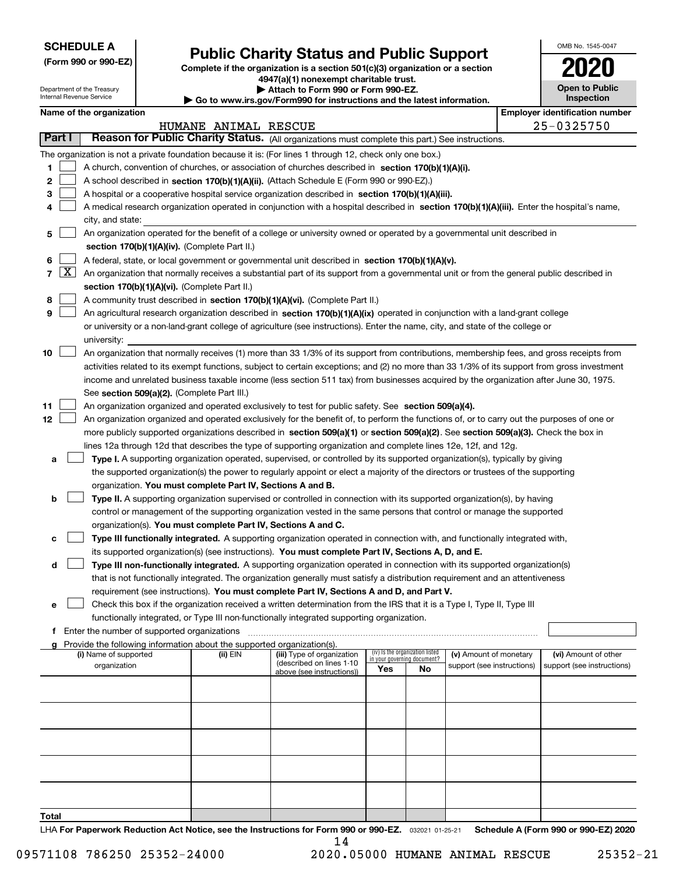| <b>SCHEDULE A</b> |
|-------------------|
|-------------------|

Department of the Treasury Internal Revenue Service

**(Form 990 or 990-EZ)**

# **Public Charity Status and Public Support**

**Complete if the organization is a section 501(c)(3) organization or a section 4947(a)(1) nonexempt charitable trust. | Attach to Form 990 or Form 990-EZ.** 

| $\blacktriangleright$ Allach to Form 330 or Form 330-EZ.              |
|-----------------------------------------------------------------------|
| Go to www.irs.gov/Form990 for instructions and the latest information |

| w.irs.gov/Form990 for instructions and the latest information. |  |
|----------------------------------------------------------------|--|
|----------------------------------------------------------------|--|

| OMB No. 1545-0047                          |
|--------------------------------------------|
| 2020                                       |
| <b>Open to Public</b><br><b>Inspection</b> |
| <b>Employer identification number</b>      |

| Name of the organization |  |
|--------------------------|--|
|--------------------------|--|

|                |                     |                                                                                                                                                                                                | HUMANE ANIMAL RESCUE |                            |                                    |                                 |                            |  | 25-0325750                 |  |  |  |  |
|----------------|---------------------|------------------------------------------------------------------------------------------------------------------------------------------------------------------------------------------------|----------------------|----------------------------|------------------------------------|---------------------------------|----------------------------|--|----------------------------|--|--|--|--|
|                | <b>Part I</b>       | Reason for Public Charity Status. (All organizations must complete this part.) See instructions.                                                                                               |                      |                            |                                    |                                 |                            |  |                            |  |  |  |  |
|                |                     | The organization is not a private foundation because it is: (For lines 1 through 12, check only one box.)                                                                                      |                      |                            |                                    |                                 |                            |  |                            |  |  |  |  |
| 1.             |                     | A church, convention of churches, or association of churches described in section 170(b)(1)(A)(i).                                                                                             |                      |                            |                                    |                                 |                            |  |                            |  |  |  |  |
| 2              |                     |                                                                                                                                                                                                |                      |                            |                                    |                                 |                            |  |                            |  |  |  |  |
| з              |                     | A school described in section 170(b)(1)(A)(ii). (Attach Schedule E (Form 990 or 990-EZ).)<br>A hospital or a cooperative hospital service organization described in section 170(b)(1)(A)(iii). |                      |                            |                                    |                                 |                            |  |                            |  |  |  |  |
| 4              |                     | A medical research organization operated in conjunction with a hospital described in section 170(b)(1)(A)(iii). Enter the hospital's name,                                                     |                      |                            |                                    |                                 |                            |  |                            |  |  |  |  |
|                |                     | city, and state:                                                                                                                                                                               |                      |                            |                                    |                                 |                            |  |                            |  |  |  |  |
| 5              |                     | An organization operated for the benefit of a college or university owned or operated by a governmental unit described in                                                                      |                      |                            |                                    |                                 |                            |  |                            |  |  |  |  |
|                |                     | section 170(b)(1)(A)(iv). (Complete Part II.)                                                                                                                                                  |                      |                            |                                    |                                 |                            |  |                            |  |  |  |  |
| 6              |                     | A federal, state, or local government or governmental unit described in section 170(b)(1)(A)(v).                                                                                               |                      |                            |                                    |                                 |                            |  |                            |  |  |  |  |
| $\overline{7}$ | $\lfloor x \rfloor$ | An organization that normally receives a substantial part of its support from a governmental unit or from the general public described in                                                      |                      |                            |                                    |                                 |                            |  |                            |  |  |  |  |
|                |                     | section 170(b)(1)(A)(vi). (Complete Part II.)                                                                                                                                                  |                      |                            |                                    |                                 |                            |  |                            |  |  |  |  |
| 8              |                     | A community trust described in section 170(b)(1)(A)(vi). (Complete Part II.)                                                                                                                   |                      |                            |                                    |                                 |                            |  |                            |  |  |  |  |
| 9              |                     | An agricultural research organization described in section 170(b)(1)(A)(ix) operated in conjunction with a land-grant college                                                                  |                      |                            |                                    |                                 |                            |  |                            |  |  |  |  |
|                |                     | or university or a non-land-grant college of agriculture (see instructions). Enter the name, city, and state of the college or                                                                 |                      |                            |                                    |                                 |                            |  |                            |  |  |  |  |
|                |                     | university:                                                                                                                                                                                    |                      |                            |                                    |                                 |                            |  |                            |  |  |  |  |
| 10             |                     | An organization that normally receives (1) more than 33 1/3% of its support from contributions, membership fees, and gross receipts from                                                       |                      |                            |                                    |                                 |                            |  |                            |  |  |  |  |
|                |                     | activities related to its exempt functions, subject to certain exceptions; and (2) no more than 33 1/3% of its support from gross investment                                                   |                      |                            |                                    |                                 |                            |  |                            |  |  |  |  |
|                |                     | income and unrelated business taxable income (less section 511 tax) from businesses acquired by the organization after June 30, 1975.                                                          |                      |                            |                                    |                                 |                            |  |                            |  |  |  |  |
|                |                     | See section 509(a)(2). (Complete Part III.)                                                                                                                                                    |                      |                            |                                    |                                 |                            |  |                            |  |  |  |  |
| 11             |                     | An organization organized and operated exclusively to test for public safety. See section 509(a)(4).                                                                                           |                      |                            |                                    |                                 |                            |  |                            |  |  |  |  |
| 12             |                     | An organization organized and operated exclusively for the benefit of, to perform the functions of, or to carry out the purposes of one or                                                     |                      |                            |                                    |                                 |                            |  |                            |  |  |  |  |
|                |                     | more publicly supported organizations described in section 509(a)(1) or section 509(a)(2). See section 509(a)(3). Check the box in                                                             |                      |                            |                                    |                                 |                            |  |                            |  |  |  |  |
|                |                     | lines 12a through 12d that describes the type of supporting organization and complete lines 12e, 12f, and 12g.                                                                                 |                      |                            |                                    |                                 |                            |  |                            |  |  |  |  |
| а              |                     | Type I. A supporting organization operated, supervised, or controlled by its supported organization(s), typically by giving                                                                    |                      |                            |                                    |                                 |                            |  |                            |  |  |  |  |
|                |                     | the supported organization(s) the power to regularly appoint or elect a majority of the directors or trustees of the supporting                                                                |                      |                            |                                    |                                 |                            |  |                            |  |  |  |  |
|                |                     | organization. You must complete Part IV, Sections A and B.                                                                                                                                     |                      |                            |                                    |                                 |                            |  |                            |  |  |  |  |
| b              |                     | Type II. A supporting organization supervised or controlled in connection with its supported organization(s), by having                                                                        |                      |                            |                                    |                                 |                            |  |                            |  |  |  |  |
|                |                     | control or management of the supporting organization vested in the same persons that control or manage the supported                                                                           |                      |                            |                                    |                                 |                            |  |                            |  |  |  |  |
|                |                     | organization(s). You must complete Part IV, Sections A and C.                                                                                                                                  |                      |                            |                                    |                                 |                            |  |                            |  |  |  |  |
| с              |                     | Type III functionally integrated. A supporting organization operated in connection with, and functionally integrated with,                                                                     |                      |                            |                                    |                                 |                            |  |                            |  |  |  |  |
|                |                     | its supported organization(s) (see instructions). You must complete Part IV, Sections A, D, and E.                                                                                             |                      |                            |                                    |                                 |                            |  |                            |  |  |  |  |
| d              |                     | Type III non-functionally integrated. A supporting organization operated in connection with its supported organization(s)                                                                      |                      |                            |                                    |                                 |                            |  |                            |  |  |  |  |
|                |                     | that is not functionally integrated. The organization generally must satisfy a distribution requirement and an attentiveness                                                                   |                      |                            |                                    |                                 |                            |  |                            |  |  |  |  |
|                |                     | requirement (see instructions). You must complete Part IV, Sections A and D, and Part V.                                                                                                       |                      |                            |                                    |                                 |                            |  |                            |  |  |  |  |
| е              |                     | Check this box if the organization received a written determination from the IRS that it is a Type I, Type II, Type III                                                                        |                      |                            |                                    |                                 |                            |  |                            |  |  |  |  |
|                |                     | functionally integrated, or Type III non-functionally integrated supporting organization.                                                                                                      |                      |                            |                                    |                                 |                            |  |                            |  |  |  |  |
| f              |                     | Enter the number of supported organizations                                                                                                                                                    |                      |                            |                                    |                                 |                            |  |                            |  |  |  |  |
|                | g                   | Provide the following information about the supported organization(s).<br>(i) Name of supported                                                                                                | (ii) EIN             | (iii) Type of organization |                                    | (iv) Is the organization listed | (v) Amount of monetary     |  | (vi) Amount of other       |  |  |  |  |
|                |                     | organization                                                                                                                                                                                   |                      | (described on lines 1-10   | in your governing document?<br>Yes | No                              | support (see instructions) |  | support (see instructions) |  |  |  |  |
|                |                     |                                                                                                                                                                                                |                      | above (see instructions))  |                                    |                                 |                            |  |                            |  |  |  |  |
|                |                     |                                                                                                                                                                                                |                      |                            |                                    |                                 |                            |  |                            |  |  |  |  |
|                |                     |                                                                                                                                                                                                |                      |                            |                                    |                                 |                            |  |                            |  |  |  |  |
|                |                     |                                                                                                                                                                                                |                      |                            |                                    |                                 |                            |  |                            |  |  |  |  |
|                |                     |                                                                                                                                                                                                |                      |                            |                                    |                                 |                            |  |                            |  |  |  |  |
|                |                     |                                                                                                                                                                                                |                      |                            |                                    |                                 |                            |  |                            |  |  |  |  |
|                |                     |                                                                                                                                                                                                |                      |                            |                                    |                                 |                            |  |                            |  |  |  |  |
|                |                     |                                                                                                                                                                                                |                      |                            |                                    |                                 |                            |  |                            |  |  |  |  |
|                |                     |                                                                                                                                                                                                |                      |                            |                                    |                                 |                            |  |                            |  |  |  |  |
|                |                     |                                                                                                                                                                                                |                      |                            |                                    |                                 |                            |  |                            |  |  |  |  |
| Total          |                     |                                                                                                                                                                                                |                      |                            |                                    |                                 |                            |  |                            |  |  |  |  |

LHA For Paperwork Reduction Act Notice, see the Instructions for Form 990 or 990-EZ. <sub>032021</sub> o1-25-21 Schedule A (Form 990 or 990-EZ) 2020 14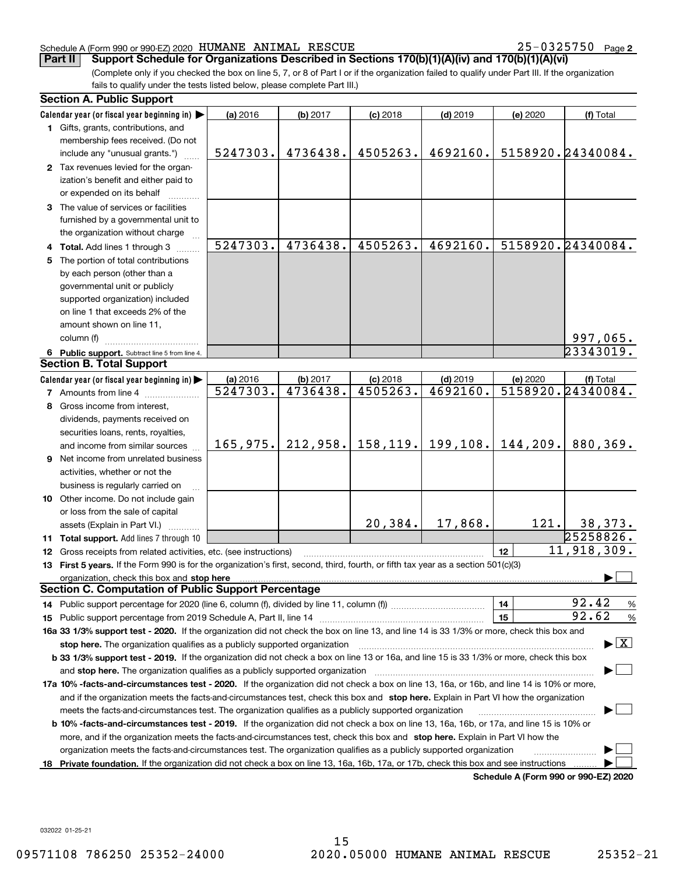25-0325750 Page 2

(Complete only if you checked the box on line 5, 7, or 8 of Part I or if the organization failed to qualify under Part III. If the organization fails to qualify under the tests listed below, please complete Part III.) **Part II Support Schedule for Organizations Described in Sections 170(b)(1)(A)(iv) and 170(b)(1)(A)(vi)**

| <b>Section A. Public Support</b>                                                                                                               |                      |                      |                        |                        |                                             |                                          |
|------------------------------------------------------------------------------------------------------------------------------------------------|----------------------|----------------------|------------------------|------------------------|---------------------------------------------|------------------------------------------|
| Calendar year (or fiscal year beginning in)                                                                                                    | (a) 2016             | (b) 2017             | $(c)$ 2018             | $(d)$ 2019             | (e) 2020                                    | (f) Total                                |
| 1 Gifts, grants, contributions, and                                                                                                            |                      |                      |                        |                        |                                             |                                          |
| membership fees received. (Do not                                                                                                              |                      |                      |                        |                        |                                             |                                          |
| include any "unusual grants.")                                                                                                                 | 5247303.             | 4736438.             | 4505263.               | 4692160.               |                                             | 5158920.24340084.                        |
| 2 Tax revenues levied for the organ-                                                                                                           |                      |                      |                        |                        |                                             |                                          |
| ization's benefit and either paid to                                                                                                           |                      |                      |                        |                        |                                             |                                          |
| or expended on its behalf                                                                                                                      |                      |                      |                        |                        |                                             |                                          |
| 3 The value of services or facilities                                                                                                          |                      |                      |                        |                        |                                             |                                          |
| furnished by a governmental unit to                                                                                                            |                      |                      |                        |                        |                                             |                                          |
| the organization without charge                                                                                                                |                      |                      |                        |                        |                                             |                                          |
| 4 Total. Add lines 1 through 3                                                                                                                 | 5247303.             | 4736438.             | 4505263.               | 4692160.               |                                             | 5158920.24340084.                        |
| 5 The portion of total contributions                                                                                                           |                      |                      |                        |                        |                                             |                                          |
| by each person (other than a                                                                                                                   |                      |                      |                        |                        |                                             |                                          |
| governmental unit or publicly                                                                                                                  |                      |                      |                        |                        |                                             |                                          |
| supported organization) included                                                                                                               |                      |                      |                        |                        |                                             |                                          |
| on line 1 that exceeds 2% of the                                                                                                               |                      |                      |                        |                        |                                             |                                          |
| amount shown on line 11,                                                                                                                       |                      |                      |                        |                        |                                             |                                          |
| column (f)                                                                                                                                     |                      |                      |                        |                        |                                             |                                          |
|                                                                                                                                                |                      |                      |                        |                        |                                             | 997,065.<br>23343019.                    |
| 6 Public support. Subtract line 5 from line 4.<br><b>Section B. Total Support</b>                                                              |                      |                      |                        |                        |                                             |                                          |
|                                                                                                                                                |                      |                      |                        |                        |                                             |                                          |
| Calendar year (or fiscal year beginning in)                                                                                                    | (a) 2016<br>5247303. | (b) 2017<br>4736438. | $(c)$ 2018<br>4505263. | $(d)$ 2019<br>4692160. | (e) 2020                                    | (f) Total<br>5158920.24340084.           |
| 7 Amounts from line 4                                                                                                                          |                      |                      |                        |                        |                                             |                                          |
| 8 Gross income from interest,                                                                                                                  |                      |                      |                        |                        |                                             |                                          |
| dividends, payments received on                                                                                                                |                      |                      |                        |                        |                                             |                                          |
| securities loans, rents, royalties,                                                                                                            |                      |                      |                        |                        |                                             |                                          |
| and income from similar sources                                                                                                                | 165,975.             | 212,958.             |                        | $158, 119.$ 199, 108.  | 144,209.                                    | 880,369.                                 |
| <b>9</b> Net income from unrelated business                                                                                                    |                      |                      |                        |                        |                                             |                                          |
| activities, whether or not the                                                                                                                 |                      |                      |                        |                        |                                             |                                          |
| business is regularly carried on                                                                                                               |                      |                      |                        |                        |                                             |                                          |
| 10 Other income. Do not include gain                                                                                                           |                      |                      |                        |                        |                                             |                                          |
| or loss from the sale of capital                                                                                                               |                      |                      |                        |                        |                                             |                                          |
| assets (Explain in Part VI.)                                                                                                                   |                      |                      | 20,384.                | 17,868.                | 121.                                        | 38,373.                                  |
| 11 Total support. Add lines 7 through 10                                                                                                       |                      |                      |                        |                        |                                             | 25258826.                                |
| 12 Gross receipts from related activities, etc. (see instructions)                                                                             |                      |                      |                        |                        | 12                                          | 11,918,309.                              |
| 13 First 5 years. If the Form 990 is for the organization's first, second, third, fourth, or fifth tax year as a section 501(c)(3)             |                      |                      |                        |                        |                                             |                                          |
|                                                                                                                                                |                      |                      |                        |                        |                                             |                                          |
| <b>Section C. Computation of Public Support Percentage</b>                                                                                     |                      |                      |                        |                        |                                             |                                          |
|                                                                                                                                                |                      |                      |                        |                        | 14                                          | 92.42<br>%                               |
|                                                                                                                                                |                      |                      |                        |                        | 15                                          | 92.62<br>%                               |
| 16a 33 1/3% support test - 2020. If the organization did not check the box on line 13, and line 14 is 33 1/3% or more, check this box and      |                      |                      |                        |                        |                                             |                                          |
| stop here. The organization qualifies as a publicly supported organization                                                                     |                      |                      |                        |                        |                                             | $\blacktriangleright$ $\boxed{\text{X}}$ |
| b 33 1/3% support test - 2019. If the organization did not check a box on line 13 or 16a, and line 15 is 33 1/3% or more, check this box       |                      |                      |                        |                        |                                             |                                          |
| and stop here. The organization qualifies as a publicly supported organization                                                                 |                      |                      |                        |                        |                                             |                                          |
| 17a 10% -facts-and-circumstances test - 2020. If the organization did not check a box on line 13, 16a, or 16b, and line 14 is 10% or more,     |                      |                      |                        |                        |                                             |                                          |
| and if the organization meets the facts-and-circumstances test, check this box and stop here. Explain in Part VI how the organization          |                      |                      |                        |                        |                                             |                                          |
| meets the facts-and-circumstances test. The organization qualifies as a publicly supported organization                                        |                      |                      |                        |                        |                                             |                                          |
| <b>b 10% -facts-and-circumstances test - 2019.</b> If the organization did not check a box on line 13, 16a, 16b, or 17a, and line 15 is 10% or |                      |                      |                        |                        |                                             |                                          |
| more, and if the organization meets the facts-and-circumstances test, check this box and stop here. Explain in Part VI how the                 |                      |                      |                        |                        |                                             |                                          |
|                                                                                                                                                |                      |                      |                        |                        |                                             |                                          |
| organization meets the facts-and-circumstances test. The organization qualifies as a publicly supported organization                           |                      |                      |                        |                        |                                             |                                          |
| 18 Private foundation. If the organization did not check a box on line 13, 16a, 16b, 17a, or 17b, check this box and see instructions          |                      |                      |                        |                        | <b>Cohodulo A (Form 000 or 000 EZ) 2020</b> |                                          |

**Schedule A (Form 990 or 990-EZ) 2020**

032022 01-25-21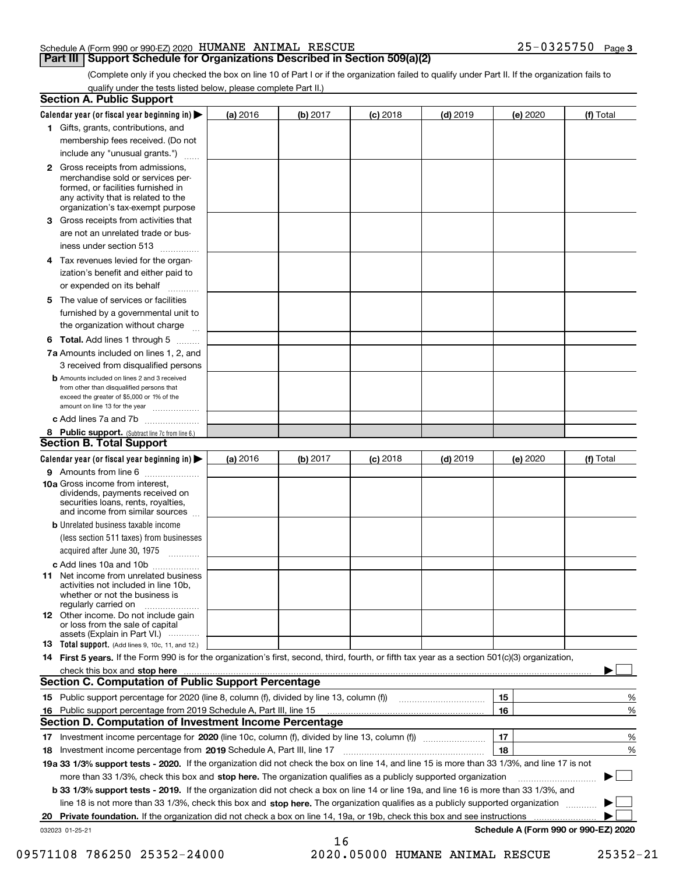### **Part III Support Schedule for Organizations Described in Section 509(a)(2)**

**3**

(Complete only if you checked the box on line 10 of Part I or if the organization failed to qualify under Part II. If the organization fails to qualify under the tests listed below, please complete Part II.)

| <b>Section A. Public Support</b>                                                                                                                                                                |          |          |            |            |          |                                      |
|-------------------------------------------------------------------------------------------------------------------------------------------------------------------------------------------------|----------|----------|------------|------------|----------|--------------------------------------|
| Calendar year (or fiscal year beginning in) $\blacktriangleright$                                                                                                                               | (a) 2016 | (b) 2017 | $(c)$ 2018 | $(d)$ 2019 | (e) 2020 | (f) Total                            |
| 1 Gifts, grants, contributions, and                                                                                                                                                             |          |          |            |            |          |                                      |
| membership fees received. (Do not                                                                                                                                                               |          |          |            |            |          |                                      |
| include any "unusual grants.")                                                                                                                                                                  |          |          |            |            |          |                                      |
| <b>2</b> Gross receipts from admissions,<br>merchandise sold or services per-<br>formed, or facilities furnished in<br>any activity that is related to the<br>organization's tax-exempt purpose |          |          |            |            |          |                                      |
| 3 Gross receipts from activities that<br>are not an unrelated trade or bus-                                                                                                                     |          |          |            |            |          |                                      |
| iness under section 513                                                                                                                                                                         |          |          |            |            |          |                                      |
| 4 Tax revenues levied for the organ-<br>ization's benefit and either paid to<br>or expended on its behalf<br>.                                                                                  |          |          |            |            |          |                                      |
| 5 The value of services or facilities<br>furnished by a governmental unit to<br>the organization without charge                                                                                 |          |          |            |            |          |                                      |
|                                                                                                                                                                                                 |          |          |            |            |          |                                      |
| <b>6 Total.</b> Add lines 1 through 5<br>7a Amounts included on lines 1, 2, and<br>3 received from disqualified persons                                                                         |          |          |            |            |          |                                      |
| <b>b</b> Amounts included on lines 2 and 3 received<br>from other than disqualified persons that<br>exceed the greater of \$5,000 or 1% of the<br>amount on line 13 for the year                |          |          |            |            |          |                                      |
| c Add lines 7a and 7b                                                                                                                                                                           |          |          |            |            |          |                                      |
| 8 Public support. (Subtract line 7c from line 6.)                                                                                                                                               |          |          |            |            |          |                                      |
| <b>Section B. Total Support</b>                                                                                                                                                                 |          |          |            |            |          |                                      |
| Calendar year (or fiscal year beginning in)                                                                                                                                                     | (a) 2016 | (b) 2017 | $(c)$ 2018 | $(d)$ 2019 | (e) 2020 | (f) Total                            |
| 9 Amounts from line 6                                                                                                                                                                           |          |          |            |            |          |                                      |
| 10a Gross income from interest,<br>dividends, payments received on<br>securities loans, rents, royalties,<br>and income from similar sources                                                    |          |          |            |            |          |                                      |
| <b>b</b> Unrelated business taxable income<br>(less section 511 taxes) from businesses<br>acquired after June 30, 1975                                                                          |          |          |            |            |          |                                      |
| c Add lines 10a and 10b                                                                                                                                                                         |          |          |            |            |          |                                      |
| 11 Net income from unrelated business<br>activities not included in line 10b,<br>whether or not the business is<br>regularly carried on                                                         |          |          |            |            |          |                                      |
| <b>12</b> Other income. Do not include gain<br>or loss from the sale of capital<br>assets (Explain in Part VI.)                                                                                 |          |          |            |            |          |                                      |
| <b>13</b> Total support. (Add lines 9, 10c, 11, and 12.)                                                                                                                                        |          |          |            |            |          |                                      |
| 14 First 5 years. If the Form 990 is for the organization's first, second, third, fourth, or fifth tax year as a section 501(c)(3) organization,                                                |          |          |            |            |          |                                      |
| check this box and stop here measurements are constructed as the state of the state of the state of the state o                                                                                 |          |          |            |            |          |                                      |
| Section C. Computation of Public Support Percentage                                                                                                                                             |          |          |            |            |          |                                      |
|                                                                                                                                                                                                 |          |          |            |            | 15       | %                                    |
| 16 Public support percentage from 2019 Schedule A, Part III, line 15                                                                                                                            |          |          |            |            | 16       | %                                    |
| <b>Section D. Computation of Investment Income Percentage</b>                                                                                                                                   |          |          |            |            |          |                                      |
| 17 Investment income percentage for 2020 (line 10c, column (f), divided by line 13, column (f))                                                                                                 |          |          |            |            | 17       | %                                    |
| 18 Investment income percentage from 2019 Schedule A, Part III, line 17                                                                                                                         |          |          |            |            | 18       | %                                    |
| 19a 33 1/3% support tests - 2020. If the organization did not check the box on line 14, and line 15 is more than 33 1/3%, and line 17 is not                                                    |          |          |            |            |          |                                      |
| more than 33 1/3%, check this box and stop here. The organization qualifies as a publicly supported organization                                                                                |          |          |            |            |          | $\sim$ 1                             |
| b 33 1/3% support tests - 2019. If the organization did not check a box on line 14 or line 19a, and line 16 is more than 33 1/3%, and                                                           |          |          |            |            |          |                                      |
| line 18 is not more than 33 1/3%, check this box and stop here. The organization qualifies as a publicly supported organization                                                                 |          |          |            |            |          |                                      |
| <b>Private foundation.</b> If the organization did not check a box on line 14, 19a, or 19b, check this box and see instructions<br>20                                                           |          |          |            |            |          |                                      |
| 032023 01-25-21                                                                                                                                                                                 |          | 16       |            |            |          | Schedule A (Form 990 or 990-EZ) 2020 |

 <sup>09571108 786250 25352-24000 2020.05000</sup> HUMANE ANIMAL RESCUE 25352-21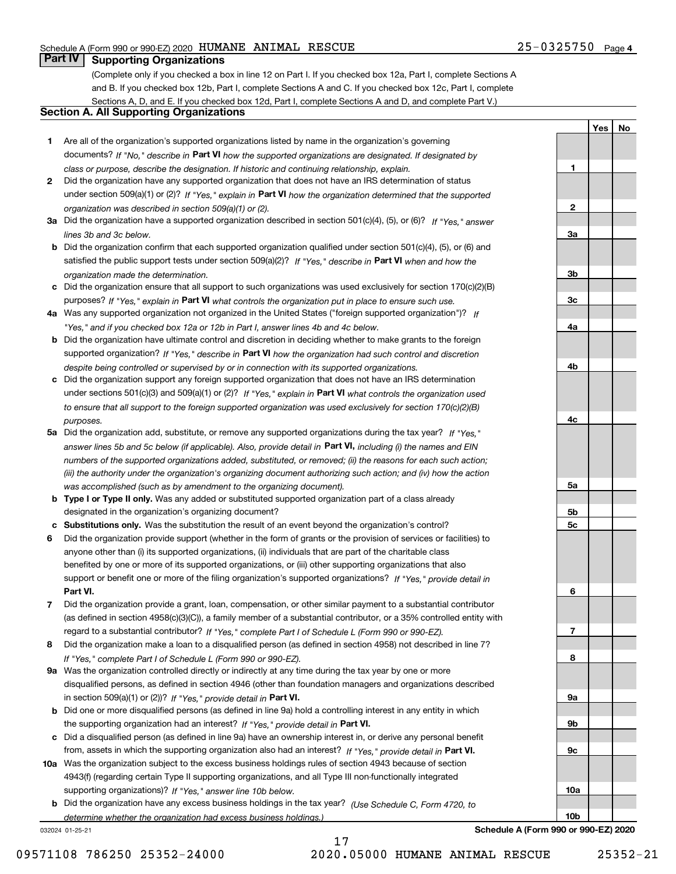**1**

**2**

**3a**

**3b**

**3c**

**4a**

**4b**

**4c**

**5a**

**5b5c**

**6**

**7**

**8**

**9a**

**9b**

**9c**

**10a**

**10b**

**YesNo**

# **Part IV Supporting Organizations**

(Complete only if you checked a box in line 12 on Part I. If you checked box 12a, Part I, complete Sections A and B. If you checked box 12b, Part I, complete Sections A and C. If you checked box 12c, Part I, complete Sections A, D, and E. If you checked box 12d, Part I, complete Sections A and D, and complete Part V.)

### **Section A. All Supporting Organizations**

- **1** Are all of the organization's supported organizations listed by name in the organization's governing documents? If "No," describe in **Part VI** how the supported organizations are designated. If designated by *class or purpose, describe the designation. If historic and continuing relationship, explain.*
- **2** Did the organization have any supported organization that does not have an IRS determination of status under section 509(a)(1) or (2)? If "Yes," explain in Part VI how the organization determined that the supported *organization was described in section 509(a)(1) or (2).*
- **3a** Did the organization have a supported organization described in section 501(c)(4), (5), or (6)? If "Yes," answer *lines 3b and 3c below.*
- **b** Did the organization confirm that each supported organization qualified under section 501(c)(4), (5), or (6) and satisfied the public support tests under section 509(a)(2)? If "Yes," describe in **Part VI** when and how the *organization made the determination.*
- **c**Did the organization ensure that all support to such organizations was used exclusively for section 170(c)(2)(B) purposes? If "Yes," explain in **Part VI** what controls the organization put in place to ensure such use.
- **4a***If* Was any supported organization not organized in the United States ("foreign supported organization")? *"Yes," and if you checked box 12a or 12b in Part I, answer lines 4b and 4c below.*
- **b** Did the organization have ultimate control and discretion in deciding whether to make grants to the foreign supported organization? If "Yes," describe in **Part VI** how the organization had such control and discretion *despite being controlled or supervised by or in connection with its supported organizations.*
- **c** Did the organization support any foreign supported organization that does not have an IRS determination under sections 501(c)(3) and 509(a)(1) or (2)? If "Yes," explain in **Part VI** what controls the organization used *to ensure that all support to the foreign supported organization was used exclusively for section 170(c)(2)(B) purposes.*
- **5a** Did the organization add, substitute, or remove any supported organizations during the tax year? If "Yes," answer lines 5b and 5c below (if applicable). Also, provide detail in **Part VI,** including (i) the names and EIN *numbers of the supported organizations added, substituted, or removed; (ii) the reasons for each such action; (iii) the authority under the organization's organizing document authorizing such action; and (iv) how the action was accomplished (such as by amendment to the organizing document).*
- **b** Type I or Type II only. Was any added or substituted supported organization part of a class already designated in the organization's organizing document?
- **cSubstitutions only.**  Was the substitution the result of an event beyond the organization's control?
- **6** Did the organization provide support (whether in the form of grants or the provision of services or facilities) to **Part VI.** *If "Yes," provide detail in* support or benefit one or more of the filing organization's supported organizations? anyone other than (i) its supported organizations, (ii) individuals that are part of the charitable class benefited by one or more of its supported organizations, or (iii) other supporting organizations that also
- **7**Did the organization provide a grant, loan, compensation, or other similar payment to a substantial contributor *If "Yes," complete Part I of Schedule L (Form 990 or 990-EZ).* regard to a substantial contributor? (as defined in section 4958(c)(3)(C)), a family member of a substantial contributor, or a 35% controlled entity with
- **8** Did the organization make a loan to a disqualified person (as defined in section 4958) not described in line 7? *If "Yes," complete Part I of Schedule L (Form 990 or 990-EZ).*
- **9a** Was the organization controlled directly or indirectly at any time during the tax year by one or more in section 509(a)(1) or (2))? If "Yes," *provide detail in* <code>Part VI.</code> disqualified persons, as defined in section 4946 (other than foundation managers and organizations described
- **b** Did one or more disqualified persons (as defined in line 9a) hold a controlling interest in any entity in which the supporting organization had an interest? If "Yes," provide detail in P**art VI**.
- **c**Did a disqualified person (as defined in line 9a) have an ownership interest in, or derive any personal benefit from, assets in which the supporting organization also had an interest? If "Yes," provide detail in P**art VI.**
- **10a** Was the organization subject to the excess business holdings rules of section 4943 because of section supporting organizations)? If "Yes," answer line 10b below. 4943(f) (regarding certain Type II supporting organizations, and all Type III non-functionally integrated
- **b** Did the organization have any excess business holdings in the tax year? (Use Schedule C, Form 4720, to *determine whether the organization had excess business holdings.)*

17

032024 01-25-21

**Schedule A (Form 990 or 990-EZ) 2020**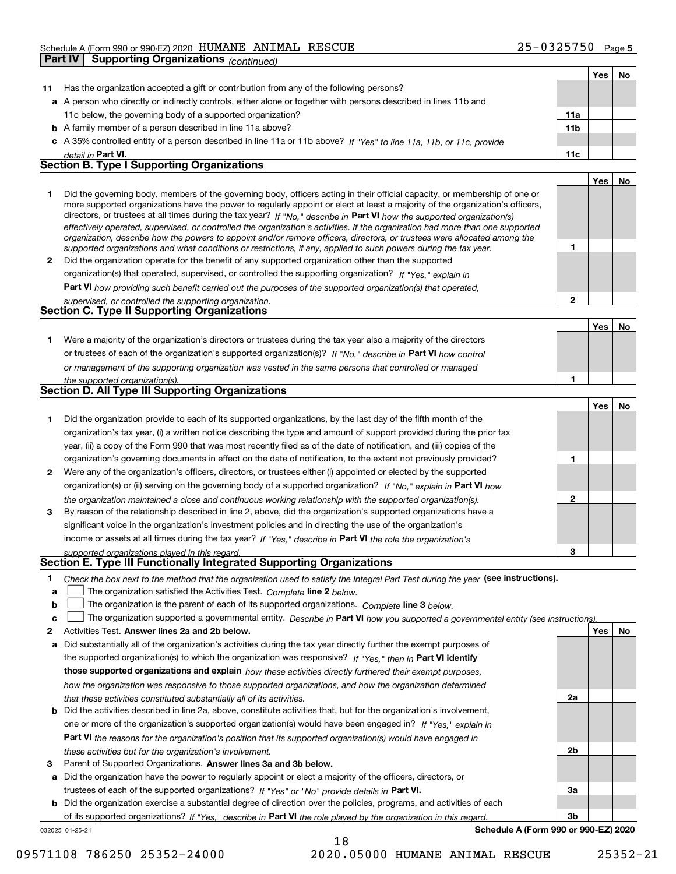|              | <b>Supporting Organizations (continued)</b><br>Part IV                                                                                                                                                                                                    |                |     |    |
|--------------|-----------------------------------------------------------------------------------------------------------------------------------------------------------------------------------------------------------------------------------------------------------|----------------|-----|----|
|              |                                                                                                                                                                                                                                                           |                | Yes | No |
| 11           | Has the organization accepted a gift or contribution from any of the following persons?                                                                                                                                                                   |                |     |    |
|              | a A person who directly or indirectly controls, either alone or together with persons described in lines 11b and                                                                                                                                          |                |     |    |
|              | 11c below, the governing body of a supported organization?                                                                                                                                                                                                | 11a            |     |    |
|              | <b>b</b> A family member of a person described in line 11a above?                                                                                                                                                                                         | 11b            |     |    |
|              | c A 35% controlled entity of a person described in line 11a or 11b above? If "Yes" to line 11a, 11b, or 11c, provide                                                                                                                                      |                |     |    |
|              | detail in Part VI.                                                                                                                                                                                                                                        | 11c            |     |    |
|              | <b>Section B. Type I Supporting Organizations</b>                                                                                                                                                                                                         |                |     |    |
|              |                                                                                                                                                                                                                                                           |                | Yes | No |
| 1            | Did the governing body, members of the governing body, officers acting in their official capacity, or membership of one or                                                                                                                                |                |     |    |
|              | more supported organizations have the power to regularly appoint or elect at least a majority of the organization's officers,                                                                                                                             |                |     |    |
|              | directors, or trustees at all times during the tax year? If "No," describe in Part VI how the supported organization(s)<br>effectively operated, supervised, or controlled the organization's activities. If the organization had more than one supported |                |     |    |
|              | organization, describe how the powers to appoint and/or remove officers, directors, or trustees were allocated among the                                                                                                                                  |                |     |    |
|              | supported organizations and what conditions or restrictions, if any, applied to such powers during the tax year.                                                                                                                                          | 1              |     |    |
| $\mathbf{2}$ | Did the organization operate for the benefit of any supported organization other than the supported                                                                                                                                                       |                |     |    |
|              | organization(s) that operated, supervised, or controlled the supporting organization? If "Yes," explain in                                                                                                                                                |                |     |    |
|              | Part VI how providing such benefit carried out the purposes of the supported organization(s) that operated,                                                                                                                                               |                |     |    |
|              | supervised, or controlled the supporting organization.                                                                                                                                                                                                    | $\overline{2}$ |     |    |
|              | <b>Section C. Type II Supporting Organizations</b>                                                                                                                                                                                                        |                |     |    |
|              |                                                                                                                                                                                                                                                           |                | Yes | No |
| 1.           | Were a majority of the organization's directors or trustees during the tax year also a majority of the directors                                                                                                                                          |                |     |    |
|              | or trustees of each of the organization's supported organization(s)? If "No." describe in Part VI how control                                                                                                                                             |                |     |    |
|              | or management of the supporting organization was vested in the same persons that controlled or managed                                                                                                                                                    |                |     |    |
|              | the supported organization(s).<br>Section D. All Type III Supporting Organizations                                                                                                                                                                        | 1              |     |    |
|              |                                                                                                                                                                                                                                                           |                |     |    |
|              |                                                                                                                                                                                                                                                           |                | Yes | No |
| 1.           | Did the organization provide to each of its supported organizations, by the last day of the fifth month of the                                                                                                                                            |                |     |    |
|              | organization's tax year, (i) a written notice describing the type and amount of support provided during the prior tax                                                                                                                                     |                |     |    |
|              | year, (ii) a copy of the Form 990 that was most recently filed as of the date of notification, and (iii) copies of the                                                                                                                                    |                |     |    |
|              | organization's governing documents in effect on the date of notification, to the extent not previously provided?                                                                                                                                          | 1              |     |    |
| 2            | Were any of the organization's officers, directors, or trustees either (i) appointed or elected by the supported                                                                                                                                          |                |     |    |
|              | organization(s) or (ii) serving on the governing body of a supported organization? If "No," explain in Part VI how                                                                                                                                        |                |     |    |
|              | the organization maintained a close and continuous working relationship with the supported organization(s).                                                                                                                                               | $\mathbf{2}$   |     |    |
| 3            | By reason of the relationship described in line 2, above, did the organization's supported organizations have a                                                                                                                                           |                |     |    |
|              | significant voice in the organization's investment policies and in directing the use of the organization's                                                                                                                                                |                |     |    |
|              | income or assets at all times during the tax year? If "Yes," describe in Part VI the role the organization's                                                                                                                                              |                |     |    |
|              | supported organizations played in this regard.<br>Section E. Type III Functionally Integrated Supporting Organizations                                                                                                                                    | 3              |     |    |
| 1            | Check the box next to the method that the organization used to satisfy the Integral Part Test during the year (see instructions).                                                                                                                         |                |     |    |
| а            | The organization satisfied the Activities Test. Complete line 2 below.                                                                                                                                                                                    |                |     |    |
| b            | The organization is the parent of each of its supported organizations. Complete line 3 below.                                                                                                                                                             |                |     |    |
| c            | The organization supported a governmental entity. Describe in Part VI how you supported a governmental entity (see instructions)                                                                                                                          |                |     |    |
| 2            | Activities Test. Answer lines 2a and 2b below.                                                                                                                                                                                                            |                | Yes | No |
| а            | Did substantially all of the organization's activities during the tax year directly further the exempt purposes of                                                                                                                                        |                |     |    |
|              | the supported organization(s) to which the organization was responsive? If "Yes," then in Part VI identify                                                                                                                                                |                |     |    |
|              | those supported organizations and explain how these activities directly furthered their exempt purposes,                                                                                                                                                  |                |     |    |
|              | how the organization was responsive to those supported organizations, and how the organization determined                                                                                                                                                 |                |     |    |

- *that these activities constituted substantially all of its activities.*
- **b** Did the activities described in line 2a, above, constitute activities that, but for the organization's involvement, **Part VI**  *the reasons for the organization's position that its supported organization(s) would have engaged in* one or more of the organization's supported organization(s) would have been engaged in? If "Yes," e*xplain in these activities but for the organization's involvement.*
- **3** Parent of Supported Organizations. Answer lines 3a and 3b below.

**a** Did the organization have the power to regularly appoint or elect a majority of the officers, directors, or trustees of each of the supported organizations? If "Yes" or "No" provide details in **Part VI.** 

**b** Did the organization exercise a substantial degree of direction over the policies, programs, and activities of each of its supported organizations? If "Yes," describe in Part VI the role played by the organization in this regard.

18

032025 01-25-21

**Schedule A (Form 990 or 990-EZ) 2020**

**2a**

**2b**

**3a**

**3b**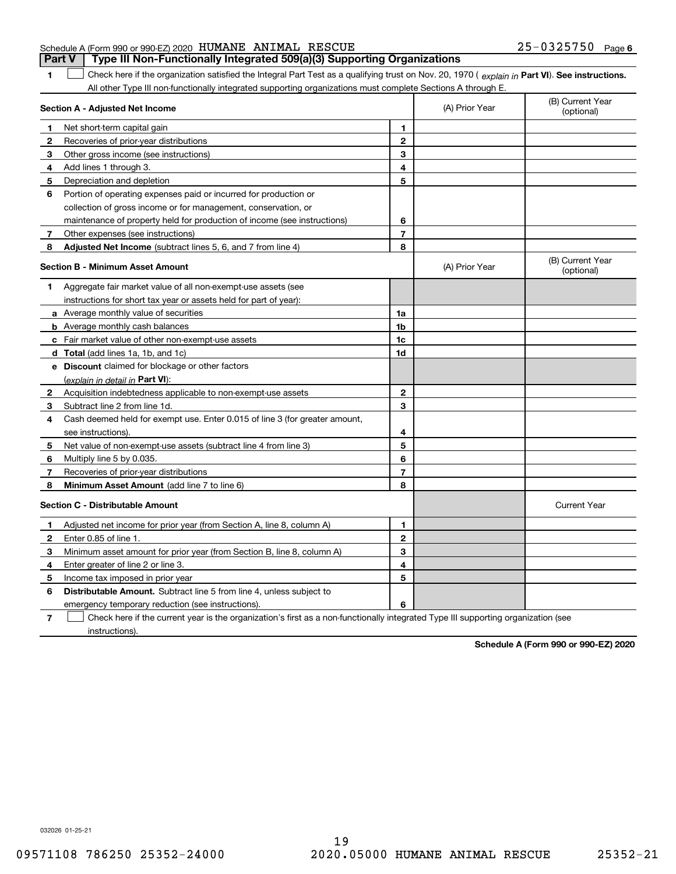#### Schedule A (Form 990 or 990-EZ) 2020 Page HUMANE ANIMAL RESCUE 25-0325750 **Part V Type III Non-Functionally Integrated 509(a)(3) Supporting Organizations**

**1**

1 Check here if the organization satisfied the Integral Part Test as a qualifying trust on Nov. 20, 1970 (explain in Part VI). See instructions. All other Type III non-functionally integrated supporting organizations must complete Sections A through E.

|   | Section A - Adjusted Net Income                                                                                                   | (A) Prior Year | (B) Current Year<br>(optional) |                                |
|---|-----------------------------------------------------------------------------------------------------------------------------------|----------------|--------------------------------|--------------------------------|
| 1 | Net short-term capital gain                                                                                                       | 1              |                                |                                |
| 2 | Recoveries of prior-year distributions                                                                                            | $\overline{2}$ |                                |                                |
| 3 | Other gross income (see instructions)                                                                                             | 3              |                                |                                |
| 4 | Add lines 1 through 3.                                                                                                            | 4              |                                |                                |
| 5 | Depreciation and depletion                                                                                                        | 5              |                                |                                |
| 6 | Portion of operating expenses paid or incurred for production or                                                                  |                |                                |                                |
|   | collection of gross income or for management, conservation, or                                                                    |                |                                |                                |
|   | maintenance of property held for production of income (see instructions)                                                          | 6              |                                |                                |
| 7 | Other expenses (see instructions)                                                                                                 | $\overline{7}$ |                                |                                |
| 8 | Adjusted Net Income (subtract lines 5, 6, and 7 from line 4)                                                                      | 8              |                                |                                |
|   | <b>Section B - Minimum Asset Amount</b>                                                                                           |                | (A) Prior Year                 | (B) Current Year<br>(optional) |
| 1 | Aggregate fair market value of all non-exempt-use assets (see                                                                     |                |                                |                                |
|   | instructions for short tax year or assets held for part of year):                                                                 |                |                                |                                |
|   | <b>a</b> Average monthly value of securities                                                                                      | 1a             |                                |                                |
|   | <b>b</b> Average monthly cash balances                                                                                            | 1b             |                                |                                |
|   | c Fair market value of other non-exempt-use assets                                                                                | 1c             |                                |                                |
|   | d Total (add lines 1a, 1b, and 1c)                                                                                                | 1d             |                                |                                |
|   | e Discount claimed for blockage or other factors                                                                                  |                |                                |                                |
|   | (explain in detail in Part VI):                                                                                                   |                |                                |                                |
| 2 | Acquisition indebtedness applicable to non-exempt-use assets                                                                      | $\mathbf{2}$   |                                |                                |
| 3 | Subtract line 2 from line 1d.                                                                                                     | 3              |                                |                                |
| 4 | Cash deemed held for exempt use. Enter 0.015 of line 3 (for greater amount,                                                       |                |                                |                                |
|   | see instructions)                                                                                                                 | 4              |                                |                                |
| 5 | Net value of non-exempt-use assets (subtract line 4 from line 3)                                                                  | 5              |                                |                                |
| 6 | Multiply line 5 by 0.035.                                                                                                         | 6              |                                |                                |
| 7 | Recoveries of prior-year distributions                                                                                            | $\overline{7}$ |                                |                                |
| 8 | Minimum Asset Amount (add line 7 to line 6)                                                                                       | 8              |                                |                                |
|   | <b>Section C - Distributable Amount</b>                                                                                           |                |                                | <b>Current Year</b>            |
| 1 | Adjusted net income for prior year (from Section A, line 8, column A)                                                             | 1              |                                |                                |
| 2 | Enter 0.85 of line 1.                                                                                                             | $\overline{2}$ |                                |                                |
| з | Minimum asset amount for prior year (from Section B, line 8, column A)                                                            | 3              |                                |                                |
| 4 | Enter greater of line 2 or line 3.                                                                                                | 4              |                                |                                |
| 5 | Income tax imposed in prior year                                                                                                  | 5              |                                |                                |
| 6 | <b>Distributable Amount.</b> Subtract line 5 from line 4, unless subject to                                                       |                |                                |                                |
|   | emergency temporary reduction (see instructions).                                                                                 | 6              |                                |                                |
| 7 | Check here if the current year is the organization's first as a non-functionally integrated Type III supporting organization (see |                |                                |                                |

instructions).

**Schedule A (Form 990 or 990-EZ) 2020**

032026 01-25-21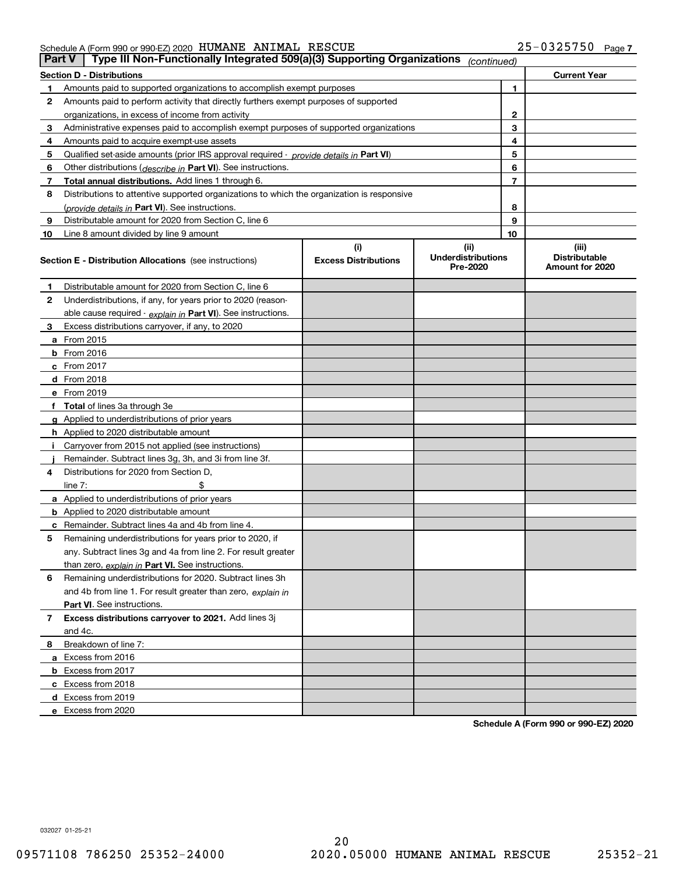| <b>Part V</b> | Type III Non-Functionally Integrated 509(a)(3) Supporting Organizations                    |                             | (continued)                           |    |                                         |
|---------------|--------------------------------------------------------------------------------------------|-----------------------------|---------------------------------------|----|-----------------------------------------|
|               | <b>Section D - Distributions</b>                                                           |                             |                                       |    | <b>Current Year</b>                     |
| 1             | Amounts paid to supported organizations to accomplish exempt purposes                      |                             |                                       | 1  |                                         |
| 2             | Amounts paid to perform activity that directly furthers exempt purposes of supported       |                             |                                       |    |                                         |
|               | organizations, in excess of income from activity                                           |                             | 2                                     |    |                                         |
| 3             | Administrative expenses paid to accomplish exempt purposes of supported organizations      |                             |                                       | 3  |                                         |
| 4             | Amounts paid to acquire exempt-use assets                                                  |                             |                                       | 4  |                                         |
| 5             | Qualified set-aside amounts (prior IRS approval required - provide details in Part VI)     |                             |                                       | 5  |                                         |
| 6             | Other distributions (describe in Part VI). See instructions.                               |                             |                                       | 6  |                                         |
| 7             | Total annual distributions. Add lines 1 through 6.                                         |                             |                                       | 7  |                                         |
| 8             | Distributions to attentive supported organizations to which the organization is responsive |                             |                                       |    |                                         |
|               | (provide details in Part VI). See instructions.                                            |                             |                                       | 8  |                                         |
| 9             | Distributable amount for 2020 from Section C, line 6                                       |                             |                                       | 9  |                                         |
| 10            | Line 8 amount divided by line 9 amount                                                     |                             |                                       | 10 |                                         |
|               |                                                                                            | (i)                         | (ii)                                  |    | (iii)                                   |
|               | <b>Section E - Distribution Allocations</b> (see instructions)                             | <b>Excess Distributions</b> | <b>Underdistributions</b><br>Pre-2020 |    | <b>Distributable</b><br>Amount for 2020 |
| 1             | Distributable amount for 2020 from Section C, line 6                                       |                             |                                       |    |                                         |
| 2             | Underdistributions, if any, for years prior to 2020 (reason-                               |                             |                                       |    |                                         |
|               | able cause required - explain in Part VI). See instructions.                               |                             |                                       |    |                                         |
| 3             | Excess distributions carryover, if any, to 2020                                            |                             |                                       |    |                                         |
|               | <b>a</b> From 2015                                                                         |                             |                                       |    |                                         |
|               | <b>b</b> From 2016                                                                         |                             |                                       |    |                                         |
|               | c From 2017                                                                                |                             |                                       |    |                                         |
|               | <b>d</b> From 2018                                                                         |                             |                                       |    |                                         |
|               | e From 2019                                                                                |                             |                                       |    |                                         |
|               | f Total of lines 3a through 3e                                                             |                             |                                       |    |                                         |
|               | g Applied to underdistributions of prior years                                             |                             |                                       |    |                                         |
|               | <b>h</b> Applied to 2020 distributable amount                                              |                             |                                       |    |                                         |
|               | Carryover from 2015 not applied (see instructions)                                         |                             |                                       |    |                                         |
|               | Remainder. Subtract lines 3g, 3h, and 3i from line 3f.                                     |                             |                                       |    |                                         |
| 4             | Distributions for 2020 from Section D,                                                     |                             |                                       |    |                                         |
|               | line $7:$                                                                                  |                             |                                       |    |                                         |
|               | a Applied to underdistributions of prior years                                             |                             |                                       |    |                                         |
|               | <b>b</b> Applied to 2020 distributable amount                                              |                             |                                       |    |                                         |
|               | c Remainder. Subtract lines 4a and 4b from line 4.                                         |                             |                                       |    |                                         |
| 5             | Remaining underdistributions for years prior to 2020, if                                   |                             |                                       |    |                                         |
|               | any. Subtract lines 3g and 4a from line 2. For result greater                              |                             |                                       |    |                                         |
|               | than zero, explain in Part VI. See instructions.                                           |                             |                                       |    |                                         |
| 6             | Remaining underdistributions for 2020. Subtract lines 3h                                   |                             |                                       |    |                                         |
|               | and 4b from line 1. For result greater than zero, explain in                               |                             |                                       |    |                                         |
|               | Part VI. See instructions.                                                                 |                             |                                       |    |                                         |
| 7             | Excess distributions carryover to 2021. Add lines 3j                                       |                             |                                       |    |                                         |
|               | and 4c.                                                                                    |                             |                                       |    |                                         |
| 8             | Breakdown of line 7:                                                                       |                             |                                       |    |                                         |
|               | a Excess from 2016                                                                         |                             |                                       |    |                                         |
|               | <b>b</b> Excess from 2017                                                                  |                             |                                       |    |                                         |
|               | c Excess from 2018                                                                         |                             |                                       |    |                                         |
|               | d Excess from 2019                                                                         |                             |                                       |    |                                         |
|               | e Excess from 2020                                                                         |                             |                                       |    |                                         |

**Schedule A (Form 990 or 990-EZ) 2020**

032027 01-25-21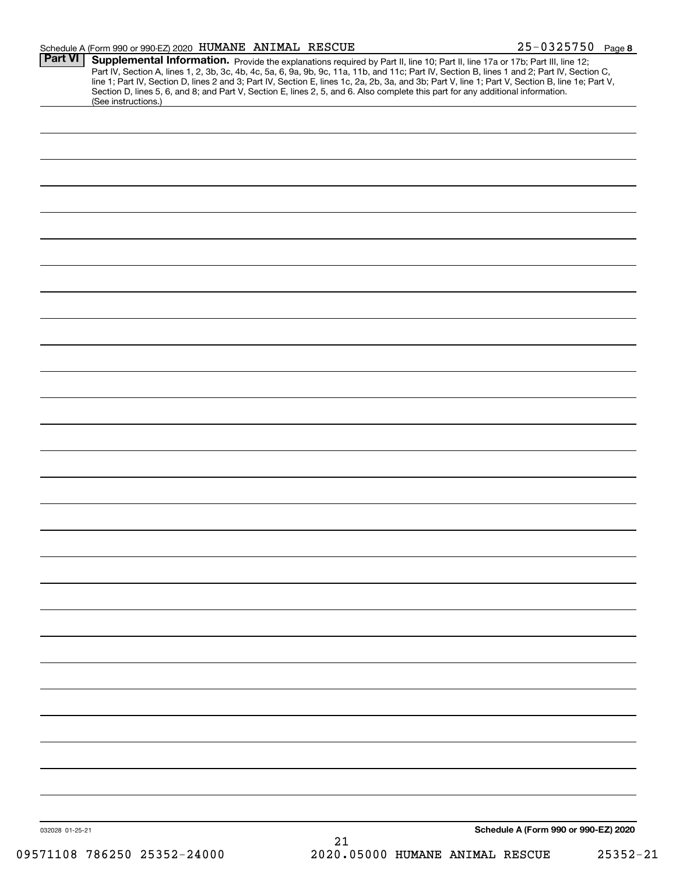| Schedule A (Form 990 or 990-EZ) 2020 HUMANE ANIMAL RESCUE |  | $25 - 0325750$ Page 8 |  |
|-----------------------------------------------------------|--|-----------------------|--|
|                                                           |  |                       |  |

| Part VI<br>(See instructions.) | Supplemental Information. Provide the explanations required by Part II, line 10; Part II, line 17a or 17b; Part III, line 12;<br>Part IV, Section A, lines 1, 2, 3b, 3c, 4b, 4c, 5a, 6, 9a, 9b, 9c, 11a, 11b, and 11c; Part IV, Section B, lines 1 and 2; Part IV, Section C,<br>line 1; Part IV, Section D, lines 2 and 3; Part IV, Section E, lines 1c, 2a, 2b, 3a, and 3b; Part V, line 1; Part V, Section B, line 1e; Part V,<br>Section D, lines 5, 6, and 8; and Part V, Section E, lines 2, 5, and 6. Also complete this part for any additional information. |
|--------------------------------|----------------------------------------------------------------------------------------------------------------------------------------------------------------------------------------------------------------------------------------------------------------------------------------------------------------------------------------------------------------------------------------------------------------------------------------------------------------------------------------------------------------------------------------------------------------------|
|                                |                                                                                                                                                                                                                                                                                                                                                                                                                                                                                                                                                                      |
|                                |                                                                                                                                                                                                                                                                                                                                                                                                                                                                                                                                                                      |
|                                |                                                                                                                                                                                                                                                                                                                                                                                                                                                                                                                                                                      |
|                                |                                                                                                                                                                                                                                                                                                                                                                                                                                                                                                                                                                      |
|                                |                                                                                                                                                                                                                                                                                                                                                                                                                                                                                                                                                                      |
|                                |                                                                                                                                                                                                                                                                                                                                                                                                                                                                                                                                                                      |
|                                |                                                                                                                                                                                                                                                                                                                                                                                                                                                                                                                                                                      |
|                                |                                                                                                                                                                                                                                                                                                                                                                                                                                                                                                                                                                      |
|                                |                                                                                                                                                                                                                                                                                                                                                                                                                                                                                                                                                                      |
|                                |                                                                                                                                                                                                                                                                                                                                                                                                                                                                                                                                                                      |
|                                |                                                                                                                                                                                                                                                                                                                                                                                                                                                                                                                                                                      |
|                                |                                                                                                                                                                                                                                                                                                                                                                                                                                                                                                                                                                      |
|                                |                                                                                                                                                                                                                                                                                                                                                                                                                                                                                                                                                                      |
|                                |                                                                                                                                                                                                                                                                                                                                                                                                                                                                                                                                                                      |
|                                |                                                                                                                                                                                                                                                                                                                                                                                                                                                                                                                                                                      |
|                                |                                                                                                                                                                                                                                                                                                                                                                                                                                                                                                                                                                      |
|                                |                                                                                                                                                                                                                                                                                                                                                                                                                                                                                                                                                                      |
|                                |                                                                                                                                                                                                                                                                                                                                                                                                                                                                                                                                                                      |
|                                |                                                                                                                                                                                                                                                                                                                                                                                                                                                                                                                                                                      |
|                                |                                                                                                                                                                                                                                                                                                                                                                                                                                                                                                                                                                      |
|                                |                                                                                                                                                                                                                                                                                                                                                                                                                                                                                                                                                                      |
|                                |                                                                                                                                                                                                                                                                                                                                                                                                                                                                                                                                                                      |
|                                |                                                                                                                                                                                                                                                                                                                                                                                                                                                                                                                                                                      |
|                                |                                                                                                                                                                                                                                                                                                                                                                                                                                                                                                                                                                      |
|                                |                                                                                                                                                                                                                                                                                                                                                                                                                                                                                                                                                                      |
|                                |                                                                                                                                                                                                                                                                                                                                                                                                                                                                                                                                                                      |
|                                |                                                                                                                                                                                                                                                                                                                                                                                                                                                                                                                                                                      |
|                                |                                                                                                                                                                                                                                                                                                                                                                                                                                                                                                                                                                      |
|                                |                                                                                                                                                                                                                                                                                                                                                                                                                                                                                                                                                                      |
|                                |                                                                                                                                                                                                                                                                                                                                                                                                                                                                                                                                                                      |
|                                |                                                                                                                                                                                                                                                                                                                                                                                                                                                                                                                                                                      |
|                                |                                                                                                                                                                                                                                                                                                                                                                                                                                                                                                                                                                      |
|                                |                                                                                                                                                                                                                                                                                                                                                                                                                                                                                                                                                                      |
|                                |                                                                                                                                                                                                                                                                                                                                                                                                                                                                                                                                                                      |
|                                |                                                                                                                                                                                                                                                                                                                                                                                                                                                                                                                                                                      |
|                                |                                                                                                                                                                                                                                                                                                                                                                                                                                                                                                                                                                      |
|                                |                                                                                                                                                                                                                                                                                                                                                                                                                                                                                                                                                                      |
|                                |                                                                                                                                                                                                                                                                                                                                                                                                                                                                                                                                                                      |
|                                |                                                                                                                                                                                                                                                                                                                                                                                                                                                                                                                                                                      |
|                                |                                                                                                                                                                                                                                                                                                                                                                                                                                                                                                                                                                      |
| 032028 01-25-21                | Schedule A (Form 990 or 990-EZ) 2020                                                                                                                                                                                                                                                                                                                                                                                                                                                                                                                                 |
|                                | 21                                                                                                                                                                                                                                                                                                                                                                                                                                                                                                                                                                   |
| 09571108 786250 25352-24000    | 2020.05000 HUMANE ANIMAL RESCUE<br>$25352 - 21$                                                                                                                                                                                                                                                                                                                                                                                                                                                                                                                      |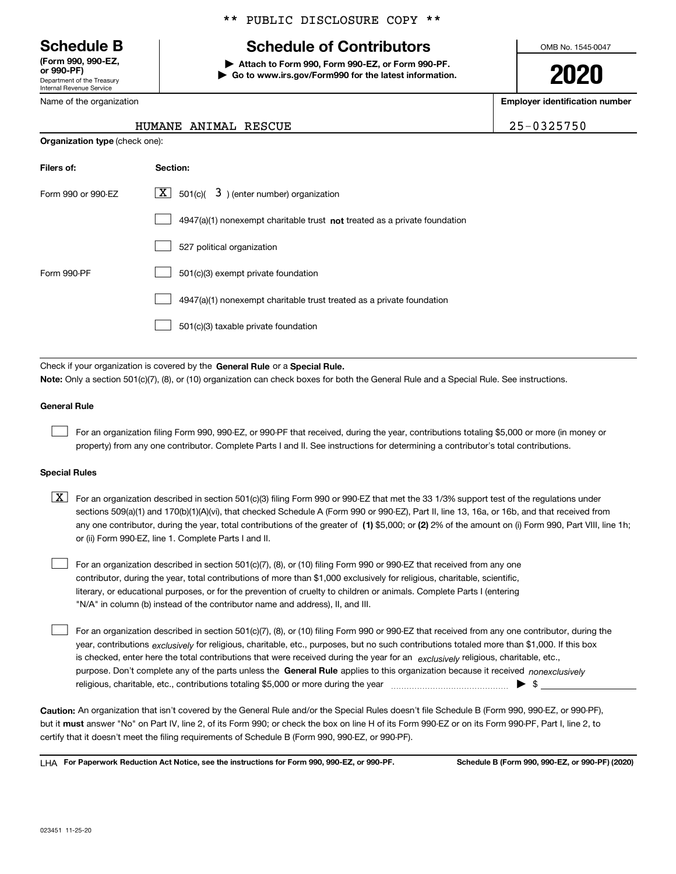Department of the Treasury Internal Revenue Service **(Form 990, 990-EZ, or 990-PF)**

\*\* PUBLIC DISCLOSURE COPY \*\*

# **Schedule B Schedule of Contributors**

**| Attach to Form 990, Form 990-EZ, or Form 990-PF. | Go to www.irs.gov/Form990 for the latest information.** OMB No. 1545-0047

**2020**

**Employer identification number**

| , , , , , , , , ,          |  |  |  |  |  |
|----------------------------|--|--|--|--|--|
| Department of the Treasury |  |  |  |  |  |
| Internal Revenue Service   |  |  |  |  |  |
| Name of the organization   |  |  |  |  |  |

**Organization type** (check one):

## HUMANE ANIMAL RESCUE 25-0325750

| Filers of:         | Section:                                                                           |
|--------------------|------------------------------------------------------------------------------------|
| Form 990 or 990-FZ | $\lfloor x \rfloor$ 501(c)( 3) (enter number) organization                         |
|                    | $4947(a)(1)$ nonexempt charitable trust <b>not</b> treated as a private foundation |
|                    | 527 political organization                                                         |
| Form 990-PF        | 501(c)(3) exempt private foundation                                                |
|                    | 4947(a)(1) nonexempt charitable trust treated as a private foundation              |
|                    | 501(c)(3) taxable private foundation                                               |

Check if your organization is covered by the **General Rule** or a **Special Rule. Note:**  Only a section 501(c)(7), (8), or (10) organization can check boxes for both the General Rule and a Special Rule. See instructions.

### **General Rule**

 $\mathcal{L}^{\text{max}}$ 

For an organization filing Form 990, 990-EZ, or 990-PF that received, during the year, contributions totaling \$5,000 or more (in money or property) from any one contributor. Complete Parts I and II. See instructions for determining a contributor's total contributions.

#### **Special Rules**

any one contributor, during the year, total contributions of the greater of  $\,$  (1) \$5,000; or **(2)** 2% of the amount on (i) Form 990, Part VIII, line 1h;  $\boxed{\textbf{X}}$  For an organization described in section 501(c)(3) filing Form 990 or 990-EZ that met the 33 1/3% support test of the regulations under sections 509(a)(1) and 170(b)(1)(A)(vi), that checked Schedule A (Form 990 or 990-EZ), Part II, line 13, 16a, or 16b, and that received from or (ii) Form 990-EZ, line 1. Complete Parts I and II.

For an organization described in section 501(c)(7), (8), or (10) filing Form 990 or 990-EZ that received from any one contributor, during the year, total contributions of more than \$1,000 exclusively for religious, charitable, scientific, literary, or educational purposes, or for the prevention of cruelty to children or animals. Complete Parts I (entering "N/A" in column (b) instead of the contributor name and address), II, and III.  $\mathcal{L}^{\text{max}}$ 

purpose. Don't complete any of the parts unless the **General Rule** applies to this organization because it received *nonexclusively* year, contributions <sub>exclusively</sub> for religious, charitable, etc., purposes, but no such contributions totaled more than \$1,000. If this box is checked, enter here the total contributions that were received during the year for an  $\;$ exclusively religious, charitable, etc., For an organization described in section 501(c)(7), (8), or (10) filing Form 990 or 990-EZ that received from any one contributor, during the religious, charitable, etc., contributions totaling \$5,000 or more during the year  $\Box$ — $\Box$   $\Box$  $\mathcal{L}^{\text{max}}$ 

**Caution:**  An organization that isn't covered by the General Rule and/or the Special Rules doesn't file Schedule B (Form 990, 990-EZ, or 990-PF),  **must** but it answer "No" on Part IV, line 2, of its Form 990; or check the box on line H of its Form 990-EZ or on its Form 990-PF, Part I, line 2, to certify that it doesn't meet the filing requirements of Schedule B (Form 990, 990-EZ, or 990-PF).

**For Paperwork Reduction Act Notice, see the instructions for Form 990, 990-EZ, or 990-PF. Schedule B (Form 990, 990-EZ, or 990-PF) (2020)** LHA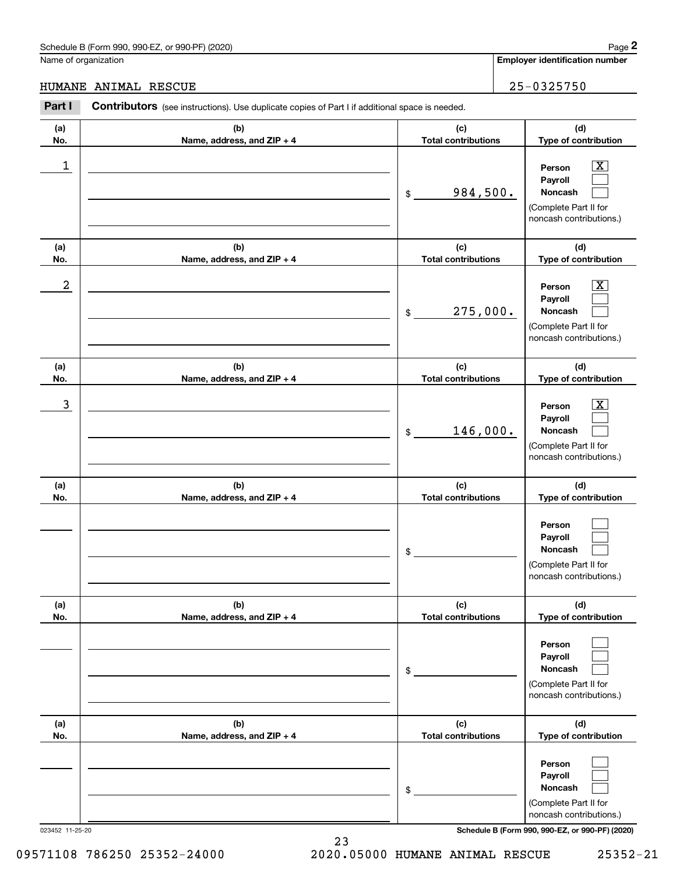|                      | Schedule B (Form 990, 990-EZ, or 990-PF) (2020)                                                |                                   | Page 2                                                                                                    |
|----------------------|------------------------------------------------------------------------------------------------|-----------------------------------|-----------------------------------------------------------------------------------------------------------|
| Name of organization |                                                                                                |                                   | <b>Employer identification number</b>                                                                     |
| <b>HUMANE</b>        | ANIMAL RESCUE                                                                                  |                                   | 25-0325750                                                                                                |
| Part I               | Contributors (see instructions). Use duplicate copies of Part I if additional space is needed. |                                   |                                                                                                           |
| (a)<br>No.           | (b)<br>Name, address, and ZIP + 4                                                              | (c)<br><b>Total contributions</b> | (d)<br>Type of contribution                                                                               |
| 1                    |                                                                                                | 984,500.<br>\$                    | $\overline{\text{X}}$<br>Person<br>Payroll<br>Noncash<br>(Complete Part II for<br>noncash contributions.) |
| (a)<br>No.           | (b)<br>Name, address, and ZIP + 4                                                              | (c)<br><b>Total contributions</b> | (d)<br>Type of contribution                                                                               |
| $\boldsymbol{2}$     |                                                                                                | 275,000.<br>\$                    | $\overline{\text{X}}$<br>Person<br>Payroll<br>Noncash<br>(Complete Part II for<br>noncash contributions.) |
| (a)<br>No.           | (b)<br>Name, address, and ZIP + 4                                                              | (c)<br><b>Total contributions</b> | (d)<br>Type of contribution                                                                               |
| 3                    |                                                                                                | 146,000.<br>\$                    | $\overline{\text{X}}$<br>Person<br>Payroll<br>Noncash<br>(Complete Part II for<br>noncash contributions.) |
| (a)<br>No.           | (b)<br>Name, address, and ZIP + 4                                                              | (c)<br><b>Total contributions</b> | (d)<br>Type of contribution                                                                               |
|                      |                                                                                                | \$                                | Person<br>Payroll<br>Noncash<br>(Complete Part II for<br>noncash contributions.)                          |
| (a)<br>No.           | (b)<br>Name, address, and ZIP + 4                                                              | (c)<br><b>Total contributions</b> | (d)<br>Type of contribution                                                                               |
|                      |                                                                                                | \$                                | Person<br>Payroll<br>Noncash<br>(Complete Part II for<br>noncash contributions.)                          |
| (a)<br>No.           | (b)<br>Name, address, and ZIP + 4                                                              | (c)<br><b>Total contributions</b> | (d)<br>Type of contribution                                                                               |
|                      |                                                                                                | \$                                | Person<br>Payroll<br>Noncash<br>(Complete Part II for<br>noncash contributions.)                          |

23

023452 11-25-20 **Schedule B (Form 990, 990-EZ, or 990-PF) (2020)**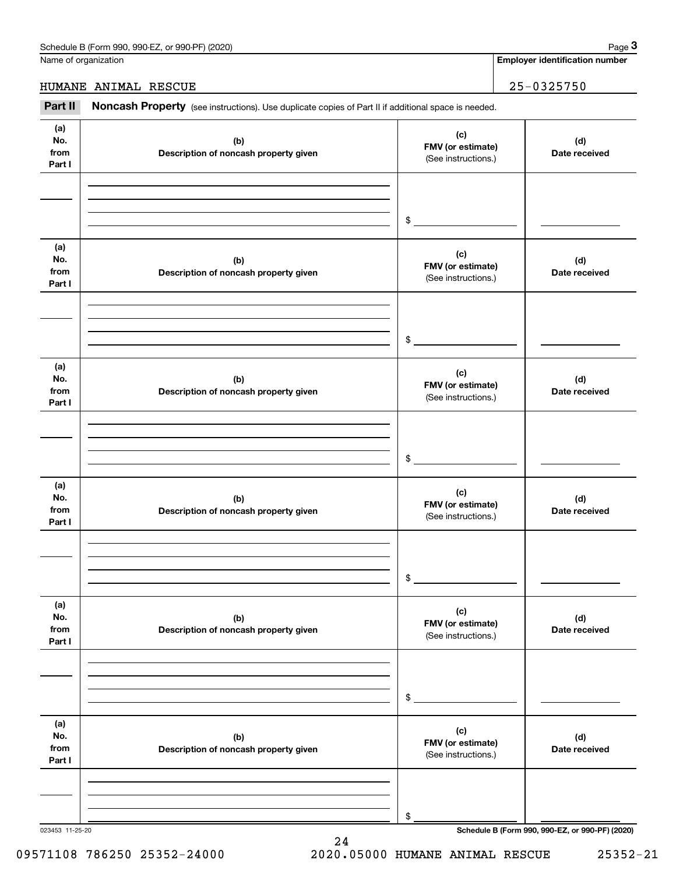Name of organization

# HUMANE ANIMAL RESCUE 25-0325750

(see instructions). Use duplicate copies of Part II if additional space is needed.<br> **2Part II Noncash Property** (see instructions). Use duplicate copies of Part II if additional space is needed.<br> **2Part II Noncash Prop** 

| (a)<br>No.<br>from<br>Part I | (b)<br>Description of noncash property given | (c)<br>FMV (or estimate)<br>(See instructions.) | (d)<br>Date received                            |
|------------------------------|----------------------------------------------|-------------------------------------------------|-------------------------------------------------|
|                              |                                              |                                                 |                                                 |
|                              |                                              | \$                                              |                                                 |
| (a)<br>No.<br>from<br>Part I | (b)<br>Description of noncash property given | (c)<br>FMV (or estimate)<br>(See instructions.) | (d)<br>Date received                            |
|                              |                                              |                                                 |                                                 |
|                              |                                              | \$                                              |                                                 |
| (a)<br>No.<br>from<br>Part I | (b)<br>Description of noncash property given | (c)<br>FMV (or estimate)<br>(See instructions.) | (d)<br>Date received                            |
|                              |                                              |                                                 |                                                 |
|                              |                                              | \$                                              |                                                 |
|                              |                                              |                                                 |                                                 |
| (a)<br>No.<br>from<br>Part I | (b)<br>Description of noncash property given | (c)<br>FMV (or estimate)<br>(See instructions.) | (d)<br>Date received                            |
|                              |                                              |                                                 |                                                 |
|                              |                                              | \$                                              |                                                 |
| (a)                          |                                              |                                                 |                                                 |
| No.<br>from<br>Part I        | (b)<br>Description of noncash property given | (c)<br>FMV (or estimate)<br>(See instructions.) | (d)<br>Date received                            |
|                              |                                              |                                                 |                                                 |
|                              |                                              |                                                 |                                                 |
|                              |                                              | \$                                              |                                                 |
| (a)<br>No.<br>from<br>Part I | (b)<br>Description of noncash property given | (c)<br>FMV (or estimate)<br>(See instructions.) | (d)<br>Date received                            |
|                              |                                              |                                                 |                                                 |
|                              |                                              |                                                 |                                                 |
| 023453 11-25-20              |                                              | \$                                              | Schedule B (Form 990, 990-EZ, or 990-PF) (2020) |

24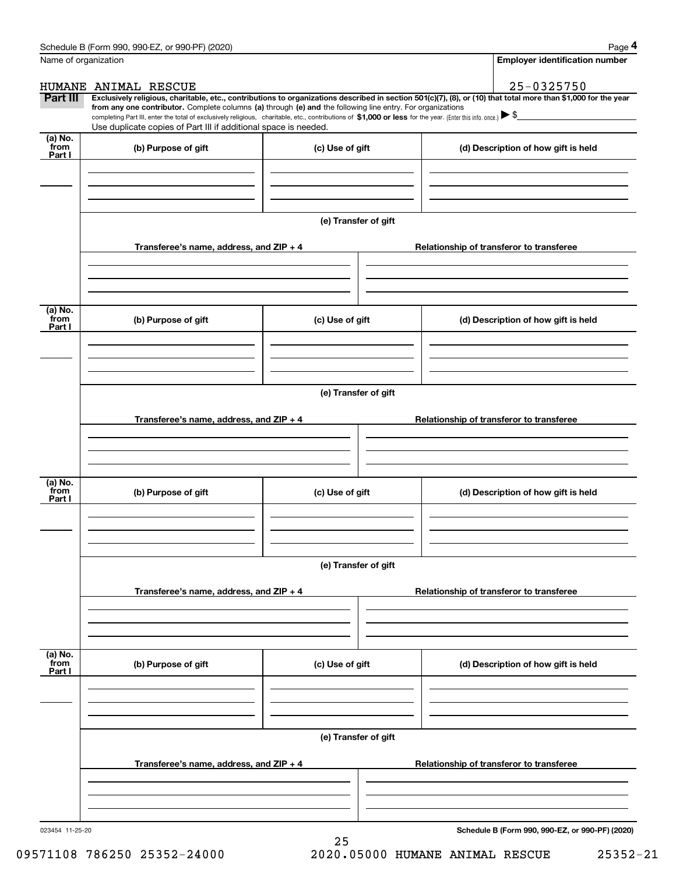|                           | Schedule B (Form 990, 990-EZ, or 990-PF) (2020)                                                                                                                                                                                                                            |                      |                                          |                                          | Page 4                                          |  |  |
|---------------------------|----------------------------------------------------------------------------------------------------------------------------------------------------------------------------------------------------------------------------------------------------------------------------|----------------------|------------------------------------------|------------------------------------------|-------------------------------------------------|--|--|
| Name of organization      |                                                                                                                                                                                                                                                                            |                      |                                          |                                          | <b>Employer identification number</b>           |  |  |
|                           | HUMANE ANIMAL RESCUE                                                                                                                                                                                                                                                       |                      |                                          |                                          | 25-0325750                                      |  |  |
| Part III                  | Exclusively religious, charitable, etc., contributions to organizations described in section 501(c)(7), (8), or (10) that total more than \$1,000 for the year                                                                                                             |                      |                                          |                                          |                                                 |  |  |
|                           | from any one contributor. Complete columns (a) through (e) and the following line entry. For organizations<br>completing Part III, enter the total of exclusively religious, charitable, etc., contributions of \$1,000 or less for the year. (Enter this info. once.) \\$ |                      |                                          |                                          |                                                 |  |  |
|                           | Use duplicate copies of Part III if additional space is needed.                                                                                                                                                                                                            |                      |                                          |                                          |                                                 |  |  |
| (a) No.<br>from<br>Part I | (b) Purpose of gift<br>(c) Use of gift                                                                                                                                                                                                                                     |                      |                                          |                                          | (d) Description of how gift is held             |  |  |
|                           |                                                                                                                                                                                                                                                                            |                      |                                          |                                          |                                                 |  |  |
|                           |                                                                                                                                                                                                                                                                            |                      |                                          |                                          |                                                 |  |  |
|                           | Transferee's name, address, and ZIP + 4                                                                                                                                                                                                                                    | (e) Transfer of gift |                                          |                                          | Relationship of transferor to transferee        |  |  |
|                           |                                                                                                                                                                                                                                                                            |                      |                                          |                                          |                                                 |  |  |
| (a) No.                   |                                                                                                                                                                                                                                                                            |                      |                                          |                                          |                                                 |  |  |
| from<br>Part I            | (b) Purpose of gift                                                                                                                                                                                                                                                        | (c) Use of gift      |                                          |                                          | (d) Description of how gift is held             |  |  |
|                           |                                                                                                                                                                                                                                                                            |                      |                                          |                                          |                                                 |  |  |
|                           |                                                                                                                                                                                                                                                                            | (e) Transfer of gift |                                          |                                          |                                                 |  |  |
|                           | Transferee's name, address, and ZIP + 4                                                                                                                                                                                                                                    |                      |                                          | Relationship of transferor to transferee |                                                 |  |  |
|                           |                                                                                                                                                                                                                                                                            |                      |                                          |                                          |                                                 |  |  |
| (a) No.                   |                                                                                                                                                                                                                                                                            |                      |                                          |                                          |                                                 |  |  |
| from<br>Part I            | (b) Purpose of gift                                                                                                                                                                                                                                                        | (c) Use of gift      |                                          |                                          | (d) Description of how gift is held             |  |  |
|                           |                                                                                                                                                                                                                                                                            |                      |                                          |                                          |                                                 |  |  |
|                           |                                                                                                                                                                                                                                                                            | (e) Transfer of gift |                                          |                                          |                                                 |  |  |
|                           | Transferee's name, address, and ZIP + 4                                                                                                                                                                                                                                    |                      | Relationship of transferor to transferee |                                          |                                                 |  |  |
|                           |                                                                                                                                                                                                                                                                            |                      |                                          |                                          |                                                 |  |  |
|                           |                                                                                                                                                                                                                                                                            |                      |                                          |                                          |                                                 |  |  |
| (a) No.<br>from<br>Part I | (b) Purpose of gift                                                                                                                                                                                                                                                        | (c) Use of gift      |                                          |                                          | (d) Description of how gift is held             |  |  |
|                           |                                                                                                                                                                                                                                                                            |                      |                                          |                                          |                                                 |  |  |
|                           |                                                                                                                                                                                                                                                                            |                      |                                          |                                          |                                                 |  |  |
|                           |                                                                                                                                                                                                                                                                            | (e) Transfer of gift |                                          |                                          |                                                 |  |  |
|                           | Transferee's name, address, and ZIP + 4                                                                                                                                                                                                                                    |                      |                                          |                                          | Relationship of transferor to transferee        |  |  |
|                           |                                                                                                                                                                                                                                                                            |                      |                                          |                                          |                                                 |  |  |
| 023454 11-25-20           |                                                                                                                                                                                                                                                                            |                      |                                          |                                          | Schedule B (Form 990, 990-EZ, or 990-PF) (2020) |  |  |

25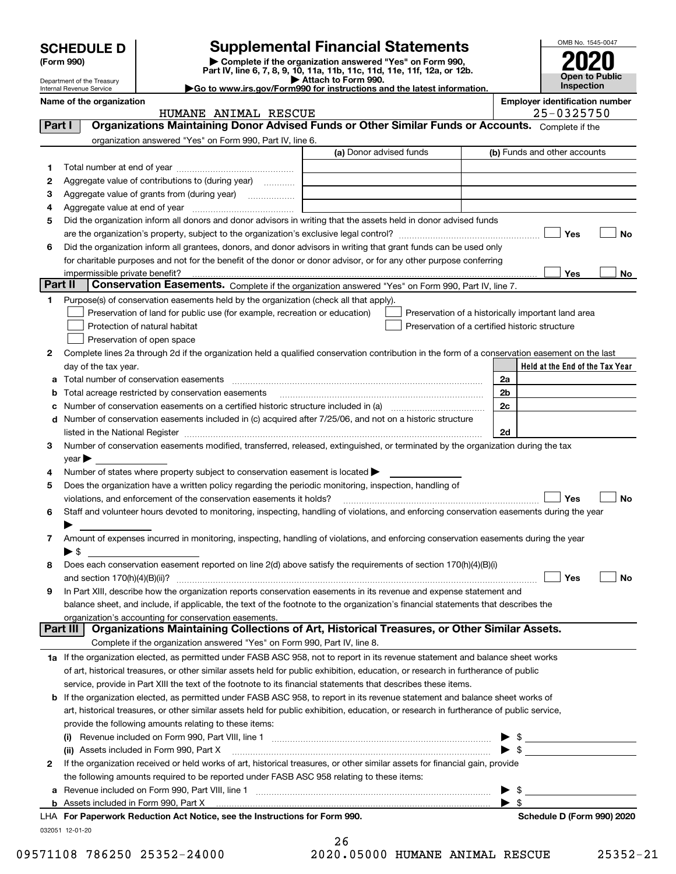|        | <b>SCHEDULE D</b>                                    |                                                                                                                                                | <b>Supplemental Financial Statements</b>                 |                                                    |                          | OMB No. 1545-0047                          |
|--------|------------------------------------------------------|------------------------------------------------------------------------------------------------------------------------------------------------|----------------------------------------------------------|----------------------------------------------------|--------------------------|--------------------------------------------|
|        | (Form 990)                                           | Part IV, line 6, 7, 8, 9, 10, 11a, 11b, 11c, 11d, 11e, 11f, 12a, or 12b.                                                                       | Complete if the organization answered "Yes" on Form 990, |                                                    |                          |                                            |
|        | Department of the Treasury                           | Go to www.irs.gov/Form990 for instructions and the latest information.                                                                         | Attach to Form 990.                                      |                                                    |                          | <b>Open to Public</b><br><b>Inspection</b> |
|        | Internal Revenue Service<br>Name of the organization |                                                                                                                                                |                                                          |                                                    |                          | <b>Employer identification number</b>      |
|        |                                                      | HUMANE ANIMAL RESCUE                                                                                                                           |                                                          |                                                    |                          | 25-0325750                                 |
| Part I |                                                      | Organizations Maintaining Donor Advised Funds or Other Similar Funds or Accounts. Complete if the                                              |                                                          |                                                    |                          |                                            |
|        |                                                      | organization answered "Yes" on Form 990, Part IV, line 6.                                                                                      |                                                          |                                                    |                          |                                            |
|        |                                                      |                                                                                                                                                | (a) Donor advised funds                                  |                                                    |                          | (b) Funds and other accounts               |
| 1      |                                                      |                                                                                                                                                |                                                          |                                                    |                          |                                            |
| 2      |                                                      | Aggregate value of contributions to (during year)                                                                                              |                                                          |                                                    |                          |                                            |
| 3      |                                                      |                                                                                                                                                |                                                          |                                                    |                          |                                            |
| 4      |                                                      |                                                                                                                                                |                                                          |                                                    |                          |                                            |
| 5      |                                                      | Did the organization inform all donors and donor advisors in writing that the assets held in donor advised funds                               |                                                          |                                                    |                          | Yes<br>No                                  |
| 6      |                                                      | Did the organization inform all grantees, donors, and donor advisors in writing that grant funds can be used only                              |                                                          |                                                    |                          |                                            |
|        |                                                      | for charitable purposes and not for the benefit of the donor or donor advisor, or for any other purpose conferring                             |                                                          |                                                    |                          |                                            |
|        |                                                      |                                                                                                                                                |                                                          |                                                    |                          | Yes<br>No                                  |
|        | Part II                                              | Conservation Easements. Complete if the organization answered "Yes" on Form 990, Part IV, line 7.                                              |                                                          |                                                    |                          |                                            |
| 1      |                                                      | Purpose(s) of conservation easements held by the organization (check all that apply).                                                          |                                                          |                                                    |                          |                                            |
|        |                                                      | Preservation of land for public use (for example, recreation or education)                                                                     |                                                          | Preservation of a historically important land area |                          |                                            |
|        |                                                      | Protection of natural habitat                                                                                                                  |                                                          | Preservation of a certified historic structure     |                          |                                            |
|        |                                                      | Preservation of open space                                                                                                                     |                                                          |                                                    |                          |                                            |
| 2      |                                                      | Complete lines 2a through 2d if the organization held a qualified conservation contribution in the form of a conservation easement on the last |                                                          |                                                    |                          |                                            |
|        | day of the tax year.                                 |                                                                                                                                                |                                                          |                                                    |                          | Held at the End of the Tax Year            |
| a      |                                                      |                                                                                                                                                |                                                          |                                                    | 2a                       |                                            |
| b<br>с |                                                      | Total acreage restricted by conservation easements                                                                                             |                                                          |                                                    | 2b<br>2c                 |                                            |
|        |                                                      | d Number of conservation easements included in (c) acquired after 7/25/06, and not on a historic structure                                     |                                                          |                                                    |                          |                                            |
|        |                                                      |                                                                                                                                                |                                                          |                                                    | 2d                       |                                            |
| 3      |                                                      | Number of conservation easements modified, transferred, released, extinguished, or terminated by the organization during the tax               |                                                          |                                                    |                          |                                            |
|        | $year \blacktriangleright$                           |                                                                                                                                                |                                                          |                                                    |                          |                                            |
| 4      |                                                      | Number of states where property subject to conservation easement is located $\blacktriangleright$                                              |                                                          |                                                    |                          |                                            |
| 5      |                                                      | Does the organization have a written policy regarding the periodic monitoring, inspection, handling of                                         |                                                          |                                                    |                          |                                            |
|        |                                                      | violations, and enforcement of the conservation easements it holds?                                                                            |                                                          |                                                    |                          | Yes<br>No                                  |
| 6      |                                                      | Staff and volunteer hours devoted to monitoring, inspecting, handling of violations, and enforcing conservation easements during the year      |                                                          |                                                    |                          |                                            |
|        |                                                      |                                                                                                                                                |                                                          |                                                    |                          |                                            |
| 7      |                                                      | Amount of expenses incurred in monitoring, inspecting, handling of violations, and enforcing conservation easements during the year            |                                                          |                                                    |                          |                                            |
|        | $\blacktriangleright$ \$                             |                                                                                                                                                |                                                          |                                                    |                          |                                            |
| 8      |                                                      | Does each conservation easement reported on line 2(d) above satisfy the requirements of section 170(h)(4)(B)(i)                                |                                                          |                                                    |                          | Yes<br>No                                  |
| 9      |                                                      | In Part XIII, describe how the organization reports conservation easements in its revenue and expense statement and                            |                                                          |                                                    |                          |                                            |
|        |                                                      | balance sheet, and include, if applicable, the text of the footnote to the organization's financial statements that describes the              |                                                          |                                                    |                          |                                            |
|        |                                                      | organization's accounting for conservation easements.                                                                                          |                                                          |                                                    |                          |                                            |
|        | Part III                                             | Organizations Maintaining Collections of Art, Historical Treasures, or Other Similar Assets.                                                   |                                                          |                                                    |                          |                                            |
|        |                                                      | Complete if the organization answered "Yes" on Form 990, Part IV, line 8.                                                                      |                                                          |                                                    |                          |                                            |
|        |                                                      | 1a If the organization elected, as permitted under FASB ASC 958, not to report in its revenue statement and balance sheet works                |                                                          |                                                    |                          |                                            |
|        |                                                      | of art, historical treasures, or other similar assets held for public exhibition, education, or research in furtherance of public              |                                                          |                                                    |                          |                                            |
|        |                                                      | service, provide in Part XIII the text of the footnote to its financial statements that describes these items.                                 |                                                          |                                                    |                          |                                            |
|        |                                                      | <b>b</b> If the organization elected, as permitted under FASB ASC 958, to report in its revenue statement and balance sheet works of           |                                                          |                                                    |                          |                                            |
|        |                                                      | art, historical treasures, or other similar assets held for public exhibition, education, or research in furtherance of public service,        |                                                          |                                                    |                          |                                            |
|        |                                                      | provide the following amounts relating to these items:                                                                                         |                                                          |                                                    |                          |                                            |
|        |                                                      | (ii) Assets included in Form 990, Part X                                                                                                       |                                                          |                                                    | $\blacktriangleright$ \$ | $\triangleright$ \$                        |
| 2      |                                                      | If the organization received or held works of art, historical treasures, or other similar assets for financial gain, provide                   |                                                          |                                                    |                          |                                            |
|        |                                                      | the following amounts required to be reported under FASB ASC 958 relating to these items:                                                      |                                                          |                                                    |                          |                                            |
| а      |                                                      |                                                                                                                                                |                                                          |                                                    | $\blacktriangleright$ \$ |                                            |
|        |                                                      |                                                                                                                                                |                                                          |                                                    | $\blacktriangleright$ \$ |                                            |

| LHA For Paperwork Reduction Act Notice, see the Instructions for Form 990. |
|----------------------------------------------------------------------------|
| 032051 12-01-20                                                            |

09571108 786250 25352-24000 2020.05000 HUMANE ANIMAL RESCUE 25352-21

26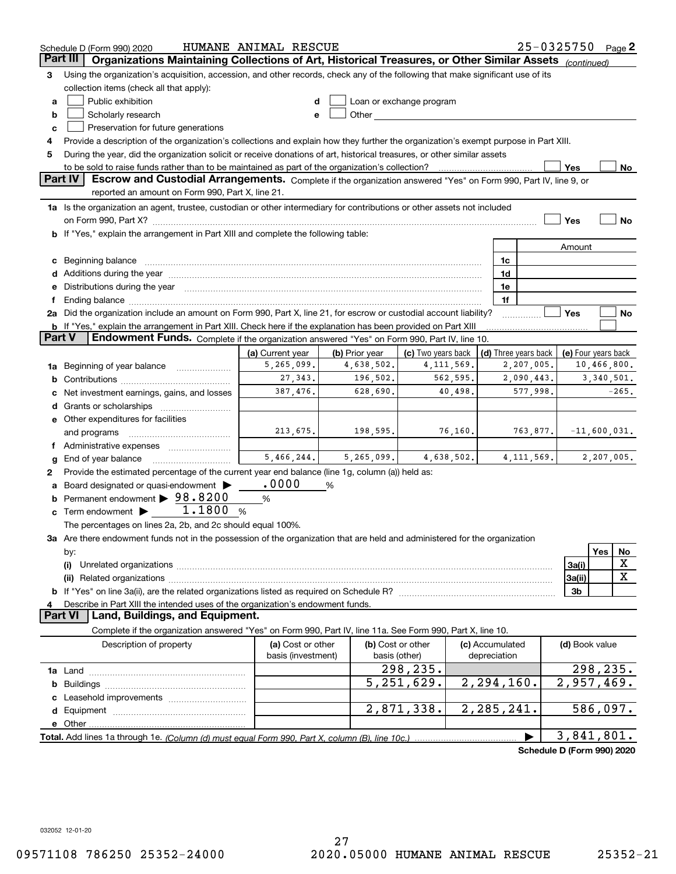|          | HUMANE ANIMAL RESCUE<br>25-0325750 Page 2<br>Schedule D (Form 990) 2020                                                                                                                                                               |                   |                |                                                                                                                                                                                                                               |  |                      |                            |                            |
|----------|---------------------------------------------------------------------------------------------------------------------------------------------------------------------------------------------------------------------------------------|-------------------|----------------|-------------------------------------------------------------------------------------------------------------------------------------------------------------------------------------------------------------------------------|--|----------------------|----------------------------|----------------------------|
| Part III | Organizations Maintaining Collections of Art, Historical Treasures, or Other Similar Assets (continued)                                                                                                                               |                   |                |                                                                                                                                                                                                                               |  |                      |                            |                            |
| 3        | Using the organization's acquisition, accession, and other records, check any of the following that make significant use of its                                                                                                       |                   |                |                                                                                                                                                                                                                               |  |                      |                            |                            |
|          | collection items (check all that apply):                                                                                                                                                                                              |                   |                |                                                                                                                                                                                                                               |  |                      |                            |                            |
| a        | Public exhibition                                                                                                                                                                                                                     |                   |                | Loan or exchange program                                                                                                                                                                                                      |  |                      |                            |                            |
| b        | Scholarly research                                                                                                                                                                                                                    | e                 |                | Other and the contract of the contract of the contract of the contract of the contract of the contract of the contract of the contract of the contract of the contract of the contract of the contract of the contract of the |  |                      |                            |                            |
| c        | Preservation for future generations                                                                                                                                                                                                   |                   |                |                                                                                                                                                                                                                               |  |                      |                            |                            |
| 4        | Provide a description of the organization's collections and explain how they further the organization's exempt purpose in Part XIII.                                                                                                  |                   |                |                                                                                                                                                                                                                               |  |                      |                            |                            |
| 5        | During the year, did the organization solicit or receive donations of art, historical treasures, or other similar assets                                                                                                              |                   |                |                                                                                                                                                                                                                               |  |                      |                            |                            |
|          |                                                                                                                                                                                                                                       |                   |                |                                                                                                                                                                                                                               |  |                      | Yes                        |                            |
|          | to be sold to raise funds rather than to be maintained as part of the organization's collection?<br><b>Part IV</b><br>Escrow and Custodial Arrangements. Complete if the organization answered "Yes" on Form 990, Part IV, line 9, or |                   |                |                                                                                                                                                                                                                               |  |                      |                            | No                         |
|          | reported an amount on Form 990, Part X, line 21.                                                                                                                                                                                      |                   |                |                                                                                                                                                                                                                               |  |                      |                            |                            |
|          |                                                                                                                                                                                                                                       |                   |                |                                                                                                                                                                                                                               |  |                      |                            |                            |
|          | 1a Is the organization an agent, trustee, custodian or other intermediary for contributions or other assets not included                                                                                                              |                   |                |                                                                                                                                                                                                                               |  |                      |                            |                            |
|          |                                                                                                                                                                                                                                       |                   |                |                                                                                                                                                                                                                               |  |                      | Yes                        | No                         |
|          | <b>b</b> If "Yes," explain the arrangement in Part XIII and complete the following table:                                                                                                                                             |                   |                |                                                                                                                                                                                                                               |  |                      |                            |                            |
|          |                                                                                                                                                                                                                                       |                   |                |                                                                                                                                                                                                                               |  |                      | Amount                     |                            |
| c        | Beginning balance <b>contract to the contract of the contract of the contract of the contract of the contract of t</b>                                                                                                                |                   |                |                                                                                                                                                                                                                               |  | 1c                   |                            |                            |
|          |                                                                                                                                                                                                                                       |                   |                |                                                                                                                                                                                                                               |  | 1d                   |                            |                            |
| е        | Distributions during the year manufactured and continuum and contact the year manufactured and contact the year                                                                                                                       |                   |                |                                                                                                                                                                                                                               |  | 1e                   |                            |                            |
|          | Ending balance manufactured and contact and contact the contact of the contact of the contact of the contact of                                                                                                                       |                   |                |                                                                                                                                                                                                                               |  | 1f                   |                            |                            |
|          | 2a Did the organization include an amount on Form 990, Part X, line 21, for escrow or custodial account liability?                                                                                                                    |                   |                |                                                                                                                                                                                                                               |  |                      | Yes                        | No                         |
|          | <b>b</b> If "Yes," explain the arrangement in Part XIII. Check here if the explanation has been provided on Part XIII                                                                                                                 |                   |                |                                                                                                                                                                                                                               |  |                      |                            |                            |
| Part V   | Endowment Funds. Complete if the organization answered "Yes" on Form 990, Part IV, line 10.                                                                                                                                           |                   |                |                                                                                                                                                                                                                               |  |                      |                            |                            |
|          |                                                                                                                                                                                                                                       | (a) Current year  | (b) Prior year | (c) Two years back                                                                                                                                                                                                            |  | (d) Three years back |                            | (e) Four years back        |
| 1a       | Beginning of year balance                                                                                                                                                                                                             | 5,265,099.        | 4,638,502.     | 4, 111, 569.                                                                                                                                                                                                                  |  | 2,207,005.           |                            | 10,466,800.                |
| b        |                                                                                                                                                                                                                                       | 27,343.           | 196,502.       | 562,595.                                                                                                                                                                                                                      |  | 2,090,443.           |                            | 3,340,501.                 |
|          | Net investment earnings, gains, and losses                                                                                                                                                                                            | 387,476.          | 628,690.       | 40,498.                                                                                                                                                                                                                       |  | 577,998.             |                            | $-265.$                    |
| d        |                                                                                                                                                                                                                                       |                   |                |                                                                                                                                                                                                                               |  |                      |                            |                            |
|          | e Other expenditures for facilities                                                                                                                                                                                                   |                   |                |                                                                                                                                                                                                                               |  |                      |                            |                            |
|          | and programs                                                                                                                                                                                                                          | 213,675.          | 198,595.       | 76,160.                                                                                                                                                                                                                       |  | 763,877.             |                            | $-11,600,031.$             |
|          |                                                                                                                                                                                                                                       |                   |                |                                                                                                                                                                                                                               |  |                      |                            |                            |
|          | End of year balance                                                                                                                                                                                                                   | 5,466,244.        | 5, 265, 099.   | 4,638,502.                                                                                                                                                                                                                    |  | 4, 111, 569.         |                            | 2,207,005.                 |
| g        |                                                                                                                                                                                                                                       |                   |                |                                                                                                                                                                                                                               |  |                      |                            |                            |
| 2        | Provide the estimated percentage of the current year end balance (line 1g, column (a)) held as:                                                                                                                                       | .0000             |                |                                                                                                                                                                                                                               |  |                      |                            |                            |
| а        | Board designated or quasi-endowment >                                                                                                                                                                                                 |                   | %              |                                                                                                                                                                                                                               |  |                      |                            |                            |
| b        | Permanent endowment > 98.8200                                                                                                                                                                                                         | %                 |                |                                                                                                                                                                                                                               |  |                      |                            |                            |
| c        | Term endowment $\blacktriangleright$ 1.1800                                                                                                                                                                                           | - %               |                |                                                                                                                                                                                                                               |  |                      |                            |                            |
|          | The percentages on lines 2a, 2b, and 2c should equal 100%.                                                                                                                                                                            |                   |                |                                                                                                                                                                                                                               |  |                      |                            |                            |
|          | 3a Are there endowment funds not in the possession of the organization that are held and administered for the organization                                                                                                            |                   |                |                                                                                                                                                                                                                               |  |                      |                            |                            |
|          | by:                                                                                                                                                                                                                                   |                   |                |                                                                                                                                                                                                                               |  |                      |                            | Yes<br>No                  |
|          | (i)                                                                                                                                                                                                                                   |                   |                |                                                                                                                                                                                                                               |  |                      | 3a(i)                      | х                          |
|          |                                                                                                                                                                                                                                       |                   |                |                                                                                                                                                                                                                               |  |                      | 3a(ii)                     | X                          |
|          |                                                                                                                                                                                                                                       |                   |                |                                                                                                                                                                                                                               |  |                      | 3b                         |                            |
|          | Describe in Part XIII the intended uses of the organization's endowment funds.                                                                                                                                                        |                   |                |                                                                                                                                                                                                                               |  |                      |                            |                            |
|          | Land, Buildings, and Equipment.<br>Part VI                                                                                                                                                                                            |                   |                |                                                                                                                                                                                                                               |  |                      |                            |                            |
|          | Complete if the organization answered "Yes" on Form 990, Part IV, line 11a. See Form 990, Part X, line 10.                                                                                                                            |                   |                |                                                                                                                                                                                                                               |  |                      |                            |                            |
|          | Description of property                                                                                                                                                                                                               | (a) Cost or other |                | (b) Cost or other                                                                                                                                                                                                             |  | (c) Accumulated      | (d) Book value             |                            |
|          | basis (investment)<br>depreciation<br>basis (other)                                                                                                                                                                                   |                   |                |                                                                                                                                                                                                                               |  |                      |                            |                            |
|          |                                                                                                                                                                                                                                       |                   |                | 298,235.                                                                                                                                                                                                                      |  |                      |                            | 298, 235.                  |
| b        |                                                                                                                                                                                                                                       |                   |                | $\overline{5}$ , 251, 629.                                                                                                                                                                                                    |  | 2, 294, 160.         |                            | $\overline{2}$ , 957, 469. |
|          |                                                                                                                                                                                                                                       |                   |                |                                                                                                                                                                                                                               |  |                      |                            |                            |
|          |                                                                                                                                                                                                                                       |                   |                | 2,871,338.                                                                                                                                                                                                                    |  | 2,285,241.           |                            | 586,097.                   |
|          | e Other                                                                                                                                                                                                                               |                   |                |                                                                                                                                                                                                                               |  |                      |                            |                            |
|          | Total. Add lines 1a through 1e. (Column (d) must equal Form 990. Part X, column (B), line 10c.)                                                                                                                                       |                   |                |                                                                                                                                                                                                                               |  |                      |                            | 3,841,801.                 |
|          |                                                                                                                                                                                                                                       |                   |                |                                                                                                                                                                                                                               |  |                      | Schedule D (Form 990) 2020 |                            |
|          |                                                                                                                                                                                                                                       |                   |                |                                                                                                                                                                                                                               |  |                      |                            |                            |

032052 12-01-20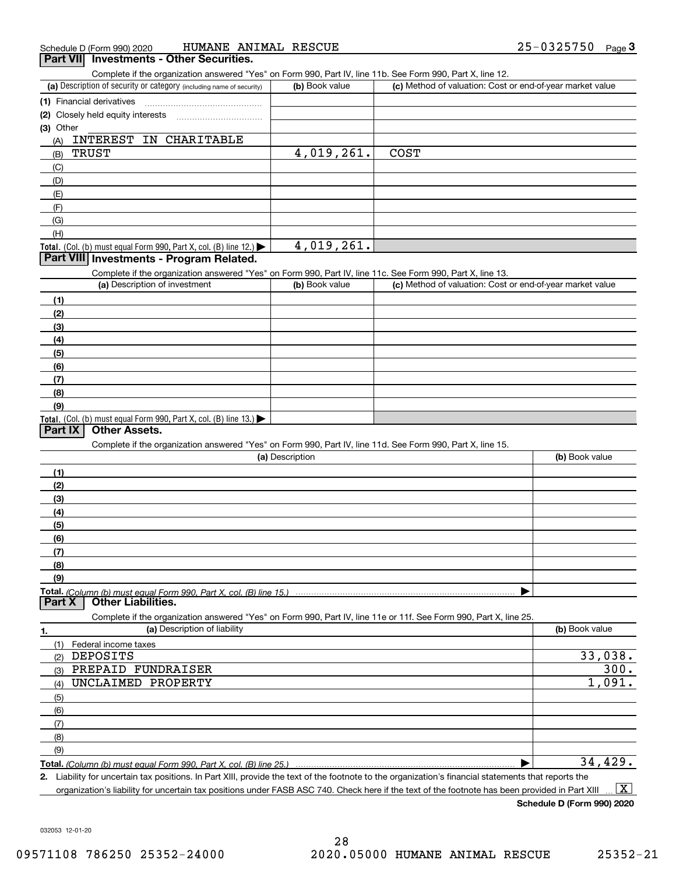| Schedule D (Form 990) 2020 | HUMANE ANIMAL RESCUE                     | 25-0325750 | Page J |
|----------------------------|------------------------------------------|------------|--------|
|                            | Part VII Investments - Other Securities. |            |        |

| Part VIII Investments - Other Securities. |  |
|-------------------------------------------|--|
|-------------------------------------------|--|

Complete if the organization answered "Yes" on Form 990, Part IV, line 11b. See Form 990, Part X, line 12.

| (a) Description of security or category (including name of security)                          | (b) Book value | (c) Method of valuation: Cost or end-of-year market value |
|-----------------------------------------------------------------------------------------------|----------------|-----------------------------------------------------------|
| (1) Financial derivatives                                                                     |                |                                                           |
| (2) Closely held equity interests                                                             |                |                                                           |
| $(3)$ Other                                                                                   |                |                                                           |
| INTEREST IN CHARITABLE<br>(A)                                                                 |                |                                                           |
| TRUST<br>(B)                                                                                  | 4,019,261.     | <b>COST</b>                                               |
| (C)                                                                                           |                |                                                           |
| (D)                                                                                           |                |                                                           |
| (E)                                                                                           |                |                                                           |
| (E)                                                                                           |                |                                                           |
| (G)                                                                                           |                |                                                           |
| (H)                                                                                           |                |                                                           |
| <b>Total.</b> (Col. (b) must equal Form 990, Part X, col. (B) line 12.) $\blacktriangleright$ | 4,019,261.     |                                                           |

#### **Part VIII Investments - Program Related.**

Complete if the organization answered "Yes" on Form 990, Part IV, line 11c. See Form 990, Part X, line 13.

| (a) Description of investment                                                                 | (b) Book value | (c) Method of valuation: Cost or end-of-year market value |
|-----------------------------------------------------------------------------------------------|----------------|-----------------------------------------------------------|
| (1)                                                                                           |                |                                                           |
| (2)                                                                                           |                |                                                           |
| $\left(3\right)$                                                                              |                |                                                           |
| (4)                                                                                           |                |                                                           |
| $\left(5\right)$                                                                              |                |                                                           |
| (6)                                                                                           |                |                                                           |
| (7)                                                                                           |                |                                                           |
| (8)                                                                                           |                |                                                           |
| (9)                                                                                           |                |                                                           |
| <b>Total.</b> (Col. (b) must equal Form 990, Part X, col. (B) line 13.) $\blacktriangleright$ |                |                                                           |

#### **Part IX Other Assets.**

Complete if the organization answered "Yes" on Form 990, Part IV, line 11d. See Form 990, Part X, line 15.

| (a) Description | (b) Book value |
|-----------------|----------------|
|                 |                |
| (2)             |                |
| (3)             |                |
| (4)             |                |
| (5)             |                |
| (6)             |                |
| (7)             |                |
| (8)             |                |
| (9)             |                |
|                 |                |
|                 |                |

Complete if the organization answered "Yes" on Form 990, Part IV, line 11e or 11f. See Form 990, Part X, line 25.

| 1.  | (a) Description of liability                                       | (b) Book value         |
|-----|--------------------------------------------------------------------|------------------------|
| (1) | Federal income taxes                                               |                        |
| (2) | DEPOSITS                                                           | $\frac{33,038.}{300.}$ |
| (3) | PREPAID FUNDRAISER                                                 |                        |
| (4) | UNCLAIMED PROPERTY                                                 | 1,091.                 |
| (5) |                                                                    |                        |
| (6) |                                                                    |                        |
| (7) |                                                                    |                        |
| (8) |                                                                    |                        |
| (9) |                                                                    |                        |
|     | Total. (Column (b) must equal Form 990, Part X, col. (B) line 25.) | 34,429                 |

**2.** Liability for uncertain tax positions. In Part XIII, provide the text of the footnote to the organization's financial statements that reports the organization's liability for uncertain tax positions under FASB ASC 740. Check here if the text of the footnote has been provided in Part XIII  $\boxed{\text{X}}$ 

**Schedule D (Form 990) 2020**

032053 12-01-20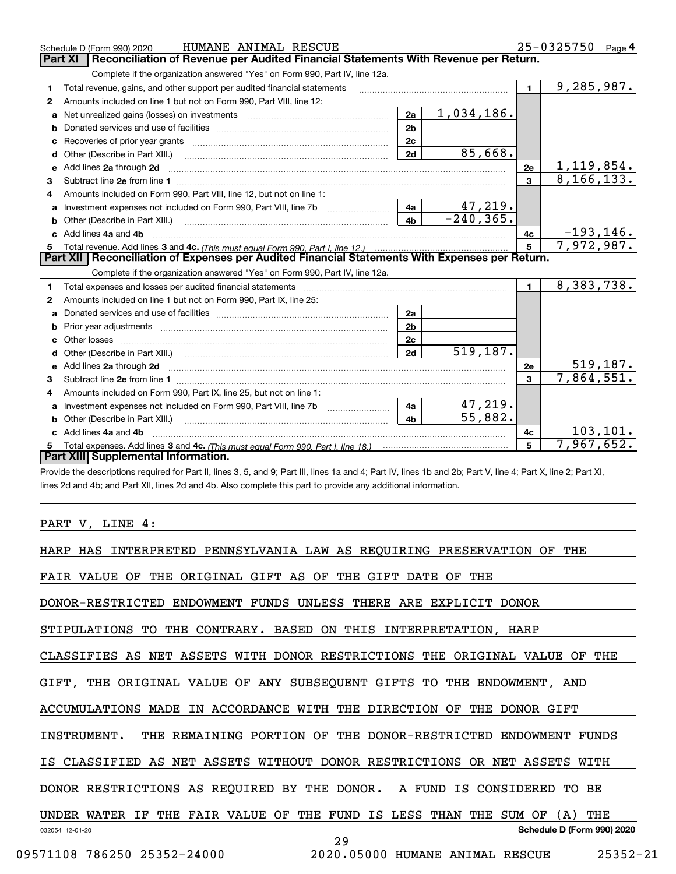|    | HUMANE ANIMAL RESCUE<br>Schedule D (Form 990) 2020                                                    |                |              |                | 25-0325750 Page 4 |
|----|-------------------------------------------------------------------------------------------------------|----------------|--------------|----------------|-------------------|
|    | Reconciliation of Revenue per Audited Financial Statements With Revenue per Return.<br><b>Part XI</b> |                |              |                |                   |
|    | Complete if the organization answered "Yes" on Form 990, Part IV, line 12a.                           |                |              |                |                   |
| 1  | Total revenue, gains, and other support per audited financial statements                              |                |              | $\blacksquare$ | 9,285,987.        |
| 2  | Amounts included on line 1 but not on Form 990, Part VIII, line 12:                                   |                |              |                |                   |
| a  |                                                                                                       | 2a             | 1,034,186.   |                |                   |
| b  |                                                                                                       | 2 <sub>b</sub> |              |                |                   |
| c  |                                                                                                       | 2c             |              |                |                   |
| d  | Other (Describe in Part XIII.)                                                                        | 2d             | 85,668.      |                |                   |
| e  | Add lines 2a through 2d                                                                               |                |              | 2e             | 1, 119, 854.      |
| з  |                                                                                                       |                |              | $\mathbf{3}$   | 8, 166, 133.      |
|    | Amounts included on Form 990, Part VIII, line 12, but not on line 1:                                  |                |              |                |                   |
| a  | Investment expenses not included on Form 990, Part VIII, line 7b                                      | 4a             | 47,219.      |                |                   |
|    | <b>b</b> Other (Describe in Part XIII.)                                                               | 4 <sub>b</sub> | $-240, 365.$ |                |                   |
|    | Add lines 4a and 4b                                                                                   |                |              | 4c             | $-193, 146.$      |
| 5  |                                                                                                       |                |              | 5              | 7,972,987.        |
|    | Part XII   Reconciliation of Expenses per Audited Financial Statements With Expenses per Return.      |                |              |                |                   |
|    | Complete if the organization answered "Yes" on Form 990, Part IV, line 12a.                           |                |              |                |                   |
| 1. | Total expenses and losses per audited financial statements                                            |                |              | $\blacksquare$ | 8,383,738.        |
| 2  | Amounts included on line 1 but not on Form 990, Part IX, line 25:                                     |                |              |                |                   |
| a  |                                                                                                       | 2a             |              |                |                   |
| b  |                                                                                                       | 2 <sub>b</sub> |              |                |                   |
|    |                                                                                                       | 2c             |              |                |                   |
|    |                                                                                                       | 2d             | 519,187.     |                |                   |
|    |                                                                                                       |                |              | 2e             | 519, 187.         |
| 3  |                                                                                                       |                |              | 3              | 7,864,551.        |
| 4  | Amounts included on Form 990, Part IX, line 25, but not on line 1:                                    |                |              |                |                   |
| a  |                                                                                                       | 4a             | 47,219.      |                |                   |
| b  | Other (Describe in Part XIII.)                                                                        | 4 <sub>b</sub> | 55,882.      |                |                   |
|    | Add lines 4a and 4b                                                                                   |                |              | 4c             | 103,101.          |
|    |                                                                                                       |                |              | 5              | 7,967,652.        |
|    | Part XIII Supplemental Information.                                                                   |                |              |                |                   |

Provide the descriptions required for Part II, lines 3, 5, and 9; Part III, lines 1a and 4; Part IV, lines 1b and 2b; Part V, line 4; Part X, line 2; Part XI, lines 2d and 4b; and Part XII, lines 2d and 4b. Also complete this part to provide any additional information.

PART V, LINE 4:

| PENNSYLVANIA LAW AS REQUIRING PRESERVATION<br>HARP<br>HAS INTERPRETED<br>OF<br>THE                          |
|-------------------------------------------------------------------------------------------------------------|
| OF THE ORIGINAL GIFT AS OF THE GIFT DATE<br><b>FAIR VALUE</b><br>OF THE                                     |
| DONOR-RESTRICTED ENDOWMENT FUNDS UNLESS THERE ARE EXPLICIT DONOR                                            |
| STIPULATIONS<br>THE CONTRARY. BASED<br>ON THIS INTERPRETATION, HARP<br>TO                                   |
| CLASSIFIES AS NET ASSETS WITH DONOR RESTRICTIONS THE<br>ORIGINAL VALUE<br>THE<br>OF                         |
| THE ORIGINAL VALUE OF ANY SUBSEQUENT GIFTS TO THE ENDOWMENT, AND<br>GIFT,                                   |
| ACCUMULATIONS MADE IN ACCORDANCE WITH THE DIRECTION<br>OF<br>THE DONOR GIFT                                 |
| INSTRUMENT.<br>THE REMAINING PORTION OF THE DONOR-RESTRICTED ENDOWMENT FUNDS                                |
| IS CLASSIFIED AS NET ASSETS WITHOUT DONOR RESTRICTIONS OR NET ASSETS WITH                                   |
| DONOR RESTRICTIONS AS REQUIRED BY THE DONOR.<br>A FUND<br>IS CONSIDERED<br>TO BE                            |
| THE FAIR VALUE<br>OF<br>THE<br>FUND<br>IS LESS<br>THAN<br>THE<br>UNDER WATER<br>IF.<br>THE<br>SUM OF<br>(A) |
| Schedule D (Form 990) 2020<br>032054 12-01-20<br>29                                                         |
| $25352 - 21$<br>09571108 786250 25352-24000<br>2020.05000 HUMANE ANIMAL RESCUE                              |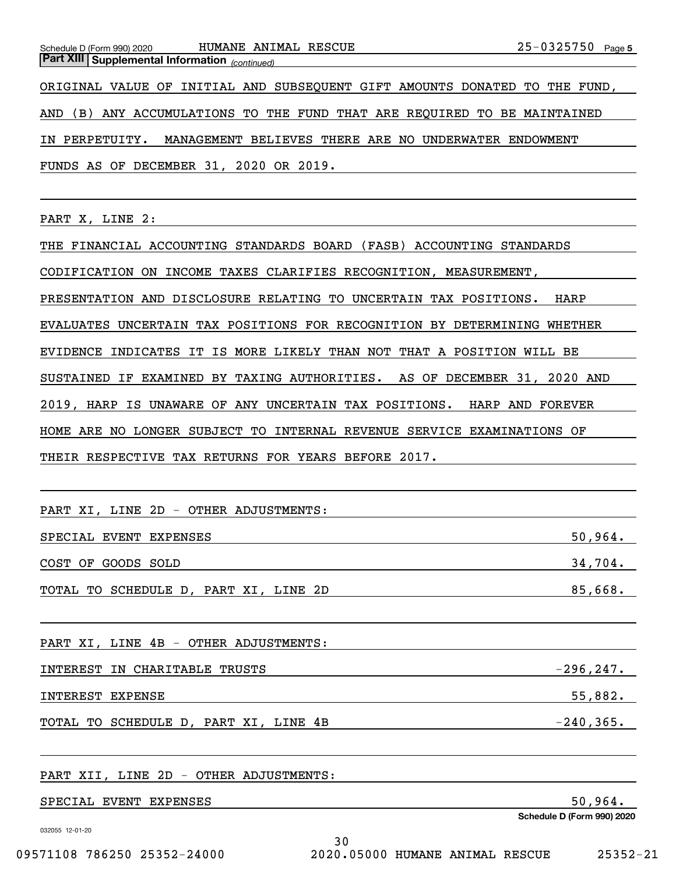*(continued)* **Part XIII Supplemental Information** 

ORIGINAL VALUE OF INITIAL AND SUBSEQUENT GIFT AMOUNTS DONATED TO THE FUND, AND (B) ANY ACCUMULATIONS TO THE FUND THAT ARE REQUIRED TO BE MAINTAINED IN PERPETUITY. MANAGEMENT BELIEVES THERE ARE NO UNDERWATER ENDOWMENT FUNDS AS OF DECEMBER 31, 2020 OR 2019.

PART X, LINE 2:

THE FINANCIAL ACCOUNTING STANDARDS BOARD (FASB) ACCOUNTING STANDARDS CODIFICATION ON INCOME TAXES CLARIFIES RECOGNITION, MEASUREMENT, PRESENTATION AND DISCLOSURE RELATING TO UNCERTAIN TAX POSITIONS. HARP EVALUATES UNCERTAIN TAX POSITIONS FOR RECOGNITION BY DETERMINING WHETHER EVIDENCE INDICATES IT IS MORE LIKELY THAN NOT THAT A POSITION WILL BE SUSTAINED IF EXAMINED BY TAXING AUTHORITIES. AS OF DECEMBER 31, 2020 AND 2019, HARP IS UNAWARE OF ANY UNCERTAIN TAX POSITIONS. HARP AND FOREVER HOME ARE NO LONGER SUBJECT TO INTERNAL REVENUE SERVICE EXAMINATIONS OF THEIR RESPECTIVE TAX RETURNS FOR YEARS BEFORE 2017.

| PART XI, LINE 2D - OTHER ADJUSTMENTS: |              |
|---------------------------------------|--------------|
| SPECIAL EVENT EXPENSES                | 50,964.      |
| COST OF GOODS SOLD                    | 34,704.      |
| TOTAL TO SCHEDULE D, PART XI, LINE 2D | 85,668.      |
|                                       |              |
| PART XI, LINE 4B - OTHER ADJUSTMENTS: |              |
| INTEREST IN CHARITABLE TRUSTS         | $-296, 247.$ |
| INTEREST EXPENSE                      | 55,882.      |
| TOTAL TO SCHEDULE D, PART XI, LINE 4B | $-240, 365.$ |
|                                       |              |

PART XII, LINE 2D - OTHER ADJUSTMENTS:

SPECIAL EVENT EXPENSES 50, 50 and 50, 50 and 50, 50 and 50, 50 and 50, 50 and 50.

032055 12-01-20

**Schedule D (Form 990) 2020**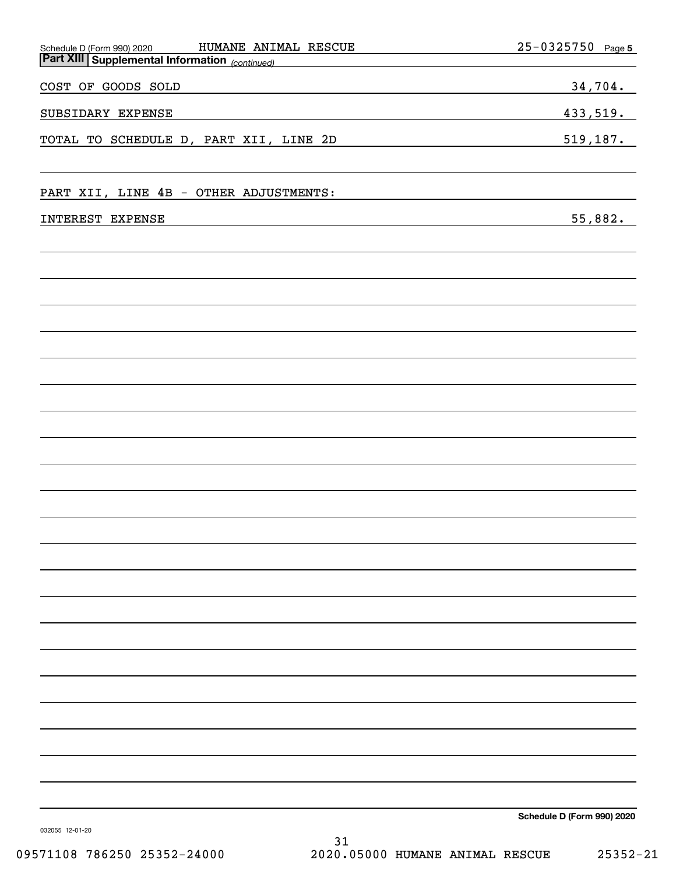| HUMANE ANIMAL RESCUE                                                                     | $25 - 0325750$<br>Page 5   |
|------------------------------------------------------------------------------------------|----------------------------|
| Schedule D (Form 990) 2020 HUMANE ANI.<br>Part XIII Supplemental Information (continued) |                            |
| COST OF GOODS SOLD                                                                       | 34,704.                    |
| SUBSIDARY EXPENSE                                                                        | 433,519.                   |
| TOTAL TO SCHEDULE D, PART XII, LINE 2D                                                   | 519,187.                   |
| PART XII, LINE 4B - OTHER ADJUSTMENTS:                                                   |                            |
| INTEREST EXPENSE                                                                         | 55,882.                    |
|                                                                                          |                            |
|                                                                                          |                            |
|                                                                                          |                            |
|                                                                                          |                            |
|                                                                                          |                            |
|                                                                                          |                            |
|                                                                                          |                            |
|                                                                                          |                            |
|                                                                                          |                            |
|                                                                                          |                            |
|                                                                                          |                            |
|                                                                                          |                            |
|                                                                                          |                            |
|                                                                                          |                            |
|                                                                                          |                            |
|                                                                                          |                            |
| 032055 12-01-20                                                                          | Schedule D (Form 990) 2020 |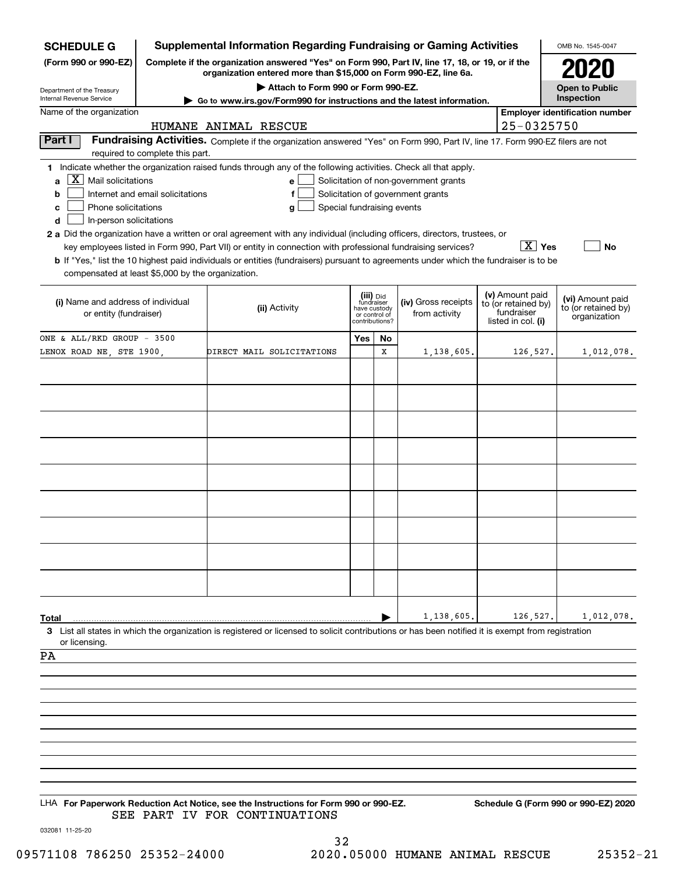| <b>SCHEDULE G</b>                                                                                                                              | <b>Supplemental Information Regarding Fundraising or Gaming Activities</b> |                                                                                                                                                                                                                                                             |                                             | OMB No. 1545-0047 |                                       |                                   |                                         |                                       |  |  |
|------------------------------------------------------------------------------------------------------------------------------------------------|----------------------------------------------------------------------------|-------------------------------------------------------------------------------------------------------------------------------------------------------------------------------------------------------------------------------------------------------------|---------------------------------------------|-------------------|---------------------------------------|-----------------------------------|-----------------------------------------|---------------------------------------|--|--|
| (Form 990 or 990-EZ)                                                                                                                           |                                                                            | Complete if the organization answered "Yes" on Form 990, Part IV, line 17, 18, or 19, or if the<br>organization entered more than \$15,000 on Form 990-EZ, line 6a.                                                                                         |                                             |                   |                                       |                                   |                                         |                                       |  |  |
| Department of the Treasury<br><b>Internal Revenue Service</b>                                                                                  |                                                                            | Attach to Form 990 or Form 990-EZ.                                                                                                                                                                                                                          |                                             |                   |                                       |                                   |                                         | <b>Open to Public</b><br>Inspection   |  |  |
| Name of the organization                                                                                                                       |                                                                            | ► Go to www.irs.gov/Form990 for instructions and the latest information.                                                                                                                                                                                    |                                             |                   |                                       |                                   |                                         | <b>Employer identification number</b> |  |  |
|                                                                                                                                                |                                                                            | HUMANE ANIMAL RESCUE                                                                                                                                                                                                                                        |                                             |                   |                                       |                                   | 25-0325750                              |                                       |  |  |
| Part I                                                                                                                                         | required to complete this part.                                            | Fundraising Activities. Complete if the organization answered "Yes" on Form 990, Part IV, line 17. Form 990-EZ filers are not                                                                                                                               |                                             |                   |                                       |                                   |                                         |                                       |  |  |
|                                                                                                                                                |                                                                            | 1 Indicate whether the organization raised funds through any of the following activities. Check all that apply.                                                                                                                                             |                                             |                   |                                       |                                   |                                         |                                       |  |  |
| X  <br>Mail solicitations<br>a                                                                                                                 |                                                                            | $\mathbf{e}$                                                                                                                                                                                                                                                |                                             |                   | Solicitation of non-government grants |                                   |                                         |                                       |  |  |
| Solicitation of government grants<br>Internet and email solicitations<br>f<br>b<br>Special fundraising events<br>Phone solicitations<br>с<br>g |                                                                            |                                                                                                                                                                                                                                                             |                                             |                   |                                       |                                   |                                         |                                       |  |  |
| In-person solicitations<br>d                                                                                                                   |                                                                            |                                                                                                                                                                                                                                                             |                                             |                   |                                       |                                   |                                         |                                       |  |  |
|                                                                                                                                                |                                                                            | 2 a Did the organization have a written or oral agreement with any individual (including officers, directors, trustees, or                                                                                                                                  |                                             |                   |                                       |                                   |                                         |                                       |  |  |
|                                                                                                                                                |                                                                            | key employees listed in Form 990, Part VII) or entity in connection with professional fundraising services?<br><b>b</b> If "Yes," list the 10 highest paid individuals or entities (fundraisers) pursuant to agreements under which the fundraiser is to be |                                             |                   |                                       |                                   | $\boxed{\text{X}}$ Yes                  | No                                    |  |  |
|                                                                                                                                                | compensated at least \$5,000 by the organization.                          |                                                                                                                                                                                                                                                             |                                             |                   |                                       |                                   |                                         |                                       |  |  |
|                                                                                                                                                |                                                                            |                                                                                                                                                                                                                                                             | (iii) Did                                   |                   |                                       |                                   | (v) Amount paid                         |                                       |  |  |
| (i) Name and address of individual<br>or entity (fundraiser)                                                                                   |                                                                            | (ii) Activity                                                                                                                                                                                                                                               | fundraiser<br>have custody<br>or control of |                   | (iv) Gross receipts<br>from activity  | to (or retained by)<br>fundraiser | (vi) Amount paid<br>to (or retained by) |                                       |  |  |
|                                                                                                                                                |                                                                            |                                                                                                                                                                                                                                                             |                                             | contributions?    |                                       |                                   | listed in col. (i)                      | organization                          |  |  |
| ONE & ALL/RKD GROUP - 3500                                                                                                                     |                                                                            |                                                                                                                                                                                                                                                             |                                             | No<br>X           | 1,138,605.                            |                                   | 126,527.                                |                                       |  |  |
| LENOX ROAD NE, STE 1900,                                                                                                                       |                                                                            | DIRECT MAIL SOLICITATIONS                                                                                                                                                                                                                                   |                                             |                   |                                       |                                   |                                         | 1,012,078.                            |  |  |
|                                                                                                                                                |                                                                            |                                                                                                                                                                                                                                                             |                                             |                   |                                       |                                   |                                         |                                       |  |  |
|                                                                                                                                                |                                                                            |                                                                                                                                                                                                                                                             |                                             |                   |                                       |                                   |                                         |                                       |  |  |
|                                                                                                                                                |                                                                            |                                                                                                                                                                                                                                                             |                                             |                   |                                       |                                   |                                         |                                       |  |  |
|                                                                                                                                                |                                                                            |                                                                                                                                                                                                                                                             |                                             |                   |                                       |                                   |                                         |                                       |  |  |
|                                                                                                                                                |                                                                            |                                                                                                                                                                                                                                                             |                                             |                   |                                       |                                   |                                         |                                       |  |  |
|                                                                                                                                                |                                                                            |                                                                                                                                                                                                                                                             |                                             |                   |                                       |                                   |                                         |                                       |  |  |
|                                                                                                                                                |                                                                            |                                                                                                                                                                                                                                                             |                                             |                   |                                       |                                   |                                         |                                       |  |  |
|                                                                                                                                                |                                                                            |                                                                                                                                                                                                                                                             |                                             |                   |                                       |                                   |                                         |                                       |  |  |
|                                                                                                                                                |                                                                            |                                                                                                                                                                                                                                                             |                                             |                   |                                       |                                   |                                         |                                       |  |  |
|                                                                                                                                                |                                                                            |                                                                                                                                                                                                                                                             |                                             |                   |                                       |                                   |                                         |                                       |  |  |
|                                                                                                                                                |                                                                            |                                                                                                                                                                                                                                                             |                                             |                   |                                       |                                   |                                         |                                       |  |  |
|                                                                                                                                                |                                                                            |                                                                                                                                                                                                                                                             |                                             |                   |                                       |                                   |                                         |                                       |  |  |
|                                                                                                                                                |                                                                            |                                                                                                                                                                                                                                                             |                                             |                   |                                       |                                   |                                         |                                       |  |  |
| Total                                                                                                                                          |                                                                            |                                                                                                                                                                                                                                                             |                                             |                   | 1,138,605.                            |                                   | 126,527.                                | 1,012,078.                            |  |  |
| or licensing.                                                                                                                                  |                                                                            | 3 List all states in which the organization is registered or licensed to solicit contributions or has been notified it is exempt from registration                                                                                                          |                                             |                   |                                       |                                   |                                         |                                       |  |  |
| PA                                                                                                                                             |                                                                            |                                                                                                                                                                                                                                                             |                                             |                   |                                       |                                   |                                         |                                       |  |  |
|                                                                                                                                                |                                                                            |                                                                                                                                                                                                                                                             |                                             |                   |                                       |                                   |                                         |                                       |  |  |
|                                                                                                                                                |                                                                            |                                                                                                                                                                                                                                                             |                                             |                   |                                       |                                   |                                         |                                       |  |  |
|                                                                                                                                                |                                                                            |                                                                                                                                                                                                                                                             |                                             |                   |                                       |                                   |                                         |                                       |  |  |
|                                                                                                                                                |                                                                            |                                                                                                                                                                                                                                                             |                                             |                   |                                       |                                   |                                         |                                       |  |  |
|                                                                                                                                                |                                                                            |                                                                                                                                                                                                                                                             |                                             |                   |                                       |                                   |                                         |                                       |  |  |
|                                                                                                                                                |                                                                            |                                                                                                                                                                                                                                                             |                                             |                   |                                       |                                   |                                         |                                       |  |  |
|                                                                                                                                                |                                                                            |                                                                                                                                                                                                                                                             |                                             |                   |                                       |                                   |                                         |                                       |  |  |
|                                                                                                                                                |                                                                            | LHA For Paperwork Reduction Act Notice, see the Instructions for Form 990 or 990-EZ.                                                                                                                                                                        |                                             |                   |                                       |                                   |                                         | Schedule G (Form 990 or 990-EZ) 2020  |  |  |
|                                                                                                                                                |                                                                            | SEE PART IV FOR CONTINUATIONS                                                                                                                                                                                                                               |                                             |                   |                                       |                                   |                                         |                                       |  |  |
| 032081 11-25-20                                                                                                                                |                                                                            |                                                                                                                                                                                                                                                             |                                             |                   |                                       |                                   |                                         |                                       |  |  |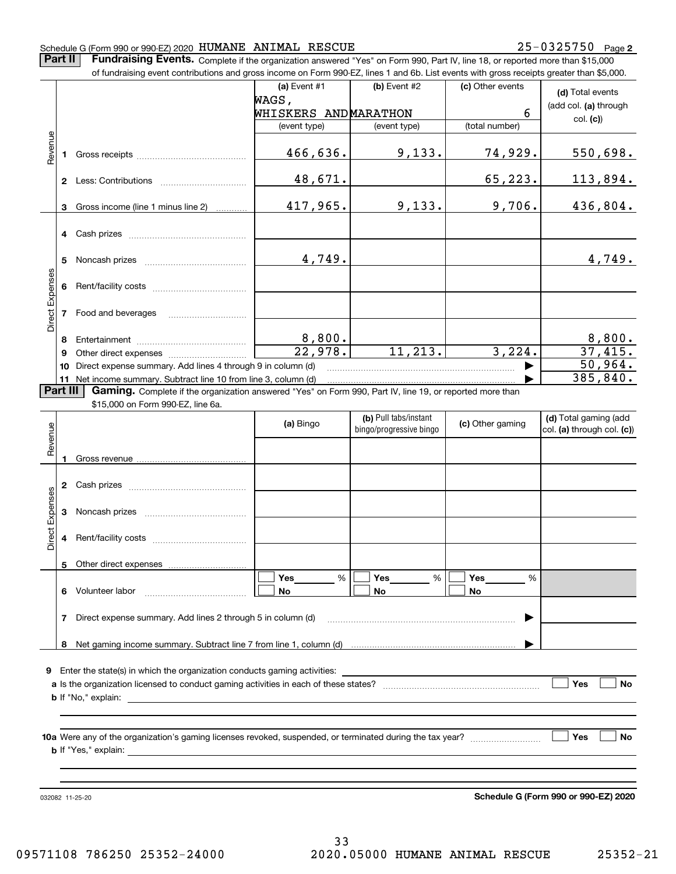**Part II** | Fundraising Events. Complete if the organization answered "Yes" on Form 990, Part IV, line 18, or reported more than \$15,000

|                 |          | of fundraising event contributions and gross income on Form 990-EZ, lines 1 and 6b. List events with gross receipts greater than \$5,000. |                                      |                                                  |                     |                                                     |
|-----------------|----------|-------------------------------------------------------------------------------------------------------------------------------------------|--------------------------------------|--------------------------------------------------|---------------------|-----------------------------------------------------|
|                 |          |                                                                                                                                           | (a) Event #1                         | $(b)$ Event #2                                   | (c) Other events    | (d) Total events                                    |
|                 |          |                                                                                                                                           | WAGS,                                |                                                  |                     | (add col. (a) through                               |
|                 |          |                                                                                                                                           | WHISKERS ANDMARATHON<br>(event type) |                                                  | 6<br>(total number) | col. (c)                                            |
|                 |          |                                                                                                                                           |                                      | (event type)                                     |                     |                                                     |
| Revenue         | 1        |                                                                                                                                           | 466,636.                             | 9,133.                                           | 74,929.             | 550,698.                                            |
|                 |          |                                                                                                                                           | 48,671.                              |                                                  | 65,223.             | <u> 113,894.</u>                                    |
|                 | 3        | Gross income (line 1 minus line 2)                                                                                                        | 417,965.                             | 9,133.                                           | 9,706.              | 436,804.                                            |
|                 |          |                                                                                                                                           |                                      |                                                  |                     |                                                     |
|                 | 4        | Cash prizes [111] Cash prizes [11] Cash prizes [11] Cash prizes [11] Casar Division (12] Orange Division (12] O                           |                                      |                                                  |                     |                                                     |
|                 | 5        |                                                                                                                                           | 4,749.                               |                                                  |                     | 4,749.                                              |
|                 |          |                                                                                                                                           |                                      |                                                  |                     |                                                     |
| Direct Expenses | 6        |                                                                                                                                           |                                      |                                                  |                     |                                                     |
|                 | 7        | Food and beverages                                                                                                                        |                                      |                                                  |                     |                                                     |
|                 |          |                                                                                                                                           |                                      |                                                  |                     |                                                     |
|                 | 8        |                                                                                                                                           | $\frac{8,800}{22,978}$               |                                                  |                     | $\frac{8,800}{37,415}$                              |
|                 | 9        |                                                                                                                                           |                                      | 11, 213.                                         | 3,224.              |                                                     |
|                 | 10       | Direct expense summary. Add lines 4 through 9 in column (d)                                                                               |                                      |                                                  |                     | 50,964.                                             |
|                 |          | 11 Net income summary. Subtract line 10 from line 3, column (d)                                                                           |                                      |                                                  |                     | 385, 840.                                           |
|                 | Part III | Gaming. Complete if the organization answered "Yes" on Form 990, Part IV, line 19, or reported more than                                  |                                      |                                                  |                     |                                                     |
|                 |          | \$15,000 on Form 990-EZ, line 6a.                                                                                                         |                                      |                                                  |                     |                                                     |
|                 |          |                                                                                                                                           | (a) Bingo                            | (b) Pull tabs/instant<br>bingo/progressive bingo | (c) Other gaming    | (d) Total gaming (add<br>col. (a) through col. (c)) |
| Revenue         |          |                                                                                                                                           |                                      |                                                  |                     |                                                     |
|                 |          |                                                                                                                                           |                                      |                                                  |                     |                                                     |
|                 | 1        |                                                                                                                                           |                                      |                                                  |                     |                                                     |
|                 | 2        |                                                                                                                                           |                                      |                                                  |                     |                                                     |
|                 |          |                                                                                                                                           |                                      |                                                  |                     |                                                     |
| Direct Expenses | 3        |                                                                                                                                           |                                      |                                                  |                     |                                                     |
|                 |          |                                                                                                                                           |                                      |                                                  |                     |                                                     |
|                 | 4        |                                                                                                                                           |                                      |                                                  |                     |                                                     |
|                 |          |                                                                                                                                           |                                      |                                                  |                     |                                                     |
|                 |          | 5 Other direct expenses                                                                                                                   |                                      | %                                                |                     |                                                     |
|                 |          | 6 Volunteer labor                                                                                                                         | %<br>Yes<br>No                       | Yes<br>No                                        | %<br>Yes<br>No      |                                                     |
|                 |          |                                                                                                                                           |                                      |                                                  |                     |                                                     |
|                 | 7        | Direct expense summary. Add lines 2 through 5 in column (d)                                                                               |                                      |                                                  |                     |                                                     |
|                 |          |                                                                                                                                           |                                      |                                                  |                     |                                                     |
|                 |          |                                                                                                                                           |                                      |                                                  |                     |                                                     |
|                 |          |                                                                                                                                           |                                      |                                                  |                     |                                                     |
| 9               |          |                                                                                                                                           |                                      |                                                  |                     |                                                     |
|                 |          |                                                                                                                                           |                                      |                                                  |                     | Yes<br>No                                           |
|                 |          |                                                                                                                                           |                                      |                                                  |                     |                                                     |
|                 |          |                                                                                                                                           |                                      |                                                  |                     |                                                     |
|                 |          |                                                                                                                                           |                                      |                                                  |                     | Yes<br>No                                           |
|                 |          |                                                                                                                                           |                                      |                                                  |                     |                                                     |
|                 |          |                                                                                                                                           |                                      |                                                  |                     |                                                     |
|                 |          |                                                                                                                                           |                                      |                                                  |                     |                                                     |
|                 |          | 032082 11-25-20                                                                                                                           |                                      |                                                  |                     | Schedule G (Form 990 or 990-EZ) 2020                |
|                 |          |                                                                                                                                           |                                      |                                                  |                     |                                                     |

**Schedule G (Form 990 or 990-EZ) 2020**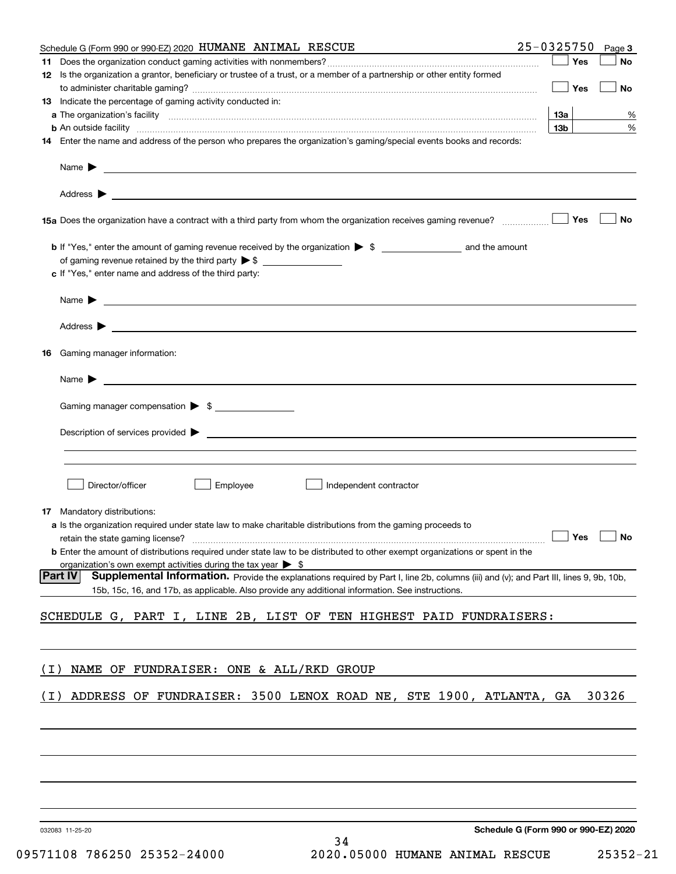| Schedule G (Form 990 or 990-EZ) 2020 HUMANE ANIMAL RESCUE                                                                                                                                                                                                    | 25-0325750<br>Page 3                 |
|--------------------------------------------------------------------------------------------------------------------------------------------------------------------------------------------------------------------------------------------------------------|--------------------------------------|
|                                                                                                                                                                                                                                                              | <b>Yes</b><br>No                     |
| 12 Is the organization a grantor, beneficiary or trustee of a trust, or a member of a partnership or other entity formed                                                                                                                                     |                                      |
|                                                                                                                                                                                                                                                              | Yes<br>No                            |
| <b>13</b> Indicate the percentage of gaming activity conducted in:                                                                                                                                                                                           |                                      |
|                                                                                                                                                                                                                                                              | 13а<br>%                             |
| <b>b</b> An outside facility <b>contained and the contract of the contract of the contract of the contract of the contract of the contract of the contract of the contract of the contract of the contract of the contract of the con</b>                    | 13 <sub>b</sub><br>%                 |
| 14 Enter the name and address of the person who prepares the organization's gaming/special events books and records:                                                                                                                                         |                                      |
|                                                                                                                                                                                                                                                              |                                      |
|                                                                                                                                                                                                                                                              |                                      |
| 15a Does the organization have a contract with a third party from whom the organization receives gaming revenue?                                                                                                                                             | Yes<br>No                            |
| b If "Yes," enter the amount of gaming revenue received by the organization > \$ ____________________ and the amount                                                                                                                                         |                                      |
|                                                                                                                                                                                                                                                              |                                      |
| c If "Yes," enter name and address of the third party:                                                                                                                                                                                                       |                                      |
|                                                                                                                                                                                                                                                              |                                      |
|                                                                                                                                                                                                                                                              |                                      |
| <b>16</b> Gaming manager information:                                                                                                                                                                                                                        |                                      |
|                                                                                                                                                                                                                                                              |                                      |
|                                                                                                                                                                                                                                                              |                                      |
| Gaming manager compensation > \$                                                                                                                                                                                                                             |                                      |
|                                                                                                                                                                                                                                                              |                                      |
|                                                                                                                                                                                                                                                              |                                      |
|                                                                                                                                                                                                                                                              |                                      |
| Director/officer<br>Employee<br>Independent contractor                                                                                                                                                                                                       |                                      |
| <b>17</b> Mandatory distributions:                                                                                                                                                                                                                           |                                      |
| a Is the organization required under state law to make charitable distributions from the gaming proceeds to                                                                                                                                                  |                                      |
| retain the state gaming license? <b>Construction and the state gaming license</b> ? No                                                                                                                                                                       |                                      |
| <b>b</b> Enter the amount of distributions required under state law to be distributed to other exempt organizations or spent in the                                                                                                                          |                                      |
| organization's own exempt activities during the tax year $\triangleright$ \$                                                                                                                                                                                 |                                      |
| <b>Part IV</b><br>Supplemental Information. Provide the explanations required by Part I, line 2b, columns (iii) and (v); and Part III, lines 9, 9b, 10b,<br>15b, 15c, 16, and 17b, as applicable. Also provide any additional information. See instructions. |                                      |
|                                                                                                                                                                                                                                                              |                                      |
| SCHEDULE G, PART I, LINE 2B, LIST OF TEN HIGHEST PAID FUNDRAISERS:                                                                                                                                                                                           |                                      |
|                                                                                                                                                                                                                                                              |                                      |
| NAME OF FUNDRAISER: ONE & ALL/RKD GROUP<br>( L )                                                                                                                                                                                                             |                                      |
| ADDRESS OF FUNDRAISER: 3500 LENOX ROAD NE, STE 1900, ATLANTA, GA<br>( I )                                                                                                                                                                                    | 30326                                |
|                                                                                                                                                                                                                                                              |                                      |
|                                                                                                                                                                                                                                                              |                                      |
|                                                                                                                                                                                                                                                              |                                      |
|                                                                                                                                                                                                                                                              |                                      |
|                                                                                                                                                                                                                                                              |                                      |
| 032083 11-25-20<br>34                                                                                                                                                                                                                                        | Schedule G (Form 990 or 990-EZ) 2020 |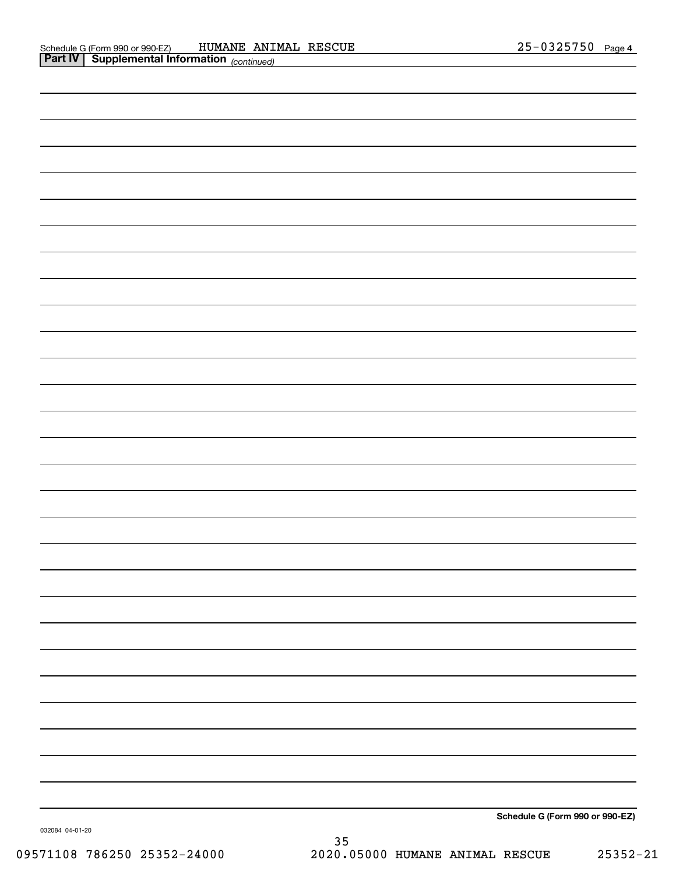| Schedule G (Form 990 or 990-EZ) |
|---------------------------------|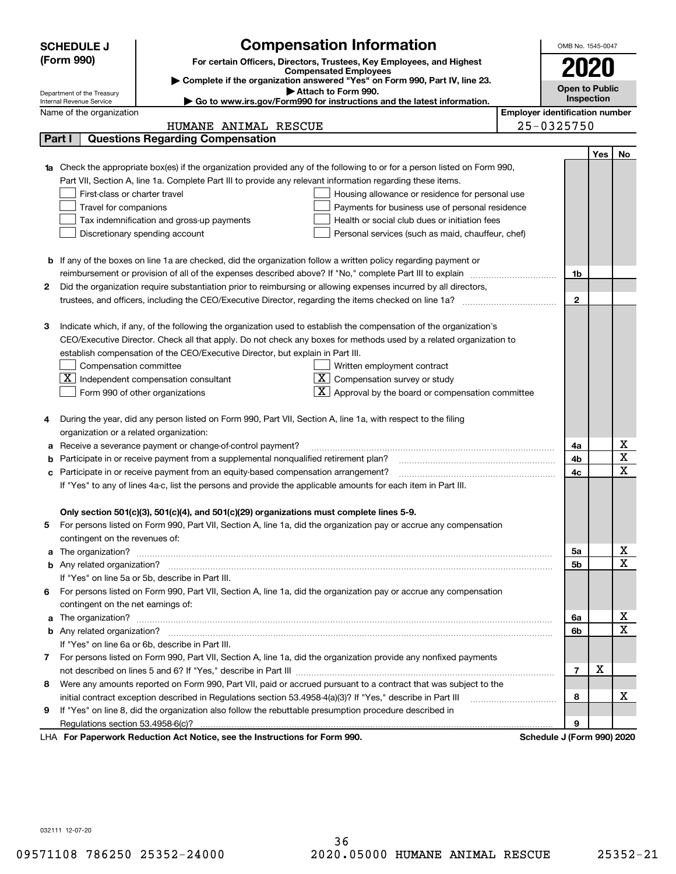|        | <b>SCHEDULE J</b>                                                                          | <b>Compensation Information</b>                                                                                        |                                       | OMB No. 1545-0047          |     |             |  |  |
|--------|--------------------------------------------------------------------------------------------|------------------------------------------------------------------------------------------------------------------------|---------------------------------------|----------------------------|-----|-------------|--|--|
|        | (Form 990)                                                                                 | For certain Officers, Directors, Trustees, Key Employees, and Highest                                                  |                                       |                            |     |             |  |  |
|        |                                                                                            | <b>Compensated Employees</b>                                                                                           |                                       | 2020                       |     |             |  |  |
|        |                                                                                            | Complete if the organization answered "Yes" on Form 990, Part IV, line 23.<br>Attach to Form 990.                      |                                       | <b>Open to Public</b>      |     |             |  |  |
|        | Department of the Treasury<br>Internal Revenue Service                                     | Go to www.irs.gov/Form990 for instructions and the latest information.                                                 |                                       | Inspection                 |     |             |  |  |
|        | Name of the organization                                                                   |                                                                                                                        | <b>Employer identification number</b> |                            |     |             |  |  |
|        |                                                                                            | HUMANE ANIMAL RESCUE                                                                                                   |                                       | 25-0325750                 |     |             |  |  |
| Part I |                                                                                            | <b>Questions Regarding Compensation</b>                                                                                |                                       |                            |     |             |  |  |
|        |                                                                                            |                                                                                                                        |                                       |                            | Yes | No          |  |  |
|        |                                                                                            | Check the appropriate box(es) if the organization provided any of the following to or for a person listed on Form 990, |                                       |                            |     |             |  |  |
|        |                                                                                            | Part VII, Section A, line 1a. Complete Part III to provide any relevant information regarding these items.             |                                       |                            |     |             |  |  |
|        | First-class or charter travel                                                              | Housing allowance or residence for personal use                                                                        |                                       |                            |     |             |  |  |
|        | Travel for companions                                                                      | Payments for business use of personal residence                                                                        |                                       |                            |     |             |  |  |
|        | Tax indemnification and gross-up payments<br>Health or social club dues or initiation fees |                                                                                                                        |                                       |                            |     |             |  |  |
|        | Discretionary spending account<br>Personal services (such as maid, chauffeur, chef)        |                                                                                                                        |                                       |                            |     |             |  |  |
|        |                                                                                            |                                                                                                                        |                                       |                            |     |             |  |  |
|        |                                                                                            | <b>b</b> If any of the boxes on line 1a are checked, did the organization follow a written policy regarding payment or |                                       |                            |     |             |  |  |
|        |                                                                                            | reimbursement or provision of all of the expenses described above? If "No," complete Part III to explain               |                                       | 1b                         |     |             |  |  |
| 2      |                                                                                            | Did the organization require substantiation prior to reimbursing or allowing expenses incurred by all directors,       |                                       |                            |     |             |  |  |
|        |                                                                                            |                                                                                                                        |                                       |                            |     |             |  |  |
|        |                                                                                            |                                                                                                                        |                                       | $\mathbf{2}$               |     |             |  |  |
| з      |                                                                                            | Indicate which, if any, of the following the organization used to establish the compensation of the organization's     |                                       |                            |     |             |  |  |
|        |                                                                                            | CEO/Executive Director. Check all that apply. Do not check any boxes for methods used by a related organization to     |                                       |                            |     |             |  |  |
|        |                                                                                            | establish compensation of the CEO/Executive Director, but explain in Part III.                                         |                                       |                            |     |             |  |  |
|        | Compensation committee                                                                     | Written employment contract                                                                                            |                                       |                            |     |             |  |  |
|        | $\mathbf{X}$                                                                               | $\overline{\textbf{X}}$ Compensation survey or study<br>Independent compensation consultant                            |                                       |                            |     |             |  |  |
|        |                                                                                            | $\mathbf{X}$ Approval by the board or compensation committee<br>Form 990 of other organizations                        |                                       |                            |     |             |  |  |
|        |                                                                                            |                                                                                                                        |                                       |                            |     |             |  |  |
| 4      |                                                                                            | During the year, did any person listed on Form 990, Part VII, Section A, line 1a, with respect to the filing           |                                       |                            |     |             |  |  |
|        | organization or a related organization:                                                    |                                                                                                                        |                                       |                            |     |             |  |  |
| а      |                                                                                            | Receive a severance payment or change-of-control payment?                                                              |                                       | 4a                         |     | х           |  |  |
| b      |                                                                                            | Participate in or receive payment from a supplemental nonqualified retirement plan?                                    |                                       | 4b                         |     | X           |  |  |
| c      |                                                                                            | Participate in or receive payment from an equity-based compensation arrangement?                                       |                                       | 4c                         |     | $\mathbf x$ |  |  |
|        |                                                                                            | If "Yes" to any of lines 4a-c, list the persons and provide the applicable amounts for each item in Part III.          |                                       |                            |     |             |  |  |
|        |                                                                                            |                                                                                                                        |                                       |                            |     |             |  |  |
|        |                                                                                            | Only section 501(c)(3), 501(c)(4), and 501(c)(29) organizations must complete lines 5-9.                               |                                       |                            |     |             |  |  |
|        |                                                                                            | For persons listed on Form 990, Part VII, Section A, line 1a, did the organization pay or accrue any compensation      |                                       |                            |     |             |  |  |
|        | contingent on the revenues of:                                                             |                                                                                                                        |                                       |                            |     |             |  |  |
| a      |                                                                                            |                                                                                                                        |                                       | 5а                         |     | x           |  |  |
|        |                                                                                            |                                                                                                                        |                                       | <b>5b</b>                  |     | X           |  |  |
|        |                                                                                            | If "Yes" on line 5a or 5b, describe in Part III.                                                                       |                                       |                            |     |             |  |  |
| 6.     |                                                                                            | For persons listed on Form 990, Part VII, Section A, line 1a, did the organization pay or accrue any compensation      |                                       |                            |     |             |  |  |
|        | contingent on the net earnings of:                                                         |                                                                                                                        |                                       |                            |     |             |  |  |
| a      |                                                                                            |                                                                                                                        |                                       | 6a                         |     | х           |  |  |
|        |                                                                                            |                                                                                                                        |                                       | 6b                         |     | $\mathbf x$ |  |  |
|        |                                                                                            | If "Yes" on line 6a or 6b, describe in Part III.                                                                       |                                       |                            |     |             |  |  |
|        |                                                                                            | 7 For persons listed on Form 990, Part VII, Section A, line 1a, did the organization provide any nonfixed payments     |                                       |                            |     |             |  |  |
|        |                                                                                            |                                                                                                                        |                                       | $\overline{7}$             | X   |             |  |  |
| 8      |                                                                                            | Were any amounts reported on Form 990, Part VII, paid or accrued pursuant to a contract that was subject to the        |                                       |                            |     |             |  |  |
|        |                                                                                            | initial contract exception described in Regulations section 53.4958-4(a)(3)? If "Yes," describe in Part III            |                                       | 8                          |     | х           |  |  |
| 9      |                                                                                            | If "Yes" on line 8, did the organization also follow the rebuttable presumption procedure described in                 |                                       |                            |     |             |  |  |
|        | Regulations section 53.4958-6(c)?                                                          |                                                                                                                        |                                       | 9                          |     |             |  |  |
|        |                                                                                            | LHA For Paperwork Reduction Act Notice, see the Instructions for Form 990.                                             |                                       | Schedule J (Form 990) 2020 |     |             |  |  |

032111 12-07-20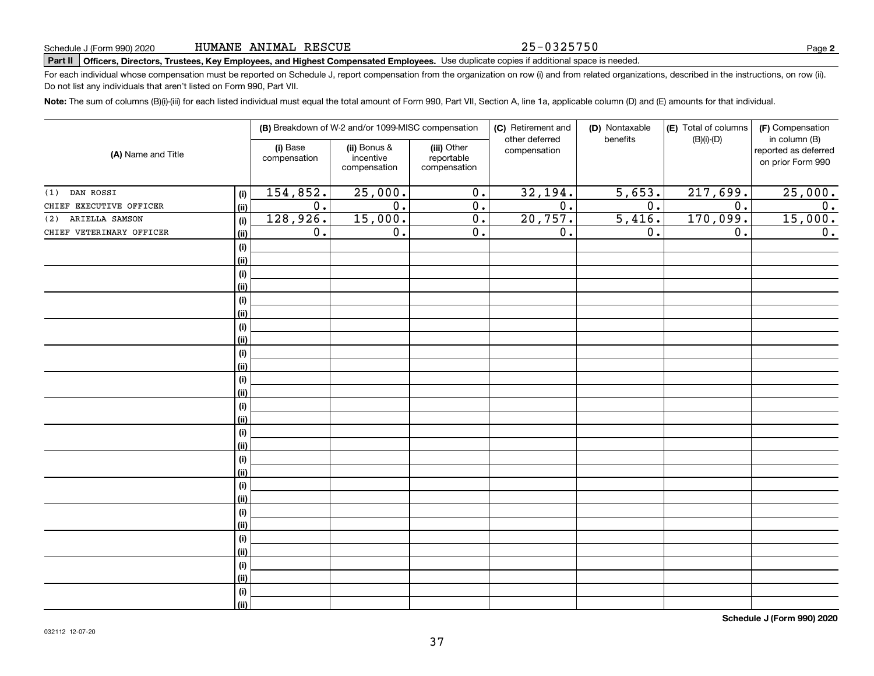#### 25-0325750

# **Part II Officers, Directors, Trustees, Key Employees, and Highest Compensated Employees.**  Schedule J (Form 990) 2020 Page Use duplicate copies if additional space is needed.

For each individual whose compensation must be reported on Schedule J, report compensation from the organization on row (i) and from related organizations, described in the instructions, on row (ii). Do not list any individuals that aren't listed on Form 990, Part VII.

**Note:**  The sum of columns (B)(i)-(iii) for each listed individual must equal the total amount of Form 990, Part VII, Section A, line 1a, applicable column (D) and (E) amounts for that individual.

| (A) Name and Title       |            | (B) Breakdown of W-2 and/or 1099-MISC compensation |                                           |                                           | (C) Retirement and             | (D) Nontaxable   | (E) Total of columns | (F) Compensation<br>in column (B)         |  |
|--------------------------|------------|----------------------------------------------------|-------------------------------------------|-------------------------------------------|--------------------------------|------------------|----------------------|-------------------------------------------|--|
|                          |            | (i) Base<br>compensation                           | (ii) Bonus &<br>incentive<br>compensation | (iii) Other<br>reportable<br>compensation | other deferred<br>compensation | benefits         | $(B)(i)-(D)$         | reported as deferred<br>on prior Form 990 |  |
| DAN ROSSI<br>(1)         | (i)        | 154,852.                                           | 25,000.                                   | 0.                                        | 32,194.                        | 5,653.           | 217,699.             | 25,000.                                   |  |
| CHIEF EXECUTIVE OFFICER  | (ii)       | $\overline{0}$ .                                   | $\overline{0}$ .                          | 0.                                        | $\overline{0}$ .               | $\overline{0}$ . | $\overline{0}$ .     | $\overline{0}$ .                          |  |
| ARIELLA SAMSON<br>(2)    | (i)        | 128,926.                                           | 15,000.                                   | 0.                                        | 20, 757.                       | 5,416.           | 170,099.             | 15,000.                                   |  |
| CHIEF VETERINARY OFFICER | (ii)       | 0.                                                 | $\overline{0}$ .                          | $\overline{0}$ .                          | $\overline{0}$ .               | 0.               | $\overline{0}$ .     | $\overline{0}$ .                          |  |
|                          | $(\sf{i})$ |                                                    |                                           |                                           |                                |                  |                      |                                           |  |
|                          | (ii)       |                                                    |                                           |                                           |                                |                  |                      |                                           |  |
|                          | $(\sf{i})$ |                                                    |                                           |                                           |                                |                  |                      |                                           |  |
|                          | (ii)       |                                                    |                                           |                                           |                                |                  |                      |                                           |  |
|                          | (i)        |                                                    |                                           |                                           |                                |                  |                      |                                           |  |
|                          | (i)        |                                                    |                                           |                                           |                                |                  |                      |                                           |  |
|                          | $(\sf{i})$ |                                                    |                                           |                                           |                                |                  |                      |                                           |  |
|                          | (ii)       |                                                    |                                           |                                           |                                |                  |                      |                                           |  |
|                          | (i)        |                                                    |                                           |                                           |                                |                  |                      |                                           |  |
|                          | (ii)       |                                                    |                                           |                                           |                                |                  |                      |                                           |  |
|                          | (i)        |                                                    |                                           |                                           |                                |                  |                      |                                           |  |
|                          | (ii)       |                                                    |                                           |                                           |                                |                  |                      |                                           |  |
|                          | (i)        |                                                    |                                           |                                           |                                |                  |                      |                                           |  |
|                          | (ii)       |                                                    |                                           |                                           |                                |                  |                      |                                           |  |
|                          | $(\sf{i})$ |                                                    |                                           |                                           |                                |                  |                      |                                           |  |
|                          | (ii)       |                                                    |                                           |                                           |                                |                  |                      |                                           |  |
|                          | (i)        |                                                    |                                           |                                           |                                |                  |                      |                                           |  |
|                          | (ii)       |                                                    |                                           |                                           |                                |                  |                      |                                           |  |
|                          | (i)        |                                                    |                                           |                                           |                                |                  |                      |                                           |  |
|                          | (ii)       |                                                    |                                           |                                           |                                |                  |                      |                                           |  |
|                          | (i)        |                                                    |                                           |                                           |                                |                  |                      |                                           |  |
|                          | (ii)       |                                                    |                                           |                                           |                                |                  |                      |                                           |  |
|                          | (i)        |                                                    |                                           |                                           |                                |                  |                      |                                           |  |
|                          | (ii)       |                                                    |                                           |                                           |                                |                  |                      |                                           |  |
|                          | $(\sf{i})$ |                                                    |                                           |                                           |                                |                  |                      |                                           |  |
|                          | (ii)       |                                                    |                                           |                                           |                                |                  |                      |                                           |  |
|                          | (i)        |                                                    |                                           |                                           |                                |                  |                      |                                           |  |
|                          | (ii)       |                                                    |                                           |                                           |                                |                  |                      |                                           |  |

**Schedule J (Form 990) 2020**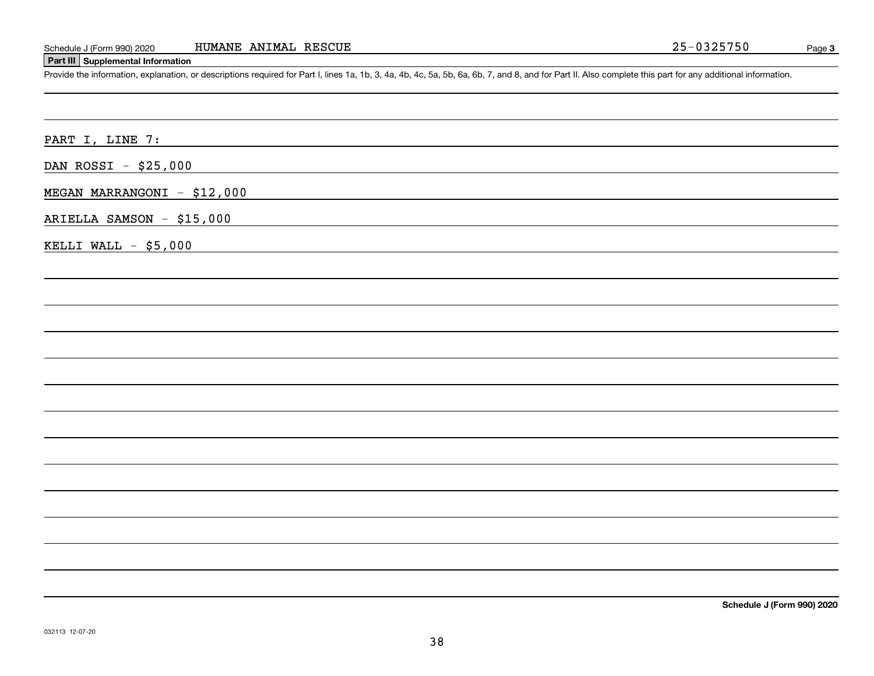#### **Part III Supplemental Information**

Schedule J (Form 990) 2020 HUMANE ANIMAL RESCUE<br>
Part III Supplemental Information<br>
Provide the information, explanation, or descriptions required for Part I, lines 1a, 1b, 3, 4a, 4b, 4c, 5a, 5b, 6a, 6b, 7, and 8, and for

PART I, LINE 7:

DAN ROSSI - \$25,000

MEGAN MARRANGONI - \$12,000

ARIELLA SAMSON - \$15,000

KELLI WALL  $-$  \$5,000

**Schedule J (Form 990) 2020**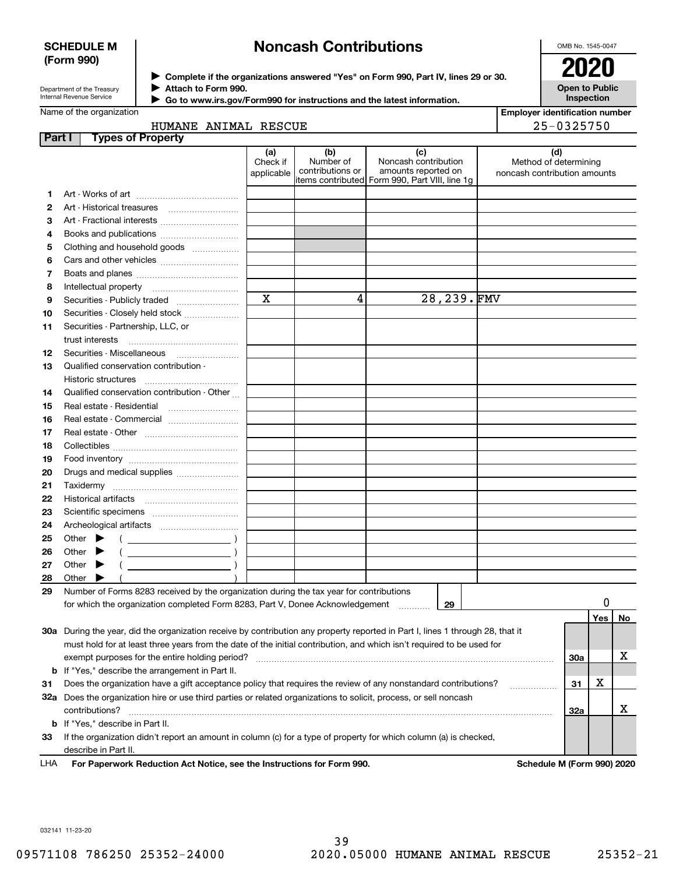### **SCHEDULE M (Form 990)**

# **Noncash Contributions**

OMB No. 1545-0047

| Department of the Treasury      |
|---------------------------------|
|                                 |
| <b>Internal Revenue Service</b> |

**Complete if the organizations answered "Yes" on Form 990, Part IV, lines 29 or 30.** <sup>J</sup>**2020 Attach to Form 990.** J

**Open to Public Inspection**

| Internal Revenue Service | Go to www.irs.gov/Form990 for instructions and the latest information. |
|--------------------------|------------------------------------------------------------------------|
| Name of the organization |                                                                        |

| <b>Employer identification number</b> |
|---------------------------------------|
| $25 - 0325750$                        |

| HUMANE ANIMAL RESCUE |  |
|----------------------|--|

| Part I | <b>Types of Property</b>                                                                                                       |                               |                                      |                                                                                                      |                                                              |                            |    |
|--------|--------------------------------------------------------------------------------------------------------------------------------|-------------------------------|--------------------------------------|------------------------------------------------------------------------------------------------------|--------------------------------------------------------------|----------------------------|----|
|        |                                                                                                                                | (a)<br>Check if<br>applicable | (b)<br>Number of<br>contributions or | (c)<br>Noncash contribution<br>amounts reported on<br>items contributed Form 990, Part VIII, line 1g | (d)<br>Method of determining<br>noncash contribution amounts |                            |    |
| 1      |                                                                                                                                |                               |                                      |                                                                                                      |                                                              |                            |    |
| 2      |                                                                                                                                |                               |                                      |                                                                                                      |                                                              |                            |    |
| З      | Art - Fractional interests                                                                                                     |                               |                                      |                                                                                                      |                                                              |                            |    |
| 4      | Books and publications                                                                                                         |                               |                                      |                                                                                                      |                                                              |                            |    |
| 5      | Clothing and household goods                                                                                                   |                               |                                      |                                                                                                      |                                                              |                            |    |
| 6      |                                                                                                                                |                               |                                      |                                                                                                      |                                                              |                            |    |
| 7      |                                                                                                                                |                               |                                      |                                                                                                      |                                                              |                            |    |
| 8      | Intellectual property                                                                                                          |                               |                                      |                                                                                                      |                                                              |                            |    |
| 9      | Securities - Publicly traded                                                                                                   | $\mathbf X$                   | 4                                    | 28,239.FMV                                                                                           |                                                              |                            |    |
| 10     | Securities - Closely held stock                                                                                                |                               |                                      |                                                                                                      |                                                              |                            |    |
| 11     | Securities - Partnership, LLC, or                                                                                              |                               |                                      |                                                                                                      |                                                              |                            |    |
|        | trust interests                                                                                                                |                               |                                      |                                                                                                      |                                                              |                            |    |
| 12     | Securities Miscellaneous                                                                                                       |                               |                                      |                                                                                                      |                                                              |                            |    |
| 13     | Qualified conservation contribution -                                                                                          |                               |                                      |                                                                                                      |                                                              |                            |    |
|        | Historic structures                                                                                                            |                               |                                      |                                                                                                      |                                                              |                            |    |
| 14     | Qualified conservation contribution - Other                                                                                    |                               |                                      |                                                                                                      |                                                              |                            |    |
| 15     | Real estate - Residential                                                                                                      |                               |                                      |                                                                                                      |                                                              |                            |    |
| 16     | Real estate - Commercial                                                                                                       |                               |                                      |                                                                                                      |                                                              |                            |    |
| 17     |                                                                                                                                |                               |                                      |                                                                                                      |                                                              |                            |    |
| 18     |                                                                                                                                |                               |                                      |                                                                                                      |                                                              |                            |    |
| 19     |                                                                                                                                |                               |                                      |                                                                                                      |                                                              |                            |    |
| 20     | Drugs and medical supplies                                                                                                     |                               |                                      |                                                                                                      |                                                              |                            |    |
| 21     |                                                                                                                                |                               |                                      |                                                                                                      |                                                              |                            |    |
| 22     |                                                                                                                                |                               |                                      |                                                                                                      |                                                              |                            |    |
| 23     |                                                                                                                                |                               |                                      |                                                                                                      |                                                              |                            |    |
| 24     |                                                                                                                                |                               |                                      |                                                                                                      |                                                              |                            |    |
| 25     | Other                                                                                                                          |                               |                                      |                                                                                                      |                                                              |                            |    |
| 26     | Other<br>$\overline{\phantom{a}}$ )                                                                                            |                               |                                      |                                                                                                      |                                                              |                            |    |
| 27     | Other                                                                                                                          |                               |                                      |                                                                                                      |                                                              |                            |    |
| 28     | Other                                                                                                                          |                               |                                      |                                                                                                      |                                                              |                            |    |
| 29     | Number of Forms 8283 received by the organization during the tax year for contributions                                        |                               |                                      |                                                                                                      |                                                              |                            |    |
|        | for which the organization completed Form 8283, Part V, Donee Acknowledgement                                                  |                               |                                      | 29                                                                                                   |                                                              |                            |    |
|        |                                                                                                                                |                               |                                      |                                                                                                      |                                                              | Yes                        | No |
|        | 30a During the year, did the organization receive by contribution any property reported in Part I, lines 1 through 28, that it |                               |                                      |                                                                                                      |                                                              |                            |    |
|        | must hold for at least three years from the date of the initial contribution, and which isn't required to be used for          |                               |                                      |                                                                                                      |                                                              |                            |    |
|        | exempt purposes for the entire holding period?                                                                                 |                               |                                      |                                                                                                      |                                                              | 30a                        | х  |
|        | <b>b</b> If "Yes," describe the arrangement in Part II.                                                                        |                               |                                      |                                                                                                      |                                                              |                            |    |
| 31     | Does the organization have a gift acceptance policy that requires the review of any nonstandard contributions?                 |                               |                                      |                                                                                                      |                                                              | x<br>31                    |    |
|        | 32a Does the organization hire or use third parties or related organizations to solicit, process, or sell noncash              |                               |                                      |                                                                                                      |                                                              |                            |    |
|        | contributions?                                                                                                                 |                               |                                      |                                                                                                      |                                                              | 32a                        | х  |
|        | <b>b</b> If "Yes," describe in Part II.                                                                                        |                               |                                      |                                                                                                      |                                                              |                            |    |
| 33     | If the organization didn't report an amount in column (c) for a type of property for which column (a) is checked,              |                               |                                      |                                                                                                      |                                                              |                            |    |
|        | describe in Part II.                                                                                                           |                               |                                      |                                                                                                      |                                                              |                            |    |
| LHA    | For Paperwork Reduction Act Notice, see the Instructions for Form 990.                                                         |                               |                                      |                                                                                                      |                                                              | Schedule M (Form 990) 2020 |    |

032141 11-23-20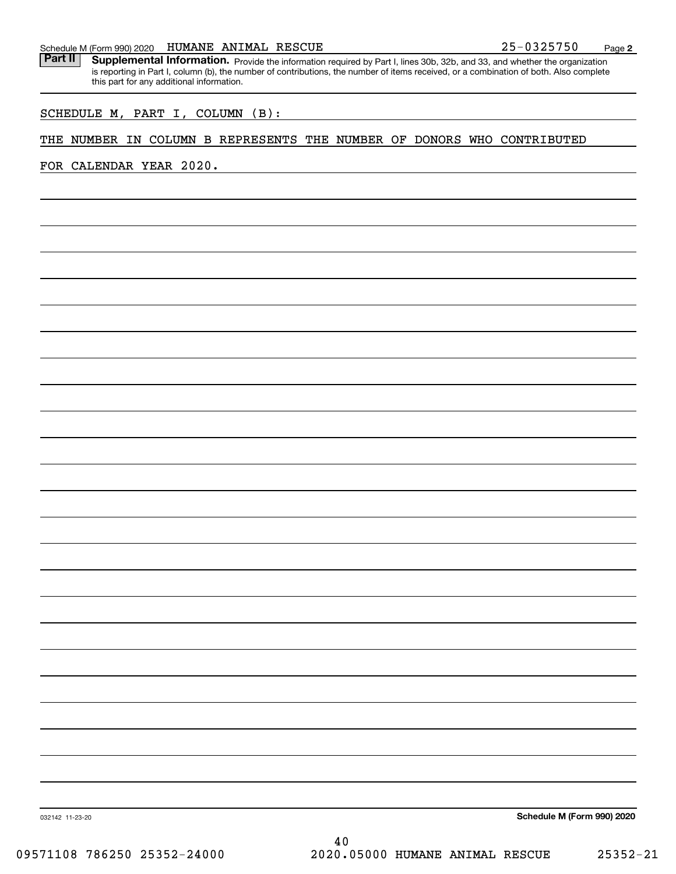Part II | Supplemental Information. Provide the information required by Part I, lines 30b, 32b, and 33, and whether the organization is reporting in Part I, column (b), the number of contributions, the number of items received, or a combination of both. Also complete this part for any additional information.

#### SCHEDULE M, PART I, COLUMN (B):

#### THE NUMBER IN COLUMN B REPRESENTS THE NUMBER OF DONORS WHO CONTRIBUTED

FOR CALENDAR YEAR 2020.

**Schedule M (Form 990) 2020**

**2**

032142 11-23-20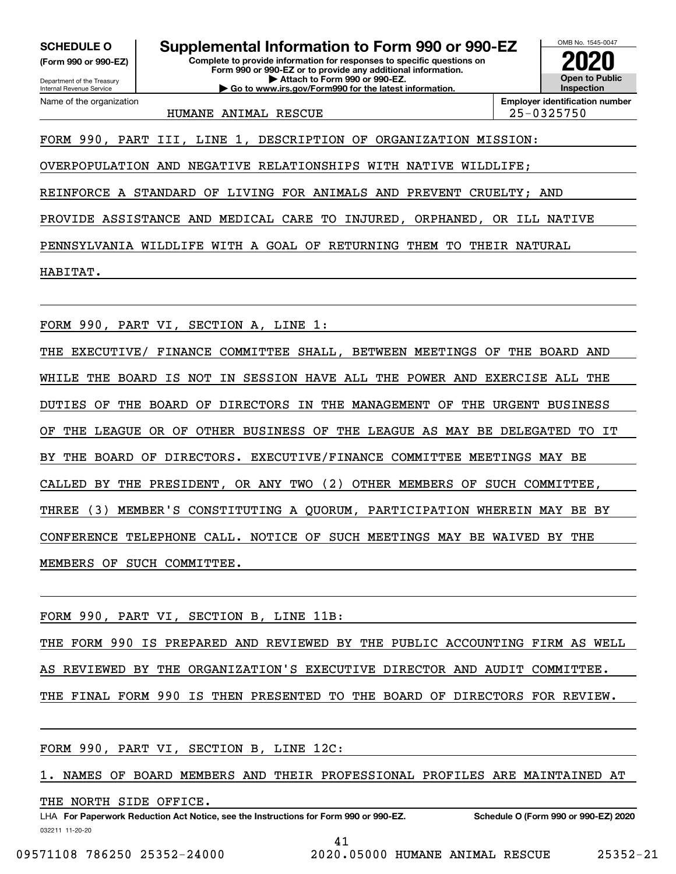**(Form 990 or 990-EZ)**

Department of the Treasury Internal Revenue Service Name of the organization

**Complete to provide information for responses to specific questions on Form 990 or 990-EZ or to provide any additional information. | Attach to Form 990 or 990-EZ. | Go to www.irs.gov/Form990 for the latest information. SCHEDULE O Supplemental Information to Form 990 or 990-EZ**



HUMANE ANIMAL RESCUE 25-0325750

FORM 990, PART III, LINE 1, DESCRIPTION OF ORGANIZATION MISSION:

OVERPOPULATION AND NEGATIVE RELATIONSHIPS WITH NATIVE WILDLIFE;

REINFORCE A STANDARD OF LIVING FOR ANIMALS AND PREVENT CRUELTY; AND

PROVIDE ASSISTANCE AND MEDICAL CARE TO INJURED, ORPHANED, OR ILL NATIVE

PENNSYLVANIA WILDLIFE WITH A GOAL OF RETURNING THEM TO THEIR NATURAL

HABITAT.

FORM 990, PART VI, SECTION A, LINE 1:

THE EXECUTIVE/ FINANCE COMMITTEE SHALL, BETWEEN MEETINGS OF THE BOARD AND WHILE THE BOARD IS NOT IN SESSION HAVE ALL THE POWER AND EXERCISE ALL THE DUTIES OF THE BOARD OF DIRECTORS IN THE MANAGEMENT OF THE URGENT BUSINESS OF THE LEAGUE OR OF OTHER BUSINESS OF THE LEAGUE AS MAY BE DELEGATED TO IT BY THE BOARD OF DIRECTORS. EXECUTIVE/FINANCE COMMITTEE MEETINGS MAY BE CALLED BY THE PRESIDENT, OR ANY TWO (2) OTHER MEMBERS OF SUCH COMMITTEE, THREE (3) MEMBER'S CONSTITUTING A QUORUM, PARTICIPATION WHEREIN MAY BE BY CONFERENCE TELEPHONE CALL. NOTICE OF SUCH MEETINGS MAY BE WAIVED BY THE MEMBERS OF SUCH COMMITTEE.

FORM 990, PART VI, SECTION B, LINE 11B:

THE FORM 990 IS PREPARED AND REVIEWED BY THE PUBLIC ACCOUNTING FIRM AS WELL AS REVIEWED BY THE ORGANIZATION'S EXECUTIVE DIRECTOR AND AUDIT COMMITTEE. THE FINAL FORM 990 IS THEN PRESENTED TO THE BOARD OF DIRECTORS FOR REVIEW.

FORM 990, PART VI, SECTION B, LINE 12C:

1. NAMES OF BOARD MEMBERS AND THEIR PROFESSIONAL PROFILES ARE MAINTAINED AT

THE NORTH SIDE OFFICE.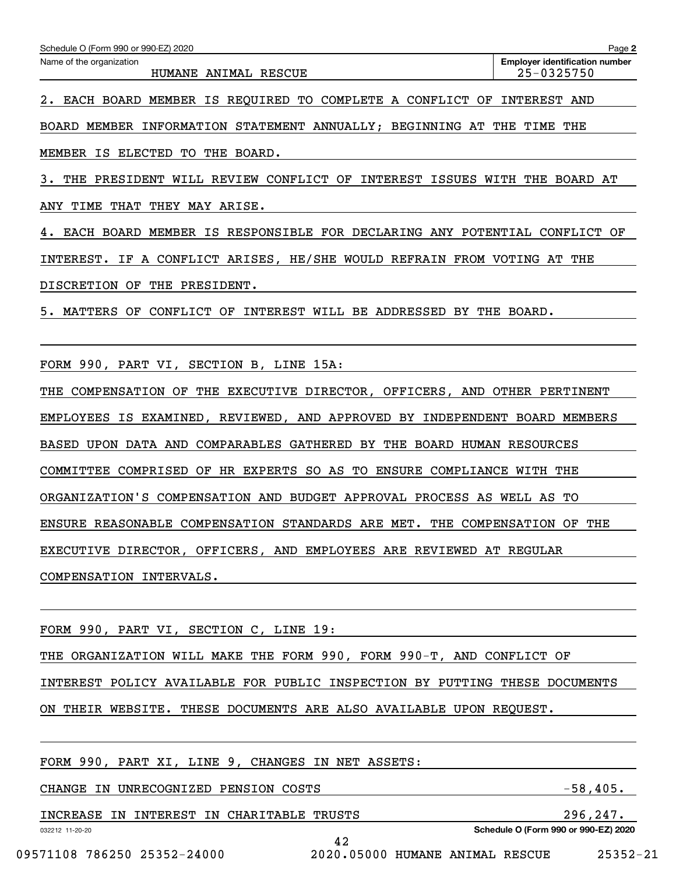2. EACH BOARD MEMBER IS REQUIRED TO COMPLETE A CONFLICT OF INTEREST AND

BOARD MEMBER INFORMATION STATEMENT ANNUALLY; BEGINNING AT THE TIME THE

MEMBER IS ELECTED TO THE BOARD.

3. THE PRESIDENT WILL REVIEW CONFLICT OF INTEREST ISSUES WITH THE BOARD AT ANY TIME THAT THEY MAY ARISE.

4. EACH BOARD MEMBER IS RESPONSIBLE FOR DECLARING ANY POTENTIAL CONFLICT OF INTEREST. IF A CONFLICT ARISES, HE/SHE WOULD REFRAIN FROM VOTING AT THE DISCRETION OF THE PRESIDENT.

5. MATTERS OF CONFLICT OF INTEREST WILL BE ADDRESSED BY THE BOARD.

FORM 990, PART VI, SECTION B, LINE 15A:

THE COMPENSATION OF THE EXECUTIVE DIRECTOR, OFFICERS, AND OTHER PERTINENT EMPLOYEES IS EXAMINED, REVIEWED, AND APPROVED BY INDEPENDENT BOARD MEMBERS BASED UPON DATA AND COMPARABLES GATHERED BY THE BOARD HUMAN RESOURCES COMMITTEE COMPRISED OF HR EXPERTS SO AS TO ENSURE COMPLIANCE WITH THE ORGANIZATION'S COMPENSATION AND BUDGET APPROVAL PROCESS AS WELL AS TO ENSURE REASONABLE COMPENSATION STANDARDS ARE MET. THE COMPENSATION OF THE EXECUTIVE DIRECTOR, OFFICERS, AND EMPLOYEES ARE REVIEWED AT REGULAR COMPENSATION INTERVALS.

FORM 990, PART VI, SECTION C, LINE 19:

THE ORGANIZATION WILL MAKE THE FORM 990, FORM 990-T, AND CONFLICT OF

INTEREST POLICY AVAILABLE FOR PUBLIC INSPECTION BY PUTTING THESE DOCUMENTS

42

ON THEIR WEBSITE. THESE DOCUMENTS ARE ALSO AVAILABLE UPON REQUEST.

FORM 990, PART XI, LINE 9, CHANGES IN NET ASSETS:

CHANGE IN UNRECOGNIZED PENSION COSTS FOR SALL THE SERIES TO SAFET A SAFET STATES.

INCREASE IN INTEREST IN CHARITABLE TRUSTS 296,247.

**Schedule O (Form 990 or 990-EZ) 2020**

09571108 786250 25352-24000 2020.05000 HUMANE ANIMAL RESCUE 25352-21

032212 11-20-20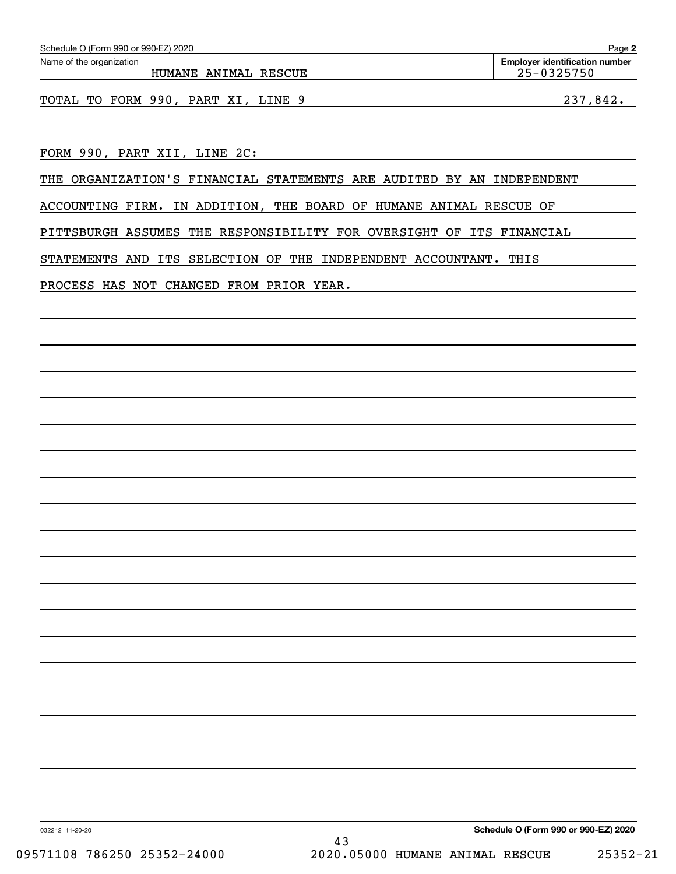| Schedule O (Form 990 or 990-EZ) 2020                                  | Page 2                                              |
|-----------------------------------------------------------------------|-----------------------------------------------------|
| Name of the organization<br>HUMANE ANIMAL RESCUE                      | <b>Employer identification number</b><br>25-0325750 |
| TOTAL TO FORM 990, PART XI, LINE 9                                    | 237,842.                                            |
| FORM 990, PART XII, LINE 2C:                                          |                                                     |
| THE ORGANIZATION'S FINANCIAL STATEMENTS ARE AUDITED BY AN INDEPENDENT |                                                     |
| ACCOUNTING FIRM. IN ADDITION, THE BOARD OF HUMANE ANIMAL RESCUE OF    |                                                     |
| PITTSBURGH ASSUMES THE RESPONSIBILITY FOR OVERSIGHT OF ITS FINANCIAL  |                                                     |
| STATEMENTS AND ITS SELECTION OF THE INDEPENDENT ACCOUNTANT. THIS      |                                                     |
| PROCESS HAS NOT CHANGED FROM PRIOR YEAR.                              |                                                     |
|                                                                       |                                                     |
|                                                                       |                                                     |
|                                                                       |                                                     |
|                                                                       |                                                     |
|                                                                       |                                                     |
|                                                                       |                                                     |
|                                                                       |                                                     |
|                                                                       |                                                     |
|                                                                       |                                                     |
|                                                                       |                                                     |
|                                                                       |                                                     |
|                                                                       |                                                     |
|                                                                       |                                                     |
|                                                                       |                                                     |
|                                                                       |                                                     |
|                                                                       |                                                     |
|                                                                       |                                                     |
|                                                                       |                                                     |
| 032212 11-20-20                                                       | Schedule O (Form 990 or 990-EZ) 2020                |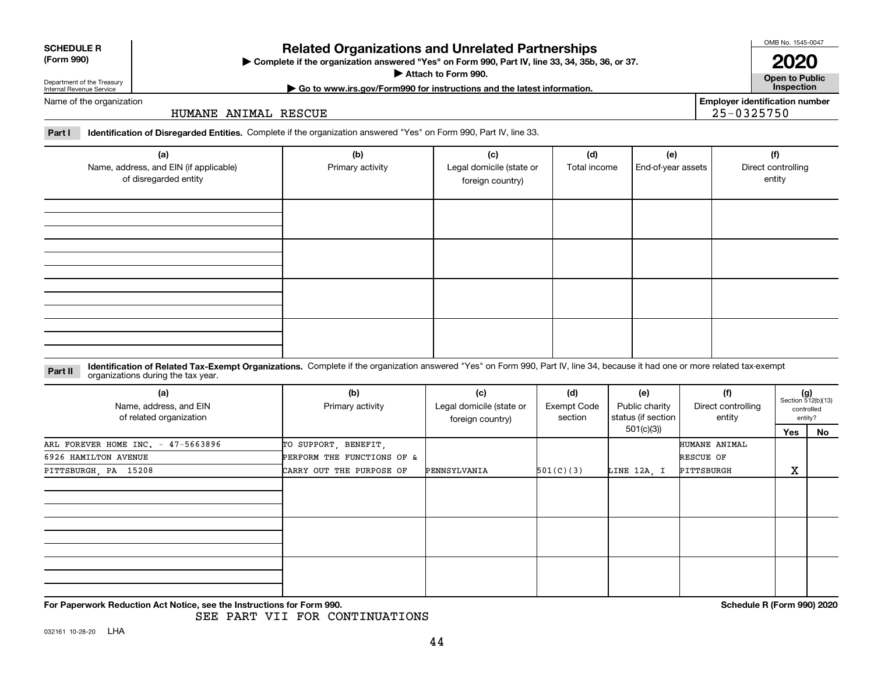032161 10-28-20 LHA

# **Related Organizations and Unrelated Partnerships**

**Complete if the organization answered "Yes" on Form 990, Part IV, line 33, 34, 35b, 36, or 37.** |

**Attach to Form 990.**  |

# Department of the Treasury Internal Revenue Service

Name of the organization

#### HUMANE ANIMAL RESCUE

**Part I Identification of Disregarded Entities.**  Complete if the organization answered "Yes" on Form 990, Part IV, line 33.

| (a)<br>Name, address, and EIN (if applicable)<br>of disregarded entity | (b)<br>Primary activity | (c)<br>Legal domicile (state or<br>foreign country) | (d)<br>Total income | (e)<br>End-of-year assets | (f)<br>Direct controlling<br>entity |
|------------------------------------------------------------------------|-------------------------|-----------------------------------------------------|---------------------|---------------------------|-------------------------------------|
|                                                                        |                         |                                                     |                     |                           |                                     |
|                                                                        |                         |                                                     |                     |                           |                                     |
|                                                                        |                         |                                                     |                     |                           |                                     |
|                                                                        |                         |                                                     |                     |                           |                                     |

#### **Identification of Related Tax-Exempt Organizations.** Complete if the organization answered "Yes" on Form 990, Part IV, line 34, because it had one or more related tax-exempt **Part II** organizations during the tax year.

| organizations during the tax year.                       |                            |                                                     |                                      |                                             |                                     |     |                                                      |
|----------------------------------------------------------|----------------------------|-----------------------------------------------------|--------------------------------------|---------------------------------------------|-------------------------------------|-----|------------------------------------------------------|
| (a)<br>Name, address, and EIN<br>of related organization | (b)<br>Primary activity    | (c)<br>Legal domicile (state or<br>foreign country) | (d)<br><b>Exempt Code</b><br>section | (e)<br>Public charity<br>status (if section | (f)<br>Direct controlling<br>entity |     | $(g)$<br>Section 512(b)(13)<br>controlled<br>entity? |
|                                                          |                            |                                                     |                                      | 501(c)(3))                                  |                                     | Yes | No                                                   |
| ARL FOREVER HOME INC. - 47-5663896                       | TO SUPPORT, BENEFIT,       |                                                     |                                      |                                             | HUMANE ANIMAL                       |     |                                                      |
| 6926 HAMILTON AVENUE                                     | PERFORM THE FUNCTIONS OF & |                                                     |                                      |                                             | RESCUE OF                           |     |                                                      |
| PITTSBURGH, PA 15208                                     | CARRY OUT THE PURPOSE OF   | PENNSYLVANIA                                        | 501(C)(3)                            | LINE 12A, I                                 | PITTSBURGH                          | X   |                                                      |
|                                                          |                            |                                                     |                                      |                                             |                                     |     |                                                      |
|                                                          |                            |                                                     |                                      |                                             |                                     |     |                                                      |
|                                                          |                            |                                                     |                                      |                                             |                                     |     |                                                      |

**For Paperwork Reduction Act Notice, see the Instructions for Form 990. Schedule R (Form 990) 2020** SEE PART VII FOR CONTINUATIONS

**Employer identification number**

25-0325750

**Open to Public | Go to www.irs.gov/Form990 for instructions and the latest information. Inspection 2020**

44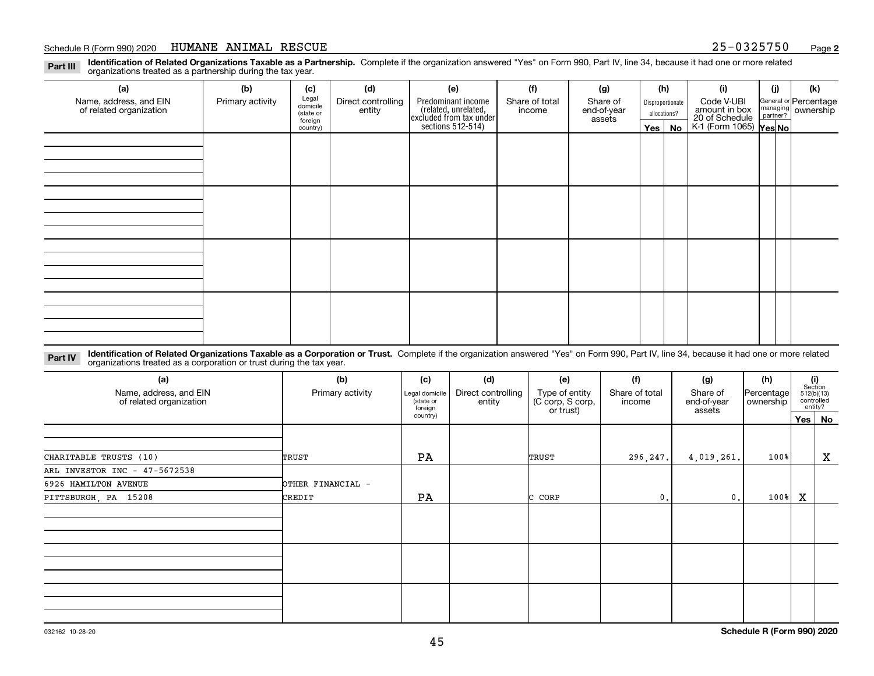**Identification of Related Organizations Taxable as a Partnership.** Complete if the organization answered "Yes" on Form 990, Part IV, line 34, because it had one or more related **Part III** organizations treated as a partnership during the tax year.

| (a)                                               | (b)              | (c)                  | (d)                          | (e)                                                                 | (f)                      | (g)                     |                                  | (h)      | (i)                                                       | (j) | (k)                                                     |
|---------------------------------------------------|------------------|----------------------|------------------------------|---------------------------------------------------------------------|--------------------------|-------------------------|----------------------------------|----------|-----------------------------------------------------------|-----|---------------------------------------------------------|
| Name, address, and EIN<br>of related organization | Primary activity | Legal<br>domicile    | Direct controlling<br>entity | Predominant income                                                  | Share of total<br>income | Share of<br>end-of-year | Disproportionate<br>allocations? |          | Code V-UBI                                                |     | General or Percentage<br>managing ownership<br>partner? |
|                                                   |                  | (state or<br>foreign |                              |                                                                     |                          | assets                  |                                  |          |                                                           |     |                                                         |
|                                                   |                  | country)             |                              | related, unrelated,<br>excluded from tax under<br>sections 512-514) |                          |                         |                                  | Yes   No | amount in box<br>20 of Schedule<br>K-1 (Form 1065) Yes No |     |                                                         |
|                                                   |                  |                      |                              |                                                                     |                          |                         |                                  |          |                                                           |     |                                                         |
|                                                   |                  |                      |                              |                                                                     |                          |                         |                                  |          |                                                           |     |                                                         |
|                                                   |                  |                      |                              |                                                                     |                          |                         |                                  |          |                                                           |     |                                                         |
|                                                   |                  |                      |                              |                                                                     |                          |                         |                                  |          |                                                           |     |                                                         |
|                                                   |                  |                      |                              |                                                                     |                          |                         |                                  |          |                                                           |     |                                                         |
|                                                   |                  |                      |                              |                                                                     |                          |                         |                                  |          |                                                           |     |                                                         |
|                                                   |                  |                      |                              |                                                                     |                          |                         |                                  |          |                                                           |     |                                                         |
|                                                   |                  |                      |                              |                                                                     |                          |                         |                                  |          |                                                           |     |                                                         |
|                                                   |                  |                      |                              |                                                                     |                          |                         |                                  |          |                                                           |     |                                                         |
|                                                   |                  |                      |                              |                                                                     |                          |                         |                                  |          |                                                           |     |                                                         |
|                                                   |                  |                      |                              |                                                                     |                          |                         |                                  |          |                                                           |     |                                                         |
|                                                   |                  |                      |                              |                                                                     |                          |                         |                                  |          |                                                           |     |                                                         |
|                                                   |                  |                      |                              |                                                                     |                          |                         |                                  |          |                                                           |     |                                                         |
|                                                   |                  |                      |                              |                                                                     |                          |                         |                                  |          |                                                           |     |                                                         |
|                                                   |                  |                      |                              |                                                                     |                          |                         |                                  |          |                                                           |     |                                                         |
|                                                   |                  |                      |                              |                                                                     |                          |                         |                                  |          |                                                           |     |                                                         |
|                                                   |                  |                      |                              |                                                                     |                          |                         |                                  |          |                                                           |     |                                                         |

**Identification of Related Organizations Taxable as a Corporation or Trust.** Complete if the organization answered "Yes" on Form 990, Part IV, line 34, because it had one or more related **Part IV** organizations treated as a corporation or trust during the tax year.

| (a)<br>Name, address, and EIN<br>of related organization | (b)<br>Primary activity | (c)<br>Legal domicile<br>(state or<br>foreign | (d)<br>Direct controlling<br>entity | (e)<br>Type of entity<br>(C corp, S corp,<br>or trust) | (f)<br>Share of total<br>income | (g)<br>Share of<br>end-of-year | (h)<br>Percentage<br>ownership | $\begin{array}{c} \textbf{(i)}\\ \text{Section}\\ 512 \text{(b)} \text{(13)}\\ \text{controlled}\end{array}$ | entity?     |
|----------------------------------------------------------|-------------------------|-----------------------------------------------|-------------------------------------|--------------------------------------------------------|---------------------------------|--------------------------------|--------------------------------|--------------------------------------------------------------------------------------------------------------|-------------|
|                                                          |                         | country)                                      |                                     |                                                        |                                 | assets                         |                                | Yes   No                                                                                                     |             |
|                                                          |                         |                                               |                                     |                                                        |                                 |                                |                                |                                                                                                              |             |
| CHARITABLE TRUSTS (10)                                   | TRUST                   | PA                                            |                                     | TRUST                                                  | 296,247.                        | 4,019,261.                     | $100$ <sup>8</sup>             |                                                                                                              | $\mathbf X$ |
| ARL INVESTOR INC - 47-5672538                            |                         |                                               |                                     |                                                        |                                 |                                |                                |                                                                                                              |             |
| 6926 HAMILTON AVENUE                                     | OTHER FINANCIAL -       |                                               |                                     |                                                        |                                 |                                |                                |                                                                                                              |             |
| PITTSBURGH, PA 15208                                     | CREDIT                  | PA                                            |                                     | CORP<br>с                                              | $\mathbf{0}$ .                  | $\mathbf{0}$ .                 | $100$ <sup>8</sup>             | $\mathbf x$                                                                                                  |             |
|                                                          |                         |                                               |                                     |                                                        |                                 |                                |                                |                                                                                                              |             |
|                                                          |                         |                                               |                                     |                                                        |                                 |                                |                                |                                                                                                              |             |
|                                                          |                         |                                               |                                     |                                                        |                                 |                                |                                |                                                                                                              |             |
|                                                          |                         |                                               |                                     |                                                        |                                 |                                |                                |                                                                                                              |             |
|                                                          |                         |                                               |                                     |                                                        |                                 |                                |                                |                                                                                                              |             |
|                                                          |                         |                                               |                                     |                                                        |                                 |                                |                                |                                                                                                              |             |
|                                                          |                         |                                               |                                     |                                                        |                                 |                                |                                |                                                                                                              |             |
|                                                          |                         |                                               |                                     |                                                        |                                 |                                |                                |                                                                                                              |             |
|                                                          |                         |                                               |                                     |                                                        |                                 |                                |                                |                                                                                                              |             |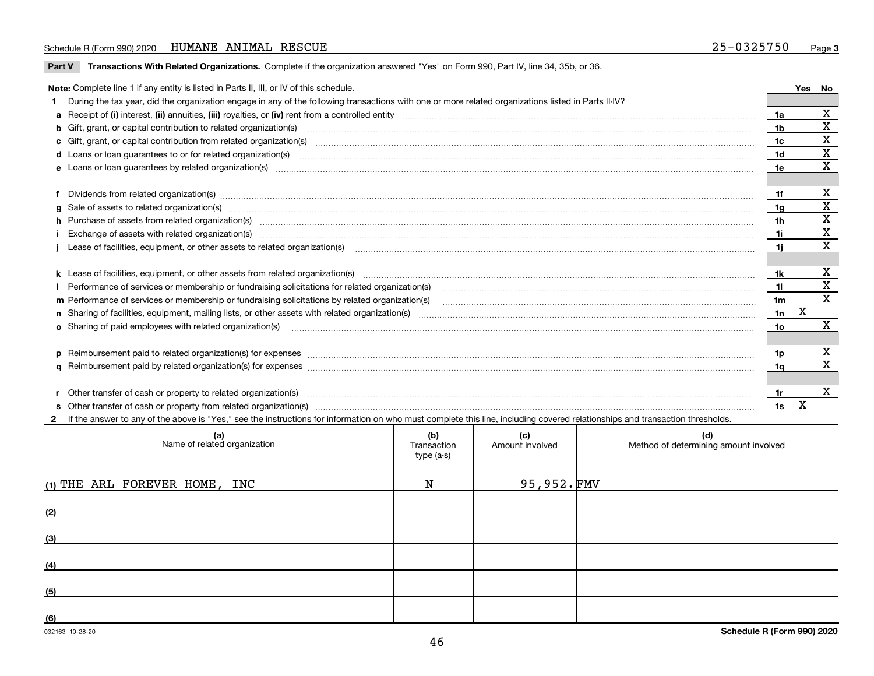**Part V** T**ransactions With Related Organizations.** Complete if the organization answered "Yes" on Form 990, Part IV, line 34, 35b, or 36.

|  | Note: Complete line 1 if any entity is listed in Parts II, III, or IV of this schedule.                                                                                                                                        |                | Yes | No           |  |  |
|--|--------------------------------------------------------------------------------------------------------------------------------------------------------------------------------------------------------------------------------|----------------|-----|--------------|--|--|
|  | During the tax year, did the organization engage in any of the following transactions with one or more related organizations listed in Parts II-IV?                                                                            |                |     |              |  |  |
|  |                                                                                                                                                                                                                                | 1a             |     | X            |  |  |
|  | b Gift, grant, or capital contribution to related organization(s) manufactured contains and contribution to related organization(s)                                                                                            | 1b             |     | х            |  |  |
|  | c Gift, grant, or capital contribution from related organization(s) material contents and contribution from related organization(s) material contents and content of the content of the content of content of content of the c | 1c             |     | X            |  |  |
|  |                                                                                                                                                                                                                                | 1 <sub>d</sub> |     | X            |  |  |
|  |                                                                                                                                                                                                                                | 1e             |     | $\mathbf x$  |  |  |
|  |                                                                                                                                                                                                                                |                |     |              |  |  |
|  | f Dividends from related organization(s) manufactured contains and contained a state of the contact of the contact of the contact of the contact of the contact of the contact of the contact of the contact of the contact of | 1f             |     | х            |  |  |
|  |                                                                                                                                                                                                                                | 1a             |     | X            |  |  |
|  | h Purchase of assets from related organization(s) manufactured and content to the content of the content of the content of the content of the content of the content of the content of the content of the content of the conte | 1 <sub>h</sub> |     | $\mathbf X$  |  |  |
|  |                                                                                                                                                                                                                                | 1i.            |     | X            |  |  |
|  | Lease of facilities, equipment, or other assets to related organization(s) manufactured content to the case of facilities, equipment, or other assets to related organization(s) manufactured content to the case of facilitie | 1i.            |     | X            |  |  |
|  |                                                                                                                                                                                                                                |                |     |              |  |  |
|  |                                                                                                                                                                                                                                | 1k             |     | X            |  |  |
|  |                                                                                                                                                                                                                                | 11             |     | X            |  |  |
|  | m Performance of services or membership or fundraising solicitations by related organization(s)                                                                                                                                | 1m             |     | X            |  |  |
|  |                                                                                                                                                                                                                                | 1n             | х   |              |  |  |
|  | <b>o</b> Sharing of paid employees with related organization(s)                                                                                                                                                                | 10             |     | х            |  |  |
|  |                                                                                                                                                                                                                                |                |     |              |  |  |
|  | p Reimbursement paid to related organization(s) for expenses [11111] [12] reasonal content of the separation (s) for expenses [11111] [12] reasonal content in the separation (s) for expenses [1111] [12] reasonal content in | 1p.            |     | х            |  |  |
|  |                                                                                                                                                                                                                                | 1a             |     | $\mathbf x$  |  |  |
|  |                                                                                                                                                                                                                                |                |     |              |  |  |
|  | r Other transfer of cash or property to related organization(s)                                                                                                                                                                | 1r             |     | $\mathbf{x}$ |  |  |
|  |                                                                                                                                                                                                                                | 1s             | X   |              |  |  |
|  | 2 If the answer to any of the above is "Yes," see the instructions for information on who must complete this line, including covered relationships and transaction thresholds.                                                 |                |     |              |  |  |

| (a)<br>Name of related organization | (b)<br>Transaction<br>type (a-s) | (c)<br>Amount involved | (d)<br>Method of determining amount involved |
|-------------------------------------|----------------------------------|------------------------|----------------------------------------------|
| (1) THE ARL FOREVER HOME, INC       | N                                | $95,952.$ FMV          |                                              |
| (2)                                 |                                  |                        |                                              |
| (3)                                 |                                  |                        |                                              |
| (4)                                 |                                  |                        |                                              |
| (5)                                 |                                  |                        |                                              |
| (6)                                 |                                  |                        |                                              |

 $\overline{\phantom{a}}$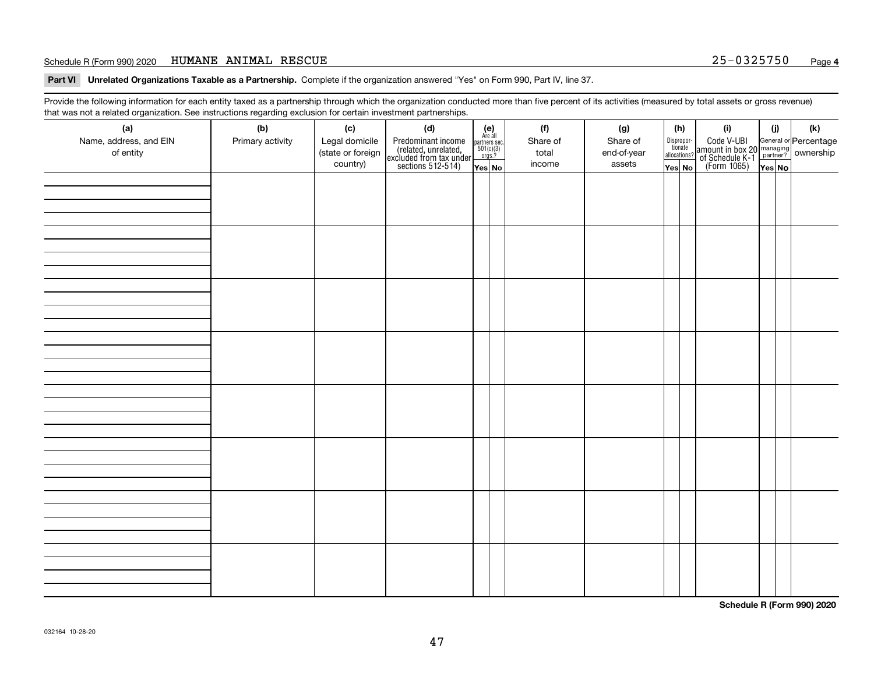**Part VI Unrelated Organizations Taxable as a Partnership. Complete if the organization answered "Yes" on Form 990, Part IV, line 37.** 

Provide the following information for each entity taxed as a partnership through which the organization conducted more than five percent of its activities (measured by total assets or gross revenue) that was not a related organization. See instructions regarding exclusion for certain investment partnerships.

| - - - - -<br>(a)<br>Name, address, and EIN<br>of entity | − ອ−<br>(b)<br>Primary activity | (c)<br>Legal domicile<br>(state or foreign<br>country) | (d)<br>Predominant income<br>(related, unrelated,<br>excluded from tax under<br>sections 512-514) | $\begin{array}{c} \textbf{(e)}\\ \text{Area all} \\ \text{partners sec.}\\ 501(c)(3) \\ \text{orgs.?} \end{array}$<br>Yes No | (f)<br>Share of<br>total<br>income | (g)<br>Share of<br>end-of-year<br>assets | (h)<br>Dispropor-<br>tionate<br>allocations?<br>Yes No | (i)<br>Code V-UBI<br>amount in box 20 managing<br>of Schedule K-1<br>(Form 1065)<br>$\overline{Yes}$ No | (i)<br>Yes No | (k) |
|---------------------------------------------------------|---------------------------------|--------------------------------------------------------|---------------------------------------------------------------------------------------------------|------------------------------------------------------------------------------------------------------------------------------|------------------------------------|------------------------------------------|--------------------------------------------------------|---------------------------------------------------------------------------------------------------------|---------------|-----|
|                                                         |                                 |                                                        |                                                                                                   |                                                                                                                              |                                    |                                          |                                                        |                                                                                                         |               |     |
|                                                         |                                 |                                                        |                                                                                                   |                                                                                                                              |                                    |                                          |                                                        |                                                                                                         |               |     |
|                                                         |                                 |                                                        |                                                                                                   |                                                                                                                              |                                    |                                          |                                                        |                                                                                                         |               |     |
|                                                         |                                 |                                                        |                                                                                                   |                                                                                                                              |                                    |                                          |                                                        |                                                                                                         |               |     |
|                                                         |                                 |                                                        |                                                                                                   |                                                                                                                              |                                    |                                          |                                                        |                                                                                                         |               |     |
|                                                         |                                 |                                                        |                                                                                                   |                                                                                                                              |                                    |                                          |                                                        |                                                                                                         |               |     |
|                                                         |                                 |                                                        |                                                                                                   |                                                                                                                              |                                    |                                          |                                                        |                                                                                                         |               |     |
|                                                         |                                 |                                                        |                                                                                                   |                                                                                                                              |                                    |                                          |                                                        |                                                                                                         |               |     |

**Schedule R (Form 990) 2020**